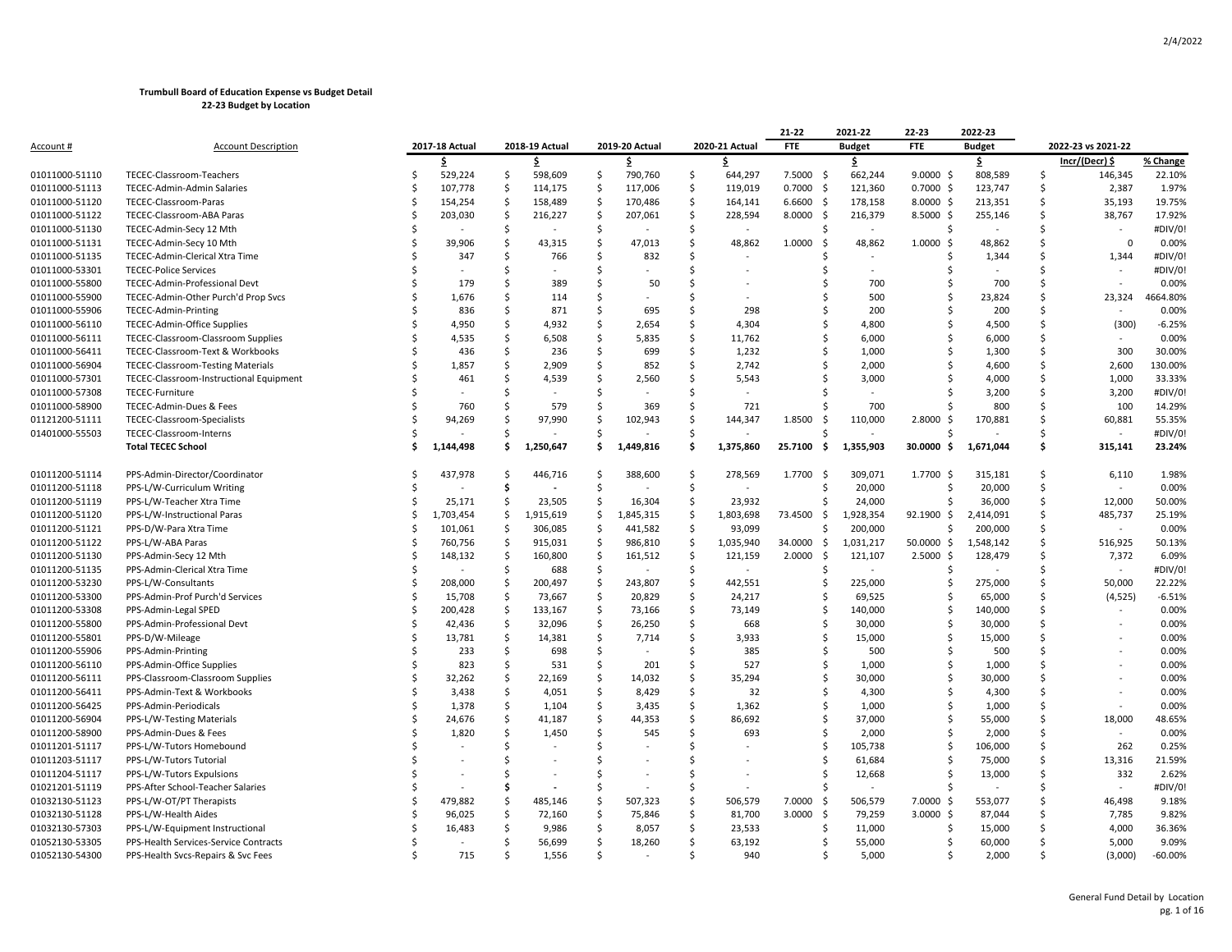|                |                                           |         |                |               |                |                    |                |                    |                | 21-22          | 2021-22                  | 22-23          | 2022-23       |    |                                 |           |
|----------------|-------------------------------------------|---------|----------------|---------------|----------------|--------------------|----------------|--------------------|----------------|----------------|--------------------------|----------------|---------------|----|---------------------------------|-----------|
| Account #      | <b>Account Description</b>                |         | 2017-18 Actual |               | 2018-19 Actual |                    | 2019-20 Actual |                    | 2020-21 Actual | FTE            | <b>Budget</b>            | <b>FTE</b>     | <b>Budget</b> |    | 2022-23 vs 2021-22              |           |
|                |                                           |         | \$             |               | \$.            |                    | \$.            |                    | \$.            |                | \$                       |                | \$.           |    | Incr/(Decr) \$                  | % Change  |
| 01011000-51110 | TECEC-Classroom-Teachers                  | Ś       | 529,224        | $\zeta$       | 598,609        | \$                 | 790,760        | \$                 | 644,297        | 7.5000<br>-S   | 662,244                  | 9.0000<br>- S  | 808,589       | .s | 146,345                         | 22.10%    |
| 01011000-51113 | TECEC-Admin-Admin Salaries                | Ś       | 107,778        | \$            | 114,175        | \$                 | 117,006        | \$                 | 119,019        | 0.7000<br>- \$ | 121,360                  | $0.7000$ \$    | 123,747       | Ŝ  | 2,387                           | 1.97%     |
| 01011000-51120 | TECEC-Classroom-Paras                     | Ś       | 154,254        | $\zeta$       | 158,489        | $\ddot{\varsigma}$ | 170,486        | \$                 | 164,141        | 6.6600<br>-\$  | 178,158                  | $8.0000 \,$ \$ | 213,351       | Ś  | 35,193                          | 19.75%    |
| 01011000-51122 | TECEC-Classroom-ABA Paras                 | Ś       | 203,030        | <sub>\$</sub> | 216,227        | -\$                | 207,061        | Ś                  | 228,594        | 8.0000<br>-\$  | 216,379                  | $8.5000$ \$    | 255,146       | Ś  | 38,767                          | 17.92%    |
| 01011000-51130 | TECEC-Admin-Secy 12 Mth                   |         |                | \$            |                | \$                 |                | Ś                  | $\blacksquare$ |                | $\overline{\phantom{a}}$ | Ś              |               | Ś  | $\centering \label{eq:reduced}$ | #DIV/0!   |
| 01011000-51131 | TECEC-Admin-Secy 10 Mth                   | Ŝ       | 39,906         | \$            | 43,315         | \$                 | 47,013         | Ś                  | 48,862         | 1.0000<br>-\$  | 48,862                   | 1.0000<br>-\$  | 48,862        | Ś  | $\mathbf 0$                     | 0.00%     |
| 01011000-51135 | TECEC-Admin-Clerical Xtra Time            |         | 347            | Ś             | 766            | Ś                  | 832            | Ś                  |                |                |                          |                | 1,344         | Ś  | 1,344                           | #DIV/0!   |
| 01011000-53301 | <b>TECEC-Police Services</b>              |         |                | Ś             |                | Ś                  |                | Ś                  |                |                | $\overline{a}$           | Ś              |               | Ś  |                                 | #DIV/0!   |
| 01011000-55800 | TECEC-Admin-Professional Devt             | Ś       | 179            | Ś             | 389            | Ś                  | 50             | Ś                  |                |                | 700                      | Ś              | 700           | Ś  |                                 | 0.00%     |
| 01011000-55900 | TECEC-Admin-Other Purch'd Prop Svcs       | Ś       | 1,676          | Ś             | 114            | Ś                  |                | Ś                  |                |                | 500                      | Ś              | 23,824        | Ś  | 23,324                          | 4664.80%  |
| 01011000-55906 | TECEC-Admin-Printing                      |         | 836            | Ś             | 871            | Ś                  | 695            | Ś                  | 298            |                | 200                      | Ś              | 200           | Ś  |                                 | 0.00%     |
| 01011000-56110 | TECEC-Admin-Office Supplies               | \$      | 4,950          | Ś             | 4,932          | Ś                  | 2,654          | Ś                  | 4,304          |                | 4,800                    | Ś              | 4,500         | Ś  | (300)                           | $-6.25%$  |
| 01011000-56111 | <b>TECEC-Classroom-Classroom Supplies</b> |         | 4,535          | .S            | 6,508          | Ŝ                  | 5,835          | Ś                  | 11,762         |                | 6,000                    | Ś              | 6,000         | Ś  |                                 | 0.00%     |
| 01011000-56411 | TECEC-Classroom-Text & Workbooks          |         | 436            | Ś             | 236            | Ś                  | 699            | Ś                  | 1,232          |                | 1,000                    | Ś              | 1,300         | Ś  | 300                             | 30.00%    |
| 01011000-56904 | <b>TECEC-Classroom-Testing Materials</b>  |         | 1,857          | Ŝ             | 2,909          | Ŝ                  | 852            | Ś                  | 2,742          |                | 2,000                    | Ś              | 4,600         | Ś  | 2,600                           | 130.00%   |
| 01011000-57301 | TECEC-Classroom-Instructional Equipment   | ς       | 461            | Ś             | 4,539          | Ś                  | 2,560          | Ś                  | 5,543          |                | 3,000                    |                | 4,000         | Ś  | 1,000                           | 33.33%    |
| 01011000-57308 | TECEC-Furniture                           |         |                | Ś             |                | Ś                  |                | Ś                  |                |                |                          |                | 3,200         | Ś  | 3,200                           | #DIV/0!   |
| 01011000-58900 | TECEC-Admin-Dues & Fees                   |         | 760            | Ŝ             | 579            | Ŝ                  | 369            | Ŝ                  | 721            |                | 700                      |                | 800           | Ś  | 100                             | 14.29%    |
| 01121200-51111 | TECEC-Classroom-Specialists               | Ś       | 94,269         | Ś             | 97,990         | Ś                  | 102,943        | Ś                  | 144,347        | 1.8500<br>Ŝ.   | 110,000                  | 2.8000<br>-\$  | 170,881       | Ś  | 60,881                          | 55.35%    |
| 01401000-55503 | TECEC-Classroom-Interns                   |         |                | .S            |                | Ŝ.                 |                | Ŝ                  |                |                |                          |                |               | Ś  |                                 | #DIV/0!   |
|                | <b>Total TECEC School</b>                 | S       | 1,144,498      | Ś             | 1,250,647      | Ś                  | 1,449,816      | Ś                  | 1,375,860      | 25.7100<br>\$. | 1,355,903                | 30.0000<br>-\$ | 1,671,044     | \$ | 315,141                         | 23.24%    |
|                |                                           |         |                |               |                |                    |                |                    |                |                |                          |                |               |    |                                 |           |
| 01011200-51114 | PPS-Admin-Director/Coordinator            | Ŝ       | 437,978        | Ś             | 446,716        | Ś                  | 388,600        | \$                 | 278,569        | 1.7700<br>-\$  | 309,071                  | 1.7700 \$      | 315,181       | Ś  | 6,110                           | 1.98%     |
| 01011200-51118 | PPS-L/W-Curriculum Writing                | Ś       |                | \$            |                | $\mathsf{\hat{S}}$ |                | $\mathsf{\hat{S}}$ |                | -S             | 20,000                   | Ŝ              | 20,000        | \$ |                                 | 0.00%     |
| 01011200-51119 | PPS-L/W-Teacher Xtra Time                 | Ś       | 25,171         | Ŝ             | 23,505         | Ŝ.                 | 16,304         | Ś                  | 23,932         |                | 24,000                   | Ś              | 36,000        | Ś  | 12,000                          | 50.00%    |
| 01011200-51120 | PPS-L/W-Instructional Paras               | Ŝ       | 1,703,454      | \$            | 1,915,619      | \$                 | 1,845,315      | \$                 | 1,803,698      | 73.4500 \$     | 1,928,354                | 92.1900 \$     | 2,414,091     | \$ | 485,737                         | 25.19%    |
| 01011200-51121 | PPS-D/W-Para Xtra Time                    | Ś       | 101,061        | $\zeta$       | 306,085        | $\mathsf{\hat{S}}$ | 441,582        | $\mathsf{\hat{S}}$ | 93,099         | Ŝ.             | 200,000                  | Ś              | 200,000       | Ś  | ÷,                              | 0.00%     |
| 01011200-51122 | PPS-L/W-ABA Paras                         | Ś       | 760,756        | -\$           | 915,031        | -\$                | 986,810        | \$                 | 1,035,940      | 34.0000<br>\$  | 1,031,217                | 50.0000 \$     | 1,548,142     | \$ | 516,925                         | 50.13%    |
| 01011200-51130 | PPS-Admin-Secy 12 Mth                     | Ś       | 148,132        | -\$           | 160,800        | \$                 | 161,512        | \$                 | 121,159        | 2.0000<br>-\$  | 121,107                  | 2.5000S        | 128,479       | Ś  | 7,372                           | 6.09%     |
| 01011200-51135 | PPS-Admin-Clerical Xtra Time              | Ś       |                | \$            | 688            | -\$                |                | \$                 |                |                |                          | Ś              |               | Ś  |                                 | #DIV/0!   |
| 01011200-53230 | PPS-L/W-Consultants                       | Ś       | 208,000        | \$            | 200,497        | \$                 | 243,807        | Ś                  | 442,551        | -S             | 225,000                  | Ŝ              | 275,000       | Ś  | 50,000                          | 22.22%    |
| 01011200-53300 | PPS-Admin-Prof Purch'd Services           | Ś       | 15,708         | <sub>\$</sub> | 73,667         | $\mathsf{\hat{S}}$ | 20,829         | $\mathsf{\hat{S}}$ | 24,217         |                | 69,525                   | Ś              | 65,000        | Ś  | (4, 525)                        | $-6.51%$  |
| 01011200-53308 | PPS-Admin-Legal SPED                      | Ŝ       | 200,428        | $\mathsf{S}$  | 133,167        | $\mathsf{\hat{S}}$ | 73,166         | Ś                  | 73,149         | S              | 140,000                  | Ŝ              | 140,000       | Ś  |                                 | 0.00%     |
| 01011200-55800 | PPS-Admin-Professional Devt               | Ś       | 42,436         | -\$           | 32,096         | Ś                  | 26,250         | Ś                  | 668            | Ŝ.             | 30,000                   | Ŝ              | 30,000        | Ś  |                                 | 0.00%     |
| 01011200-55801 | PPS-D/W-Mileage                           | Ś       | 13,781         | $\mathsf{S}$  | 14,381         | $\mathsf{\hat{S}}$ | 7,714          | Ś                  | 3,933          | Ŝ.             | 15,000                   | Ś              | 15,000        | Ś  |                                 | 0.00%     |
| 01011200-55906 | PPS-Admin-Printing                        | Ś       | 233            | -Ś            | 698            | Ś                  |                | Ś                  | 385            |                | 500                      | Ś              | 500           | Ś  |                                 | 0.00%     |
| 01011200-56110 | PPS-Admin-Office Supplies                 | Ś       | 823            | Ś             | 531            | $\mathsf{\hat{S}}$ | 201            | Ś                  | 527            | Ŝ.             | 1,000                    | Ś              | 1,000         | Ś  |                                 | 0.00%     |
| 01011200-56111 | PPS-Classroom-Classroom Supplies          | Ś       | 32,262         | Ś             | 22,169         | Ś                  | 14,032         | Ś                  | 35,294         | Ś              | 30,000                   | Ś              | 30,000        | Ś  |                                 | 0.00%     |
| 01011200-56411 | PPS-Admin-Text & Workbooks                |         | 3,438          | Ś             | 4,051          | Ŝ                  | 8,429          | Ś                  | 32             |                | 4,300                    | ς              | 4,300         | Ś  |                                 | 0.00%     |
| 01011200-56425 | PPS-Admin-Periodicals                     | Ŝ       | 1,378          | Ś             | 1,104          | \$                 | 3,435          | Ś                  | 1,362          |                | 1,000                    | Ś              | 1,000         | Ś  |                                 | 0.00%     |
| 01011200-56904 | PPS-L/W-Testing Materials                 | Ś       | 24,676         | \$            | 41,187         | Ś                  | 44,353         | Ś                  | 86,692         |                | 37,000                   | Ś              | 55,000        | Ś  | 18,000                          | 48.65%    |
| 01011200-58900 | PPS-Admin-Dues & Fees                     | Ś       | 1,820          | $\mathsf{S}$  | 1,450          | Ś                  | 545            | Ś                  | 693            |                | 2,000                    | Ś              | 2,000         | Ś  | $\blacksquare$                  | 0.00%     |
| 01011201-51117 | PPS-L/W-Tutors Homebound                  | \$      |                | Ś             |                | Ś                  |                | Ś                  |                | Ŝ.             | 105,738                  | Ś              | 106,000       | Ś  | 262                             | 0.25%     |
| 01011203-51117 | PPS-L/W-Tutors Tutorial                   |         |                | Ś             |                | Ŝ                  |                | Ś                  |                |                | 61,684                   | Ŝ              | 75,000        | Ś  | 13,316                          | 21.59%    |
| 01011204-51117 | PPS-L/W-Tutors Expulsions                 | Ś       |                | Ś             |                | Ś                  |                | \$                 |                |                | 12,668                   | Ś              | 13,000        | Ś  | 332                             | 2.62%     |
| 01021201-51119 | PPS-After School-Teacher Salaries         |         |                | \$            |                | \$                 |                | Ś                  |                |                |                          |                |               | Ś  |                                 | #DIV/0!   |
| 01032130-51123 | PPS-L/W-OT/PT Therapists                  |         | 479,882        | Ŝ             | 485,146        | Ŝ                  | 507,323        | Ś                  | 506,579        | 7.0000<br>-Ŝ   | 506,579                  | 7.0000<br>-\$  | 553,077       | Ś  | 46,498                          | 9.18%     |
| 01032130-51128 | PPS-L/W-Health Aides                      |         | 96,025         | \$            | 72,160         | \$                 | 75,846         | Ś                  | 81,700         | 3.0000<br>-Ŝ   | 79,259                   | 3.0000<br>- Ś  | 87,044        | Ś  | 7,785                           | 9.82%     |
| 01032130-57303 | PPS-L/W-Equipment Instructional           |         | 16,483         | Ś             | 9,986          | Ś                  | 8,057          | Ś                  | 23,533         |                | 11,000                   | Ś              | 15,000        | Ś  | 4,000                           | 36.36%    |
| 01052130-53305 | PPS-Health Services-Service Contracts     | Ś       |                | Ś             | 56,699         | $\mathsf{S}$       | 18,260         | Ś                  | 63,192         | -S             | 55,000                   | Ŝ              | 60,000        | Ś  | 5,000                           | 9.09%     |
| 01052130-54300 | PPS-Health Svcs-Repairs & Svc Fees        | $\zeta$ | 715            | Ś.            | 1,556          | Ś                  |                | Ś                  | 940            |                | 5,000                    | Ś              | 2,000         | Ś  | (3,000)                         | $-60.00%$ |
|                |                                           |         |                |               |                |                    |                |                    |                |                |                          |                |               |    |                                 |           |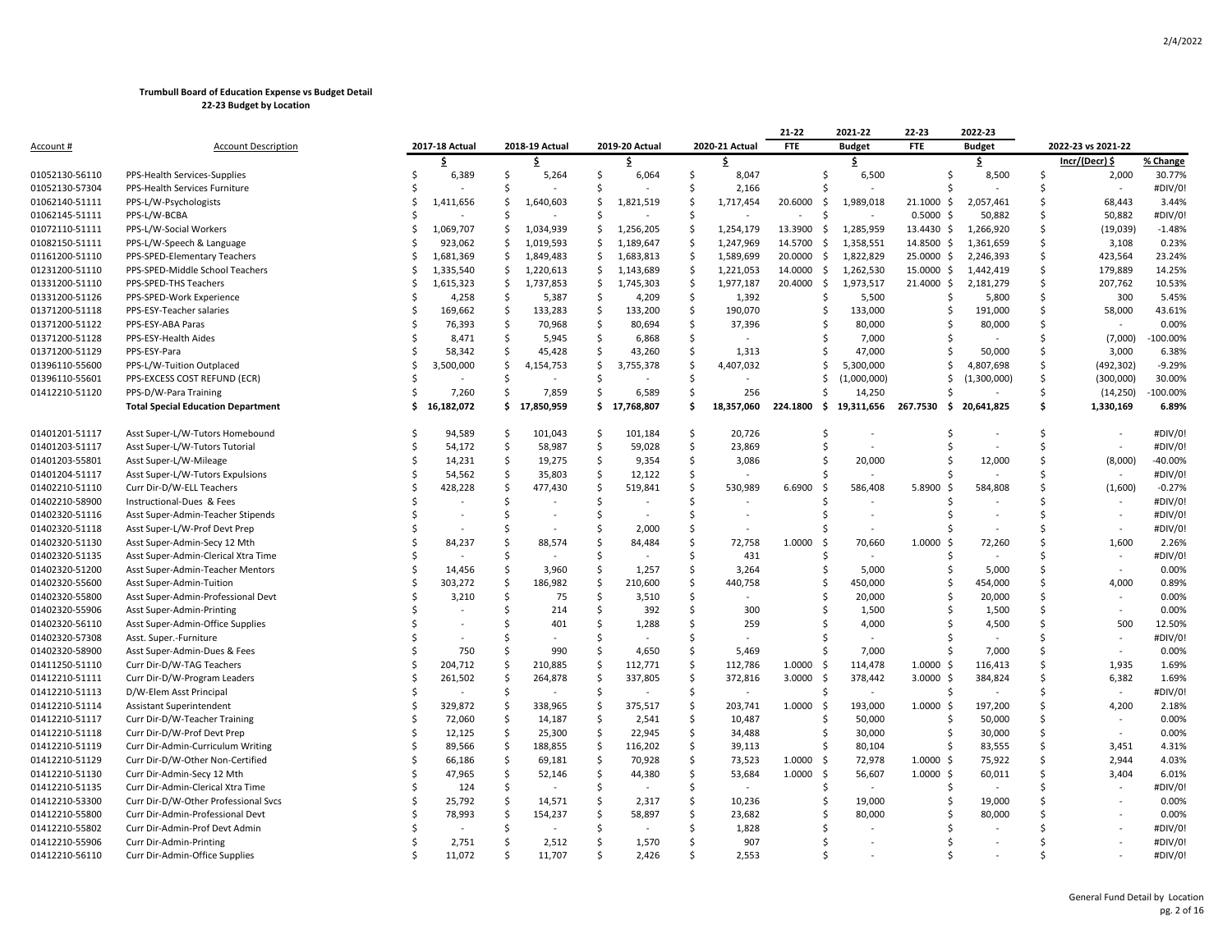|                  |                                           |               |                |                     |                |                     |                |                     |                | 21-22           | 2021-22       | 22-23              | 2022-23               |               |                    |            |
|------------------|-------------------------------------------|---------------|----------------|---------------------|----------------|---------------------|----------------|---------------------|----------------|-----------------|---------------|--------------------|-----------------------|---------------|--------------------|------------|
| <u>Account #</u> | <b>Account Description</b>                |               | 2017-18 Actual |                     | 2018-19 Actual |                     | 2019-20 Actual |                     | 2020-21 Actual | <b>FTE</b>      | <b>Budget</b> | <b>FTE</b>         | <b>Budget</b>         |               | 2022-23 vs 2021-22 |            |
|                  |                                           |               | \$             |                     | \$             |                     | \$.            |                     | \$.            |                 | \$            |                    | \$                    |               | Incr/(Decr) \$     | % Change   |
| 01052130-56110   | PPS-Health Services-Supplies              | Ś             | 6,389          | Ś                   | 5,264          | Ś                   | 6,064          | Ś                   | 8,047          | Ŝ.              | 6,500         |                    | 8,500<br>\$           | <sup>\$</sup> | 2,000              | 30.77%     |
| 01052130-57304   | PPS-Health Services Furniture             | S             |                | .S                  |                | Ŝ.                  |                | Ŝ.                  | 2,166          |                 |               |                    |                       |               |                    | #DIV/0!    |
| 01062140-51111   | PPS-L/W-Psychologists                     | Ś             | 1,411,656      | Ś                   | 1,640,603      | Ś.                  | 1,821,519      | Ś                   | 1,717,454      | 20.6000<br>\$   | 1,989,018     | $21.1000 \text{ }$ | 2,057,461             | Ś             | 68,443             | 3.44%      |
| 01062145-51111   | PPS-L/W-BCBA                              | S,            |                | Ś                   |                | Ś                   |                | Ś                   |                | S.              |               | 0.5000<br>- Ś      | 50,882                | <sup>\$</sup> | 50,882             | #DIV/0!    |
| 01072110-51111   | PPS-L/W-Social Workers                    | Ś             | 1,069,707      | Ś                   | 1,034,939      | Ś.                  | 1,256,205      | Ś                   | 1,254,179      | 13.3900<br>\$   | 1,285,959     | 13.4430 \$         | 1,266,920             | Ś             | (19, 039)          | $-1.48%$   |
| 01082150-51111   | PPS-L/W-Speech & Language                 | Ś             | 923,062        | \$                  | 1,019,593      | \$                  | 1,189,647      | $\mathsf{S}$        | 1,247,969      | 14.5700<br>\$   | 1,358,551     | 14.8500 \$         | 1,361,659             | Ś             | 3,108              | 0.23%      |
| 01161200-51110   | PPS-SPED-Elementary Teachers              | Ś             | 1,681,369      | Ś                   | 1,849,483      | Ś.                  | 1,683,813      | Ś                   | 1,589,699      | 20.0000<br>- \$ | 1,822,829     | 25.0000 \$         | 2,246,393             | Ś             | 423,564            | 23.24%     |
| 01231200-51110   | PPS-SPED-Middle School Teachers           | Ś             | 1,335,540      | \$                  | 1,220,613      | \$                  | 1,143,689      | -\$                 | 1,221,053      | 14.0000<br>S.   | 1,262,530     | 15.0000 \$         | 1,442,419             | Ś             | 179,889            | 14.25%     |
| 01331200-51110   | PPS-SPED-THS Teachers                     | .\$           | 1,615,323      | \$                  | 1,737,853      | \$                  | 1,745,303      | $\ddot{\varsigma}$  | 1,977,187      | 20.4000<br>\$   | 1,973,517     | 21.4000 \$         | 2,181,279             | Ś             | 207,762            | 10.53%     |
| 01331200-51126   | PPS-SPED-Work Experience                  |               | 4,258          | -\$                 | 5,387          | -\$                 | 4,209          | -\$                 | 1,392          | S               | 5,500         |                    | 5,800<br>Ś            | Ś             | 300                | 5.45%      |
| 01371200-51118   | PPS-ESY-Teacher salaries                  | Ś             | 169,662        | $\ddot{\mathsf{S}}$ | 133,283        | $\ddot{\mathsf{S}}$ | 133,200        | $\ddot{\mathsf{S}}$ | 190,070        | S               | 133,000       |                    | 191,000<br>Ś          | Ś             | 58,000             | 43.61%     |
| 01371200-51122   | PPS-ESY-ABA Paras                         | <sup>\$</sup> | 76,393         | Ŝ                   | 70,968         | \$                  | 80,694         | Ś                   | 37,396         |                 | 80,000        |                    | 80,000<br>Ś           | \$            |                    | 0.00%      |
| 01371200-51128   | PPS-ESY-Health Aides                      |               | 8,471          | .s                  | 5,945          | Ŝ.                  | 6,868          | Ŝ.                  |                |                 | 7,000         |                    |                       |               | (7,000)            | -100.00%   |
| 01371200-51129   | PPS-ESY-Para                              |               | 58,342         | -\$                 | 45,428         | Ŝ.                  | 43,260         | Ŝ.                  | 1,313          |                 | 47,000        |                    | 50,000                | <sup>\$</sup> | 3,000              | 6.38%      |
| 01396110-55600   | PPS-L/W-Tuition Outplaced                 | Ś             | 3,500,000      | \$                  | 4,154,753      | \$                  | 3,755,378      | \$                  | 4,407,032      | S               | 5,300,000     |                    | 4,807,698<br>Ś        | \$            | (492, 302)         | $-9.29%$   |
| 01396110-55601   | PPS-EXCESS COST REFUND (ECR)              | Ś             |                | Ś                   |                | Ś                   |                | Ś                   |                |                 | (1,000,000)   |                    | (1,300,000)<br>Ś      | Ś.            | (300,000)          | 30.00%     |
| 01412210-51120   | PPS-D/W-Para Training                     | Ś             | 7,260          | Ś                   | 7,859          | Ś.                  | 6,589          | Ś                   | 256            | $\zeta$         | 14,250        |                    |                       | Ŝ.            | (14, 250)          | $-100.00%$ |
|                  | <b>Total Special Education Department</b> | Ś.            | 16,182,072     |                     | \$17,850,959   |                     | \$17,768,807   | Ś.                  | 18,357,060     | 224.1800<br>- Ś | 19,311,656    | 267.7530           | \$.<br>20,641,825     | Ś             | 1,330,169          | 6.89%      |
| 01401201-51117   | Asst Super-L/W-Tutors Homebound           |               | 94.589         | Ŝ                   | 101,043        | Ŝ.                  | 101,184        | Ŝ.                  | 20,726         | -S              |               |                    | ς                     | \$.           |                    | #DIV/0!    |
| 01401203-51117   | Asst Super-L/W-Tutors Tutorial            | Ś             | 54,172         | \$                  | 58,987         | \$                  | 59,028         | \$                  | 23,869         | Ŝ.              |               |                    | Ś                     | Ŝ.            |                    | #DIV/0!    |
| 01401203-55801   | Asst Super-L/W-Mileage                    | Ś             | 14,231         | \$                  | 19,275         | \$                  | 9,354          | \$                  | 3,086          | .S              | 20,000        |                    | 12,000<br>Ś           | Ś             | (8,000)            | $-40.00%$  |
| 01401204-51117   | Asst Super-L/W-Tutors Expulsions          |               | 54,562         | Ś                   | 35,803         | Ś                   | 12,122         | Ś                   |                |                 |               |                    |                       |               |                    | #DIV/0!    |
| 01402210-51110   | Curr Dir-D/W-ELL Teachers                 |               | 428,228        | $\mathsf{S}$        | 477,430        | $\mathsf{\hat{S}}$  | 519,841        | Ś                   | 530,989        | 6.6900<br>-S    | 586,408       | 5.8900<br>- Ś      | 584,808               |               | (1,600)            | $-0.27%$   |
| 01402210-58900   | Instructional-Dues & Fees                 | Ś             |                | Ś                   |                | Ś                   |                | Ś                   |                |                 |               |                    |                       |               |                    | #DIV/0!    |
| 01402320-51116   | Asst Super-Admin-Teacher Stipends         | ς             |                | Ś                   |                | Ŝ                   |                | Š.                  | $\sim$         |                 | $\sim$        |                    | $\tilde{\phantom{a}}$ |               | $\sim$             | #DIV/0!    |
| 01402320-51118   | Asst Super-L/W-Prof Devt Prep             |               |                | Ś                   |                | Ś                   | 2,000          | Ś                   |                |                 |               |                    |                       | ς             |                    | #DIV/0!    |
| 01402320-51130   | Asst Super-Admin-Secy 12 Mth              | Ś             | 84,237         | Ś                   | 88,574         | Ś                   | 84,484         | Ś                   | 72,758         | 1.0000<br>-Ś    | 70,660        | 1.0000<br>-Ś       | 72,260                | Ś             | 1,600              | 2.26%      |
| 01402320-51135   | Asst Super-Admin-Clerical Xtra Time       |               |                | Ś                   |                | Ś                   |                | Ś                   | 431            |                 |               |                    |                       | ς             | $\sim$             | #DIV/0!    |
| 01402320-51200   | Asst Super-Admin-Teacher Mentors          | Ś             | 14,456         | Ś                   | 3,960          | Ś                   | 1,257          | Ś                   | 3,264          | Ŝ.              | 5,000         |                    | 5,000<br>Ś            | Ś             | $\sim$             | 0.00%      |
| 01402320-55600   | Asst Super-Admin-Tuition                  |               | 303,272        | Ŝ                   | 186,982        | Ś                   | 210,600        | Ŝ                   | 440,758        | -S              | 450,000       |                    | ς<br>454,000          | \$            | 4,000              | 0.89%      |
| 01402320-55800   | Asst Super-Admin-Professional Devt        |               | 3,210          | $\mathsf{S}$        | 75             | $\mathsf{\hat{S}}$  | 3,510          | \$                  |                |                 | 20,000        |                    | 20,000<br>Ś           | Ś             |                    | 0.00%      |
| 01402320-55906   | Asst Super-Admin-Printing                 |               |                | Ś                   | 214            | Ś                   | 392            | Ś                   | 300            | -S              | 1,500         |                    | 1,500                 | Ś             | $\sim$             | 0.00%      |
| 01402320-56110   | Asst Super-Admin-Office Supplies          |               |                | Ś                   | 401            | Ś                   | 1,288          | Ś                   | 259            |                 | 4,000         |                    | 4,500                 | Ś             | 500                | 12.50%     |
| 01402320-57308   | Asst. Super.-Furniture                    | ς             |                | Ś                   |                | Ś                   |                | Ŝ                   |                |                 |               |                    |                       | ς             |                    | #DIV/0!    |
| 01402320-58900   | Asst Super-Admin-Dues & Fees              |               | 750            | Ś                   | 990            | Ŝ.                  | 4,650          | Ŝ.                  | 5,469          | -S              | 7,000         |                    | 7,000                 | ς             | ÷,                 | 0.00%      |
| 01411250-51110   | Curr Dir-D/W-TAG Teachers                 | Ŝ             | 204,712        | \$                  | 210,885        | \$                  | 112,771        | \$                  | 112,786        | 1.0000<br>\$    | 114,478       | 1.0000<br>-\$      | 116,413               | Ś             | 1,935              | 1.69%      |
| 01412210-51111   | Curr Dir-D/W-Program Leaders              | Ś             | 261,502        | $\mathsf{S}$        | 264,878        | $\mathsf{\hat{S}}$  | 337,805        | Ś                   | 372,816        | 3.0000<br>-\$   | 378,442       | $3.0000$ \$        | 384,824               | Ś             | 6,382              | 1.69%      |
| 01412210-51113   | D/W-Elem Asst Principal                   | Ś             |                | Ś                   |                | Ś                   |                | Ś                   |                |                 |               |                    |                       |               |                    | #DIV/0!    |
| 01412210-51114   | Assistant Superintendent                  | Ś             | 329,872        | $\mathsf{S}$        | 338,965        | $\mathsf{\hat{S}}$  | 375,517        | Ś                   | 203,741        | 1.0000<br>-S    | 193,000       | $1.0000$ \$        | 197,200               | Ś             | 4,200              | 2.18%      |
| 01412210-51117   | Curr Dir-D/W-Teacher Training             |               | 72,060         | Ś                   | 14,187         | Ś                   | 2,541          | Ś                   | 10,487         | -S              | 50,000        |                    | 50,000<br>Ś           | Ś             | $\sim$             | 0.00%      |
| 01412210-51118   | Curr Dir-D/W-Prof Devt Prep               | Ś             | 12,125         | $\ddot{\mathsf{S}}$ | 25,300         | $\varsigma$         | 22,945         | $\mathsf{\hat{S}}$  | 34,488         | \$              | 30,000        |                    | Ś<br>30,000           | Ś             | $\sim$             | 0.00%      |
| 01412210-51119   | Curr Dir-Admin-Curriculum Writing         | Ś             | 89,566         | $\ddot{\mathsf{S}}$ | 188,855        | $\ddot{\mathsf{S}}$ | 116,202        | Ś                   | 39,113         | Ŝ.              | 80,104        | Ś                  | 83,555                | Ś             | 3,451              | 4.31%      |
| 01412210-51129   | Curr Dir-D/W-Other Non-Certified          | Ś             | 66,186         | \$                  | 69,181         | \$                  | 70,928         | Ś                   | 73,523         | 1.0000<br>Ŝ.    | 72,978        | 1.0000<br>-\$      | 75,922                | Ś             | 2,944              | 4.03%      |
| 01412210-51130   | Curr Dir-Admin-Secy 12 Mth                | Ś             | 47,965         | Ś                   | 52,146         | $\mathsf{\hat{S}}$  | 44,380         | Ś                   | 53,684         | 1.0000<br>-\$   | 56,607        | $1.0000$ \$        | 60,011                | Ś             | 3,404              | 6.01%      |
| 01412210-51135   | Curr Dir-Admin-Clerical Xtra Time         | Ś             | 124            | \$                  |                | Ś                   |                | Ś                   |                |                 |               |                    |                       |               |                    | #DIV/0!    |
| 01412210-53300   | Curr Dir-D/W-Other Professional Svcs      | Ś             | 25,792         | Ś                   | 14,571         | Ś                   | 2,317          | Ś                   | 10,236         | Ŝ.              | 19,000        |                    | Ś<br>19,000           | ς             |                    | 0.00%      |
| 01412210-55800   | Curr Dir-Admin-Professional Devt          | Ś             | 78,993         | \$                  | 154,237        | Ś                   | 58,897         | Ś                   | 23,682         |                 | 80,000        |                    | 80,000                |               |                    | 0.00%      |
| 01412210-55802   | Curr Dir-Admin-Prof Devt Admin            |               |                |                     |                | Ś                   |                |                     | 1,828          |                 |               |                    |                       |               |                    | #DIV/0!    |
| 01412210-55906   | Curr Dir-Admin-Printing                   |               | 2,751          | Ś                   | 2,512          | Ś                   | 1,570          | Ś                   | 907            |                 |               |                    |                       |               |                    | #DIV/0!    |
| 01412210-56110   | Curr Dir-Admin-Office Supplies            |               | 11.072         | ς                   | 11.707         | ς                   | 2.426          | ς                   | 2.553          |                 |               |                    |                       |               |                    | #DIV/0!    |
|                  |                                           |               |                |                     |                |                     |                |                     |                |                 |               |                    |                       |               |                    |            |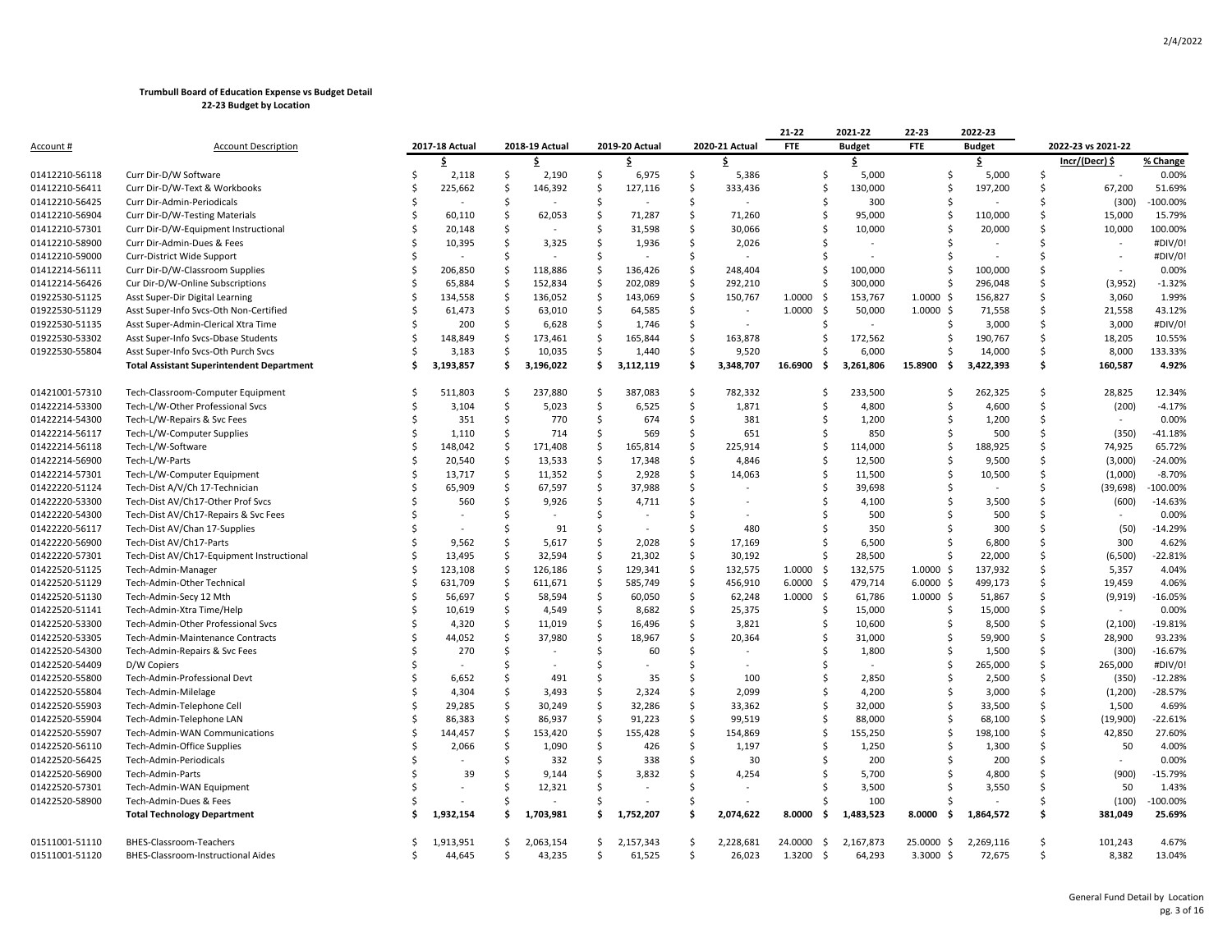|                |                                                  |   |                |                     |                |               |                |                    |                | 21-22          | 2021-22       | 22-23                | 2022-23       |         |                    |           |
|----------------|--------------------------------------------------|---|----------------|---------------------|----------------|---------------|----------------|--------------------|----------------|----------------|---------------|----------------------|---------------|---------|--------------------|-----------|
| Account #      | <b>Account Description</b>                       |   | 2017-18 Actual |                     | 2018-19 Actual |               | 2019-20 Actual |                    | 2020-21 Actual | <b>FTE</b>     | <b>Budget</b> | FTE                  | <b>Budget</b> |         | 2022-23 vs 2021-22 |           |
|                |                                                  |   | \$             |                     | \$             |               | \$             |                    | \$             |                | \$            |                      | \$.           |         | Incr/(Decr) \$     | % Change  |
| 01412210-56118 | Curr Dir-D/W Software                            | Ś | 2,118          | \$                  | 2,190          | \$            | 6,975          | \$                 | 5,386          | \$             | 5,000         | \$                   | 5,000         | \$      |                    | 0.00%     |
| 01412210-56411 | Curr Dir-D/W-Text & Workbooks                    | Ś | 225,662        | -\$                 | 146,392        | <sub>S</sub>  | 127,116        | \$                 | 333,436        | Ś              | 130,000       | Ś                    | 197,200       | Ŝ       | 67,200             | 51.69%    |
| 01412210-56425 | Curr Dir-Admin-Periodicals                       |   |                | Ś                   |                | -Ś            |                | Ŝ.                 |                | Ś              | 300           | Ś                    |               | Ś       | (300)              | -100.00%  |
| 01412210-56904 | Curr Dir-D/W-Testing Materials                   | Ś | 60,110         | $\zeta$             | 62,053         | $\mathsf{S}$  | 71,287         | $\mathsf{\hat{S}}$ | 71,260         | Ś              | 95,000        | Ś                    | 110,000       | $\zeta$ | 15,000             | 15.79%    |
| 01412210-57301 | Curr Dir-D/W-Equipment Instructional             |   | 20,148         | Ŝ                   |                | Ś.            | 31,598         | $\mathsf{\hat{S}}$ | 30,066         | Ś              | 10,000        | Ś                    | 20,000        | Ś       | 10,000             | 100.00%   |
| 01412210-58900 | Curr Dir-Admin-Dues & Fees                       |   | 10,395         | Ś                   | 3,325          | Ś             | 1,936          | \$                 | 2,026          |                |               |                      |               | Ś       |                    | #DIV/0!   |
| 01412210-59000 | Curr-District Wide Support                       | ς |                | Ś                   |                | -Ś            |                | Ŝ.                 |                |                |               |                      |               | Ś       |                    | #DIV/0!   |
| 01412214-56111 | Curr Dir-D/W-Classroom Supplies                  | Ś | 206,850        | <sup>5</sup>        | 118,886        | -Ś            | 136,426        | Ŝ.                 | 248,404        | Ŝ.             | 100,000       | S                    | 100,000       | Ś       |                    | 0.00%     |
| 01412214-56426 | Cur Dir-D/W-Online Subscriptions                 | Ś | 65,884         | <sub>\$</sub>       | 152,834        | $\mathsf{S}$  | 202,089        | $\mathsf{\hat{S}}$ | 292,210        | Ś              | 300,000       | Ś                    | 296,048       | \$      | (3,952)            | $-1.32%$  |
| 01922530-51125 | Asst Super-Dir Digital Learning                  | Ś | 134,558        | $\ddot{\varsigma}$  | 136,052        | $\mathsf{S}$  | 143,069        | $\mathsf{\hat{S}}$ | 150,767        | 1.0000<br>-\$  | 153,767       | $1.0000 \,$ \$       | 156,827       | Ś       | 3,060              | 1.99%     |
| 01922530-51129 | Asst Super-Info Svcs-Oth Non-Certified           | Ś | 61,473         | -\$                 | 63,010         | \$            | 64,585         | \$                 |                | 1.0000<br>-\$  | 50,000        | $1.0000 \;$ \$       | 71,558        | Ś       | 21,558             | 43.12%    |
| 01922530-51135 | Asst Super-Admin-Clerical Xtra Time              | Ś | 200            | -\$                 | 6,628          | \$            | 1,746          | $\mathsf{\hat{S}}$ |                | Ŝ.             |               | S                    | 3,000         | Ś       | 3,000              | #DIV/0!   |
| 01922530-53302 | Asst Super-Info Svcs-Dbase Students              | Ś | 148,849        | \$                  | 173,461        | -\$           | 165,844        | S.                 | 163,878        | \$             | 172,562       | \$                   | 190,767       | \$      | 18,205             | 10.55%    |
| 01922530-55804 | Asst Super-Info Svcs-Oth Purch Svcs              | Ś | 3,183          | $\ddot{\mathsf{S}}$ | 10,035         | $\mathsf{S}$  | 1,440          | \$                 | 9,520          | Ś              | 6,000         | S                    | 14,000        | $\zeta$ | 8,000              | 133.33%   |
|                | <b>Total Assistant Superintendent Department</b> | Ś | 3,193,857      | \$.                 | 3,196,022      | \$            | 3,112,119      | Ś.                 | 3,348,707      | 16.6900<br>-\$ | 3,261,806     | 15.8900<br>-\$       | 3,422,393     | Ś       | 160,587            | 4.92%     |
|                |                                                  |   |                |                     |                |               |                |                    |                |                |               |                      |               |         |                    |           |
| 01421001-57310 | Tech-Classroom-Computer Equipment                | ς | 511,803        | \$                  | 237,880        | -Ś            | 387,083        | $\mathsf{\hat{S}}$ | 782,332        | Ś              | 233,500       | Ś                    | 262,325       | \$      | 28,825             | 12.34%    |
| 01422214-53300 | Tech-L/W-Other Professional Svcs                 |   | 3,104          | -Ś                  | 5,023          | -\$           | 6,525          | $\mathsf{\hat{S}}$ | 1,871          | Ŝ              | 4,800         | Ś                    | 4,600         | \$      | (200)              | $-4.17%$  |
| 01422214-54300 | Tech-L/W-Repairs & Svc Fees                      |   | 351            | -\$                 | 770            | $\mathsf{S}$  | 674            | \$                 | 381            | Ś              | 1,200         | Ś                    | 1,200         | Ś       | $\sim$             | 0.00%     |
| 01422214-56117 | Tech-L/W-Computer Supplies                       | Ś | 1,110          | S.                  | 714            | S.            | 569            | Ŝ.                 | 651            | Ś              | 850           | Ś                    | 500           | Ś       | (350)              | $-41.18%$ |
| 01422214-56118 | Tech-L/W-Software                                | Ś | 148,042        | <sup>5</sup>        | 171,408        | -Ś            | 165,814        | Ŝ.                 | 225,914        | Ś              | 114,000       | S                    | 188,925       | Ś       | 74,925             | 65.72%    |
| 01422214-56900 | Tech-L/W-Parts                                   | Ś | 20,540         | $\ddot{\varsigma}$  | 13,533         | $\mathsf{S}$  | 17,348         | $\mathsf{\hat{S}}$ | 4,846          | \$             | 12,500        | Ś                    | 9,500         | \$      | (3,000)            | $-24.00%$ |
| 01422214-57301 | Tech-L/W-Computer Equipment                      | Ś | 13,717         | <sub>\$</sub>       | 11,352         | $\mathsf{S}$  | 2,928          | Ŝ.                 | 14,063         | Ś              | 11,500        | Ś                    | 10,500        | Ś       | (1,000)            | $-8.70%$  |
| 01422220-51124 | Tech-Dist A/V/Ch 17-Technician                   |   | 65,909         | \$                  | 67,597         | \$            | 37,988         | Ŝ.                 |                | Ś              | 39,698        | Ś                    |               | Ś       | (39, 698)          | -100.00%  |
| 01422220-53300 | Tech-Dist AV/Ch17-Other Prof Svcs                | ς | 560            | Ŝ.                  | 9,926          | -Ś            | 4,711          | Ŝ.                 |                | Ś              | 4,100         | S                    | 3,500         | Ś       | (600)              | $-14.63%$ |
| 01422220-54300 | Tech-Dist AV/Ch17-Repairs & Svc Fees             |   |                | Ś                   |                | -Ś            |                | Ŝ.                 |                | Ś              | 500           | S                    | 500           | Ś       |                    | 0.00%     |
| 01422220-56117 | Tech-Dist AV/Chan 17-Supplies                    |   |                | Ś                   | 91             | S.            |                | Ŝ.                 | 480            | Ś              | 350           | S                    | 300           | $\zeta$ | (50)               | $-14.29%$ |
| 01422220-56900 | Tech-Dist AV/Ch17-Parts                          | Ś | 9,562          | Ś                   | 5,617          | Ś.            | 2,028          | Ŝ.                 | 17,169         | Ś              | 6,500         | Ś                    | 6,800         | Ś       | 300                | 4.62%     |
| 01422220-57301 | Tech-Dist AV/Ch17-Equipment Instructional        |   | 13,495         | <sup>5</sup>        | 32,594         | Ś.            | 21,302         | Ŝ.                 | 30,192         | Ś              | 28,500        | Ś                    | 22,000        | Ś       | (6,500)            | $-22.81%$ |
| 01422520-51125 | Tech-Admin-Manager                               | Ś | 123,108        | S.                  | 126,186        | Ś.            | 129,341        | Ŝ.                 | 132,575        | 1.0000<br>-\$  | 132,575       | $1.0000 \,$ \$       | 137,932       | Ś       | 5,357              | 4.04%     |
| 01422520-51129 | Tech-Admin-Other Technical                       | ς | 631,709        | \$                  | 611,671        | $\zeta$       | 585,749        | \$                 | 456,910        | 6.0000<br>-\$  | 479,714       | $6.0000$ \$          | 499,173       | \$      | 19,459             | 4.06%     |
| 01422520-51130 |                                                  | Ś | 56,697         | $\ddot{\varsigma}$  | 58,594         | \$            | 60,050         | $\mathsf{\hat{S}}$ | 62,248         | 1.0000<br>-\$  | 61,786        | $1.0000 \; \text{S}$ | 51,867        | Ś       | (9, 919)           | $-16.05%$ |
|                | Tech-Admin-Secy 12 Mth                           |   |                |                     |                |               |                |                    |                |                |               |                      |               | Ś       |                    |           |
| 01422520-51141 | Tech-Admin-Xtra Time/Help                        | Ś | 10,619         | $\ddot{\varsigma}$  | 4,549          | \$            | 8,682          | $\mathsf{\hat{S}}$ | 25,375         | Ś              | 15,000        | Ś                    | 15,000        |         |                    | 0.00%     |
| 01422520-53300 | Tech-Admin-Other Professional Svcs               | Ś | 4,320          | Ś                   | 11,019         | -Ś            | 16,496         | Ŝ.                 | 3,821          | Ŝ              | 10,600        | Ś                    | 8,500         | Ŝ       | (2, 100)           | $-19.81%$ |
| 01422520-53305 | Tech-Admin-Maintenance Contracts                 | Ś | 44,052         | $\ddot{\varsigma}$  | 37,980         | \$            | 18,967         | Ŝ.                 | 20,364         | Ś              | 31,000        | Ś                    | 59,900        | Ŝ       | 28,900             | 93.23%    |
| 01422520-54300 | Tech-Admin-Repairs & Svc Fees                    | Ś | 270            | Ś                   |                | Ś.            | 60             | Ŝ.                 |                | Ś              | 1,800         | Ś                    | 1,500         | Ś       | (300)              | $-16.67%$ |
| 01422520-54409 | D/W Copiers                                      |   |                | Ś                   |                | -Ś            |                | Ŝ.                 |                | Ś              |               | Ś                    | 265,000       | Ś       | 265,000            | #DIV/0!   |
| 01422520-55800 | Tech-Admin-Professional Devt                     |   | 6,652          | Ś.                  | 491            | Ś             | 35             | <sup>\$</sup>      | 100            | Ś              | 2,850         | Ś                    | 2,500         | Ś       | (350)              | $-12.28%$ |
| 01422520-55804 | Tech-Admin-Milelage                              |   | 4,304          | Ś                   | 3,493          | -Ś            | 2,324          | Ŝ.                 | 2,099          | Ś              | 4,200         | Ś                    | 3,000         | Ŝ       | (1,200)            | $-28.57%$ |
| 01422520-55903 | Tech-Admin-Telephone Cell                        | Ś | 29,285         | $\ddot{\varsigma}$  | 30,249         | $\mathsf{S}$  | 32,286         | $\mathsf{\hat{S}}$ | 33,362         | Ś              | 32,000        | S                    | 33,500        | \$      | 1,500              | 4.69%     |
| 01422520-55904 | Tech-Admin-Telephone LAN                         | Ś | 86,383         | $\ddot{\varsigma}$  | 86,937         | $\mathsf{S}$  | 91,223         | Ŝ.                 | 99,519         | Ś              | 88,000        | Ś                    | 68,100        | Ś       | (19,900)           | $-22.61%$ |
| 01422520-55907 | Tech-Admin-WAN Communications                    |   | 144,457        | -\$                 | 153,420        | $\mathsf{S}$  | 155,428        | Ŝ.                 | 154,869        | Ś              | 155,250       | Ś                    | 198,100       | Ś       | 42,850             | 27.60%    |
| 01422520-56110 | Tech-Admin-Office Supplies                       |   | 2,066          | <sub>S</sub>        | 1,090          | <sub>S</sub>  | 426            | $\mathsf{\hat{S}}$ | 1,197          | Ś              | 1,250         | S                    | 1,300         | Ś       | 50                 | 4.00%     |
| 01422520-56425 | Tech-Admin-Periodicals                           |   |                | Ś                   | 332            | -Ś            | 338            | Ŝ.                 | 30             | Ś              | 200           | S                    | 200           | Ś       |                    | 0.00%     |
| 01422520-56900 | Tech-Admin-Parts                                 |   | 39             | Ŝ                   | 9,144          | S.            | 3,832          | Ŝ.                 | 4,254          | Ś              | 5,700         |                      | 4,800         | Ś       | (900)              | $-15.79%$ |
| 01422520-57301 | Tech-Admin-WAN Equipment                         |   |                | Ś                   | 12,321         | Ś             |                | <sup>\$</sup>      |                | Ś              | 3,500         | Ś                    | 3,550         | Ś       | 50                 | 1.43%     |
| 01422520-58900 | Tech-Admin-Dues & Fees                           |   |                | Ś                   |                |               |                | -Ś                 |                |                | 100           |                      |               | Ś       | (100)              | -100.00%  |
|                | <b>Total Technology Department</b>               | s | 1,932,154      | Ŝ                   | 1,703,981      | Ŝ             | 1,752,207      | . Ś                | 2,074,622      | 8.0000<br>-\$  | 1,483,523     | 8.0000<br>\$.        | 1,864,572     | \$      | 381,049            | 25.69%    |
| 01511001-51110 | BHES-Classroom-Teachers                          |   | 1,913,951      | Š.                  | 2,063,154      | Ŝ             | 2,157,343      | Ŝ.                 | 2,228,681      | 24.0000<br>-\$ | 2,167,873     | 25.0000 \$           | 2,269,116     | \$      | 101,243            | 4.67%     |
| 01511001-51120 | BHES-Classroom-Instructional Aides               | ς | 44,645         | \$                  | 43,235         | <sup>\$</sup> | 61,525         | \$                 | 26,023         | 1.3200<br>- Ś  | 64,293        | 3.3000 \$            | 72,675        | Ś.      | 8,382              | 13.04%    |
|                |                                                  |   |                |                     |                |               |                |                    |                |                |               |                      |               |         |                    |           |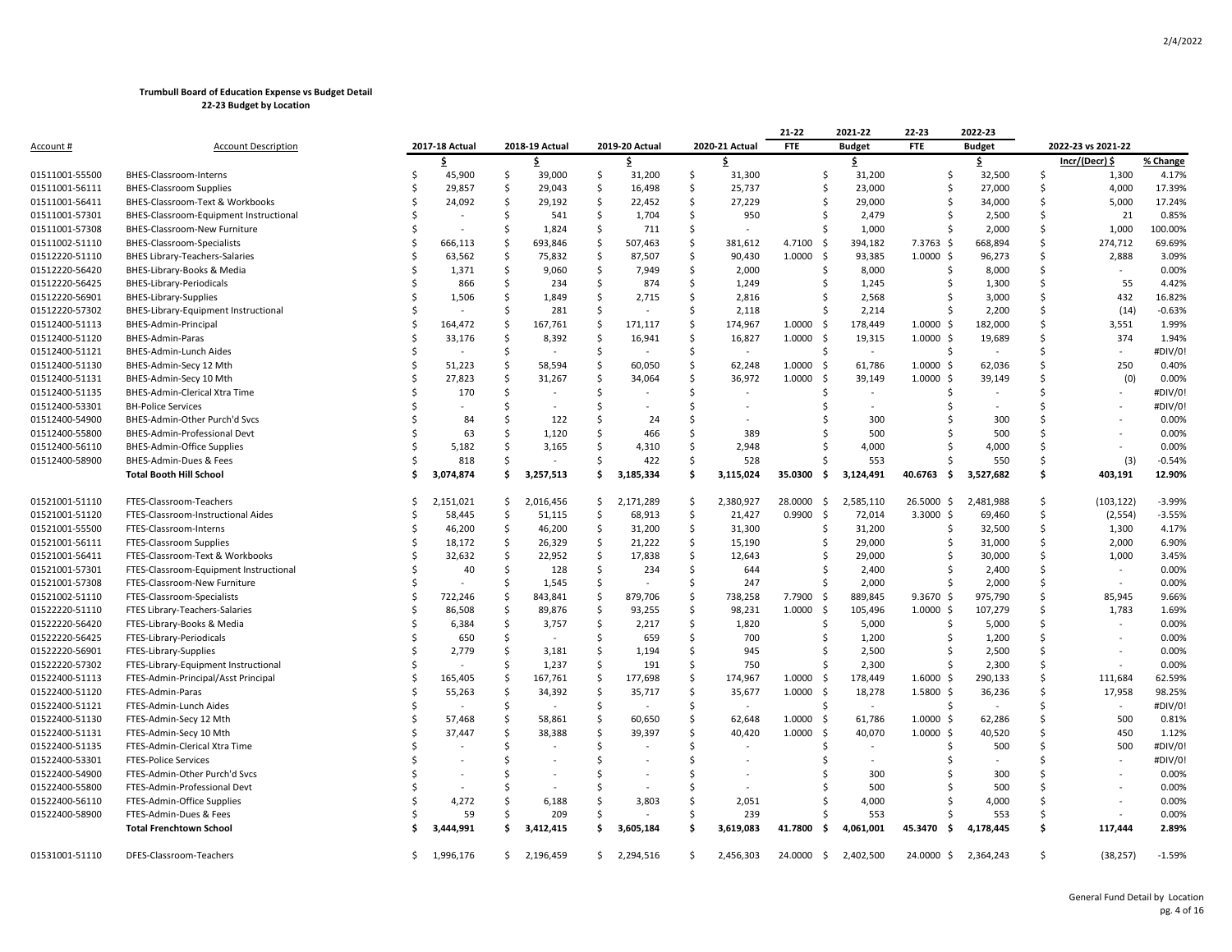|                                  |                                                            |    |                |     |                |      |                |                    |                | 21-22           | 2021-22       | 22-23          | 2022-23              |               |                    |          |
|----------------------------------|------------------------------------------------------------|----|----------------|-----|----------------|------|----------------|--------------------|----------------|-----------------|---------------|----------------|----------------------|---------------|--------------------|----------|
| Account #                        | <b>Account Description</b>                                 |    | 2017-18 Actual |     | 2018-19 Actual |      | 2019-20 Actual |                    | 2020-21 Actual | <b>FTE</b>      | <b>Budget</b> | <b>FTE</b>     | <b>Budget</b>        |               | 2022-23 vs 2021-22 |          |
|                                  |                                                            |    | \$             |     | .\$            |      | \$.            |                    | S              |                 | \$            |                | \$                   |               | lncr/(Decr) \      | % Change |
| 01511001-55500                   | BHES-Classroom-Interns                                     |    | 45,900         | \$  | 39,000         | -\$  | 31,200         | -\$                | 31,300         |                 | 31,200<br>\$  | Ŝ.             | 32,500               | \$            | 1,300              | 4.17%    |
| 01511001-56111                   | <b>BHES-Classroom Supplies</b>                             |    | 29,857         | -Ś  | 29,043         | Ŝ.   | 16,498         | Ŝ.                 | 25,737         |                 | 23,000<br>Ŝ.  | Ŝ.             | 27,000               | Ŝ.            | 4,000              | 17.39%   |
| 01511001-56411                   | BHES-Classroom-Text & Workbooks                            |    | 24,092         | -Ś  | 29,192         | -Ś   | 22,452         | -\$                | 27,229         | S               | 29,000        |                | 34,000               | Ŝ.            | 5,000              | 17.24%   |
| 01511001-57301                   | BHES-Classroom-Equipment Instructional                     |    |                | Ŝ.  | 541            | \$   | 1,704          | S.                 | 950            |                 | 2,479         |                | 2,500                | Ŝ             | 21                 | 0.85%    |
| 01511001-57308                   | BHES-Classroom-New Furniture                               |    |                | -\$ | 1,824          | \$   | 711            | .s                 |                | Ŝ.              | 1,000         | -S             | 2,000                | Ŝ             | 1,000              | 100.00%  |
| 01511002-51110                   | BHES-Classroom-Specialists                                 |    | 666,113        | -S  | 693,846        | \$   | 507,463        | Ŝ.                 | 381,612        | 4.7100<br>- \$  | 394,182       | 7.3763 \$      | 668,894              | Ś.            | 274,712            | 69.69%   |
| 01512220-51110                   | <b>BHES Library-Teachers-Salaries</b>                      |    | 63,562         | -Ś  | 75,832         | -\$  | 87,507         | .s                 | 90,430         | 1.0000<br>- \$  | 93,385        | $1.0000 \;$ \$ | 96,273               | .s            | 2,888              | 3.09%    |
| 01512220-56420                   | BHES-Library-Books & Media                                 |    | 1,371          | -S  | 9,060          | -\$  | 7,949          | -S                 | 2,000          | S               | 8,000         |                | 8,000                | Ŝ.            |                    | 0.00%    |
| 01512220-56425                   | <b>BHES-Library-Periodicals</b>                            |    | 866            | -\$ | 234            | \$   | 874            | \$                 | 1,249          | Ŝ               | 1,245         | Ŝ.             | 1,300                | Ŝ             | 55                 | 4.42%    |
| 01512220-56901                   | <b>BHES-Library-Supplies</b>                               |    | 1,506          | Ś   | 1,849          | .\$  | 2,715          | Ŝ.                 | 2,816          | Ŝ               | 2,568         |                | 3,000                | Ŝ             | 432                | 16.82%   |
| 01512220-57302                   | BHES-Library-Equipment Instructional                       |    |                | -Ś  | 281            | -\$  |                | .s                 | 2,118          | S               | 2,214         |                | 2,200                | Ŝ             | (14)               | $-0.63%$ |
| 01512400-51113                   | BHES-Admin-Principal                                       |    | 164,472        | -S  | 167,761        | -\$  | 171,117        | .s                 | 174,967        | 1.0000<br>- \$  | 178,449       | $1.0000 \;$ \$ | 182,000              | Ŝ.            | 3,551              | 1.99%    |
| 01512400-51120                   | BHES-Admin-Paras                                           |    | 33,176         | -\$ | 8,392          | -\$  | 16,941         | S,                 | 16,827         | 1.0000<br>- \$  | 19,315        | $1.0000$ \$    | 19,689               | .s            | 374                | 1.94%    |
| 01512400-51121                   | BHES-Admin-Lunch Aides                                     |    |                | -\$ |                | \$   |                | -\$                | $\sim$         | Ŝ               | $\sim$        | Ŝ.             |                      | Ŝ             |                    | #DIV/0!  |
| 01512400-51130                   | BHES-Admin-Secy 12 Mth                                     |    | 51,223         | -\$ | 58,594         | S.   | 60,050         | Ŝ.                 | 62,248         | 1.0000<br>- \$  | 61,786        | $1.0000$ \$    | 62,036               | Ŝ.            | 250                | 0.40%    |
| 01512400-51131                   | BHES-Admin-Secy 10 Mth                                     |    | 27,823         | -S  | 31,267         | -S   | 34,064         | .s                 | 36,972         | 1.0000<br>- \$  | 39,149        | $1.0000 \;$ \$ | 39,149               |               | (0)                | 0.00%    |
| 01512400-51135                   | BHES-Admin-Clerical Xtra Time                              |    | 170            | -\$ |                | -Ś   |                | <sup>5</sup>       |                |                 |               |                |                      |               |                    | #DIV/0!  |
| 01512400-53301                   | <b>BH-Police Services</b>                                  |    |                | -S  |                | -Ś   |                | Ŝ                  |                |                 |               |                |                      |               |                    | #DIV/0!  |
| 01512400-54900                   | BHES-Admin-Other Purch'd Svcs                              |    | 84             | Ś   | 122            | -Ś   | 24             | Ś                  |                |                 | 300           |                | 300                  |               |                    | 0.00%    |
| 01512400-55800                   | BHES-Admin-Professional Devt                               |    | 63             | Ś   | 1,120          | Ś    | 466            | .s                 | 389            |                 | 500           |                | 500                  | Ŝ.            |                    | 0.00%    |
| 01512400-56110                   | <b>BHES-Admin-Office Supplies</b>                          |    | 5,182          |     | 3,165          | S    | 4,310          | -Ś                 | 2,948          |                 | 4,000         |                | 4,000                | Ŝ.            |                    | 0.00%    |
| 01512400-58900                   | BHES-Admin-Dues & Fees                                     |    | 818            | Ś   |                | Ś    | 422            | S.                 | 528            |                 | 553           |                | 550                  | Ŝ             | (3)                | $-0.54%$ |
|                                  | <b>Total Booth Hill School</b>                             |    | 3,074,874      | \$  | 3,257,513      | . Ś  | 3,185,334      | -\$                | 3,115,024      | 35.0300<br>- \$ | 3,124,491     | 40.6763<br>\$. | 3,527,682            | \$            | 403,191            | 12.90%   |
|                                  |                                                            |    |                |     |                |      |                |                    |                |                 |               |                |                      |               |                    |          |
| 01521001-51110                   | FTES-Classroom-Teachers                                    |    | 2,151,021      | -S  | 2,016,456      | -S   | 2,171,289      | -\$                | 2,380,927      | 28.0000<br>- \$ | 2,585,110     | 26.5000 \$     | 2,481,988            | Ŝ.            | (103, 122)         | $-3.99%$ |
| 01521001-51120                   | FTES-Classroom-Instructional Aides                         |    | 58,445         | -Ś  | 51,115         | -\$  | 68,913         | -\$                | 21,427         | 0.9900<br>- \$  | 72,014        | $3.3000$ \$    | 69,460               | Ŝ.            | (2, 554)           | $-3.55%$ |
| 01521001-55500                   | FTES-Classroom-Interns                                     |    | 46,200         | -\$ | 46,200         | \$   | 31,200         | \$                 | 31,300         |                 | 31,200<br>Ŝ.  | .s             | 32,500               | \$            | 1,300              | 4.17%    |
| 01521001-56111                   | FTES-Classroom Supplies                                    |    | 18,172         | -\$ | 26,329         | S.   | 21,222         | Ŝ.                 | 15,190         | Ŝ               | 29,000        | Ŝ.             | 31,000               | Ŝ             | 2,000              | 6.90%    |
| 01521001-56411                   | FTES-Classroom-Text & Workbooks                            |    | 32,632         | Ŝ.  | 22,952         | \$   | 17,838         | -\$                | 12,643         | S               | 29,000        |                | 30,000               | S.            | 1,000              | 3.45%    |
| 01521001-57301                   | FTES-Classroom-Equipment Instructional                     |    | 40             | Ŝ.  | 128            | - Ś  | 234            | -\$                | 644            | .S              | 2,400         |                | 2,400                | Ŝ.            |                    | 0.00%    |
| 01521001-57308                   | FTES-Classroom-New Furniture                               |    |                | -\$ | 1,545          | - \$ |                | -S                 | 247            | Ŝ               | 2,000         |                | 2,000                | \$            | $\sim$             | 0.00%    |
| 01521002-51110                   | FTES-Classroom-Specialists                                 |    | 722,246        | -\$ | 843,841        | S.   | 879,706        | S.                 | 738,258        | 7.7900<br>-\$   | 889,845       | $9.3670 \;$ \$ | 975,790              | Ŝ             | 85,945             | 9.66%    |
| 01522220-51110                   | FTES Library-Teachers-Salaries                             |    | 86,508         | -\$ | 89,876         | S.   | 93,255         | $\mathsf{\hat{S}}$ | 98,231         | 1.0000<br>- \$  | 105,496       | $1.0000$ \$    | 107,279              | Ŝ             | 1,783              | 1.69%    |
| 01522220-56420                   | FTES-Library-Books & Media                                 |    | 6,384          | -S  | 3,757          | -Ś   | 2,217          | .s                 | 1,820          | S               | 5,000         |                | 5,000                | Ŝ.            | $\sim$             | 0.00%    |
| 01522220-56425                   | FTES-Library-Periodicals                                   |    | 650            | Ŝ.  |                | .\$  | 659            | -\$                | 700            | S               | 1,200         |                | 1,200                | Ŝ.            |                    | 0.00%    |
| 01522220-56901                   | FTES-Library-Supplies                                      |    | 2,779          | -\$ | 3,181          | -\$  | 1,194          | .s                 | 945            | S               | 2,500         |                | 2,500                | Ś             |                    | 0.00%    |
| 01522220-57302                   | FTES-Library-Equipment Instructional                       |    |                | Ś   | 1,237          | S.   | 191            | Ŝ.                 | 750            | Ŝ.              | 2,300         |                | 2,300                | Ŝ             |                    | 0.00%    |
| 01522400-51113                   | FTES-Admin-Principal/Asst Principal                        |    | 165,405        | -S  | 167,761        | \$   | 177,698        | Ŝ.                 | 174,967        | 1.0000<br>\$    | 178,449       | $1.6000$ \$    | 290,133              | Ŝ.            | 111,684            | 62.59%   |
| 01522400-51120                   | FTES-Admin-Paras                                           |    | 55,263         | -S  | 34,392         | - Ś  | 35,717         | .s                 | 35,677         | 1.0000<br>-\$   | 18,278        | 1.5800 \$      | 36,236               | .s            | 17,958             | 98.25%   |
| 01522400-51121                   | FTES-Admin-Lunch Aides                                     |    |                | -\$ |                | S.   |                | S.                 |                | Ŝ.              | $\sim$        | S.             |                      | Ŝ.            |                    | #DIV/0!  |
| 01522400-51130                   | FTES-Admin-Secy 12 Mth                                     |    | 57,468         | .\$ | 58,861         | -\$  | 60,650         | Ŝ.                 | 62,648         | 1.0000<br>- \$  | 61,786        | $1.0000$ \$    | 62,286               | Ŝ.            | 500                | 0.81%    |
| 01522400-51131                   | FTES-Admin-Secy 10 Mth                                     |    | 37,447         | -Ś  | 38,388         | -Ś   | 39,397         | Ŝ.                 | 40,420         | 1.0000<br>- \$  | 40,070        | $1.0000$ \$    | 40,520               | Ŝ.            | 450                | 1.12%    |
| 01522400-51135                   | FTES-Admin-Clerical Xtra Time                              |    |                | Ŝ   |                | -Ś   |                | <sup>5</sup>       |                |                 |               |                | 500                  | Ŝ.            | 500                | #DIV/0!  |
| 01522400-53301                   | <b>FTES-Police Services</b>                                |    |                |     |                | Ś    |                | Ś                  |                |                 |               |                |                      |               |                    | #DIV/0!  |
| 01522400-54900                   | FTES-Admin-Other Purch'd Svcs                              |    |                |     |                | Ś    |                | Ś                  |                |                 | 300           |                | 300                  | Ŝ.            |                    | 0.00%    |
|                                  |                                                            |    |                |     |                |      |                |                    |                |                 | 500           |                | 500                  | Ŝ.            |                    | 0.00%    |
| 01522400-55800                   | FTES-Admin-Professional Devt<br>FTES-Admin-Office Supplies |    | 4,272          |     | 6,188          | Ś    | 3,803          | Ś                  | 2,051          |                 | 4,000         |                | 4,000                | Ŝ.            |                    | 0.00%    |
| 01522400-56110<br>01522400-58900 | FTES-Admin-Dues & Fees                                     |    | 59             |     | 209            | Ś    |                | .S                 | 239            |                 | 553           |                | 553                  | .s            |                    | 0.00%    |
|                                  | <b>Total Frenchtown School</b>                             |    | 3,444,991      | . Ś | 3,412,415      | Ŝ.   | 3,605,184      | .\$                | 3,619,083      | 41.7800<br>- \$ | 4,061,001     | 45.3470<br>-\$ | 4,178,445            | \$            | 117,444            | 2.89%    |
|                                  |                                                            |    |                |     |                |      |                |                    |                |                 |               |                |                      |               |                    |          |
| 01531001-51110                   | DFES-Classroom-Teachers                                    | Ś. | 1,996,176      |     | \$2,196,459    |      | \$2,294,516    | \$                 | 2,456,303      | 24.0000 \$      | 2,402,500     |                | 24.0000 \$ 2,364,243 | <sup>\$</sup> | (38, 257)          | $-1.59%$ |
|                                  |                                                            |    |                |     |                |      |                |                    |                |                 |               |                |                      |               |                    |          |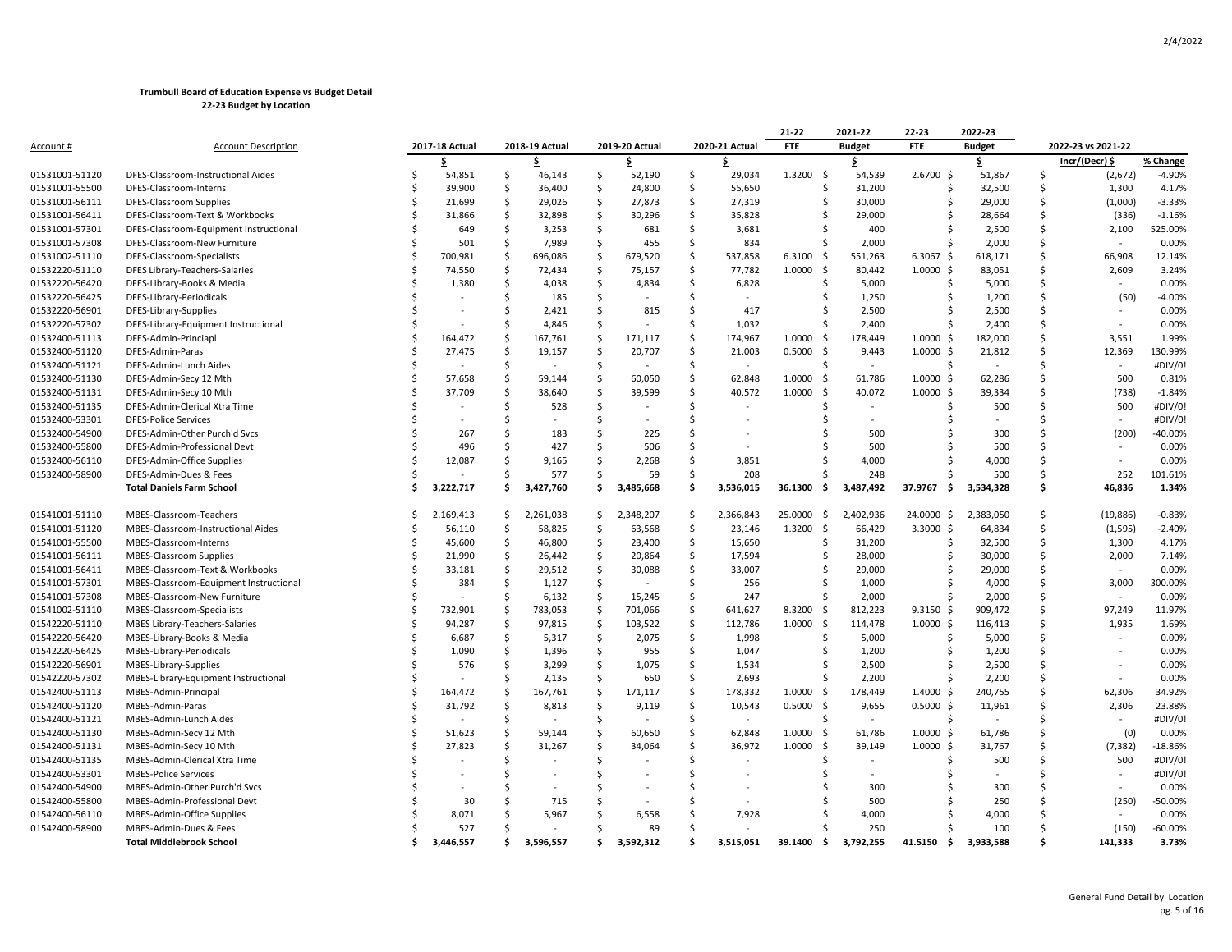|                |                                        |    |                |              |                |                     |                |                     |                       | 21-22           | 2021-22       | 22-23                | 2022-23       |     |                          |           |
|----------------|----------------------------------------|----|----------------|--------------|----------------|---------------------|----------------|---------------------|-----------------------|-----------------|---------------|----------------------|---------------|-----|--------------------------|-----------|
| Account #      | <b>Account Description</b>             |    | 2017-18 Actual |              | 2018-19 Actual |                     | 2019-20 Actual |                     | 2020-21 Actual        | <b>FTE</b>      | <b>Budget</b> | <b>FTE</b>           | <b>Budget</b> |     | 2022-23 vs 2021-22       |           |
|                |                                        |    | \$             |              | \$             |                     | \$             |                     | \$.                   |                 | \$.           |                      | \$            |     | Incr/(Decr) \$           | % Change  |
| 01531001-51120 | DFES-Classroom-Instructional Aides     | Ś  | 54,851         | -\$          | 46,143         | \$                  | 52,190         | \$                  | 29,034                | 1.3200<br>- \$  | 54,539        | 2.6700S              | 51,867        | \$  | (2,672)                  | $-4.90%$  |
| 01531001-55500 | DFES-Classroom-Interns                 | Ś  | 39,900         | \$           | 36,400         | $\ddot{\varsigma}$  | 24,800         | $\ddot{\varsigma}$  | 55,650                | \$              | 31,200        | Ś                    | 32,500        | Ś   | 1,300                    | 4.17%     |
| 01531001-56111 | <b>DFES-Classroom Supplies</b>         | Ś  | 21,699         | <sub>S</sub> | 29,026         | $\ddot{\mathsf{S}}$ | 27,873         | $\ddot{\mathsf{S}}$ | 27,319                | Ś               | 30,000        | Š.                   | 29,000        | Ś   | (1,000)                  | $-3.33%$  |
| 01531001-56411 | DFES-Classroom-Text & Workbooks        | Ś  | 31,866         | \$           | 32,898         | $\ddot{\mathsf{S}}$ | 30,296         | \$                  | 35,828                | Ŝ               | 29,000        | Ŝ                    | 28,664        | Ś   | (336)                    | $-1.16%$  |
| 01531001-57301 | DFES-Classroom-Equipment Instructional | Ś  | 649            | Ś            | 3,253          | $\ddot{\mathsf{S}}$ | 681            | Ŝ.                  | 3,681                 | Ś               | 400           | Ŝ                    | 2,500         | Ś   | 2,100                    | 525.00%   |
| 01531001-57308 | DFES-Classroom-New Furniture           | Ś  | 501            | <sub>S</sub> | 7,989          | $\ddot{\varsigma}$  | 455            | Ŝ.                  | 834                   | Ś               | 2,000         | Ś                    | 2,000         | \$  |                          | 0.00%     |
| 01531002-51110 | DFES-Classroom-Specialists             | Ŝ  | 700,981        | -S           | 696,086        | $\mathsf{S}$        | 679,520        | Ś.                  | 537,858               | 6.3100<br>-\$   | 551,263       | $6.3067$ \$          | 618,171       | Ś   | 66,908                   | 12.14%    |
| 01532220-51110 | DFES Library-Teachers-Salaries         |    | 74,550         | -\$          | 72,434         | $\ddot{\varsigma}$  | 75,157         | $\mathsf{\hat{S}}$  | 77,782                | 1.0000<br>- \$  | 80,442        | $1.0000 \,$ \$       | 83,051        | Ś   | 2,609                    | 3.24%     |
| 01532220-56420 | DFES-Library-Books & Media             | Ś  | 1,380          | <sub>S</sub> | 4,038          | \$                  | 4,834          | Ŝ.                  | 6,828                 | Ś               | 5,000         | Ś.                   | 5,000         | Ś   |                          | 0.00%     |
| 01532220-56425 | DFES-Library-Periodicals               | ς  |                | Ŝ.           | 185            | -\$                 |                | -Ś                  | $\sim$                | Ŝ.              | 1,250         | Ŝ                    | 1,200         | Ś   | (50)                     | $-4.00%$  |
| 01532220-56901 | DFES-Library-Supplies                  | Ś  |                | Ś            | 2,421          | Ś.                  | 815            | Ŝ.                  | 417                   | Ś               | 2,500         | Ŝ.                   | 2,500         | Ś   |                          | 0.00%     |
| 01532220-57302 | DFES-Library-Equipment Instructional   |    |                | Ś            | 4,846          | Ŝ.                  |                | Ŝ.                  | 1,032                 | Ś               | 2,400         | Ś                    | 2,400         | Ś   | $\overline{\phantom{a}}$ | 0.00%     |
| 01532400-51113 | DFES-Admin-Princiapl                   | Ś  | 164,472        | Ś            | 167,761        | \$                  | 171,117        | Ŝ.                  | 174,967               | 1.0000<br>-\$   | 178,449       | $1.0000 \,$ \$       | 182,000       | Ś   | 3,551                    | 1.99%     |
| 01532400-51120 | DFES-Admin-Paras                       | Ŝ  | 27,475         | Ś            | 19,157         | $\mathsf{S}$        | 20,707         | $\mathsf{\hat{S}}$  | 21,003                | 0.5000<br>- \$  | 9,443         | $1.0000 \;$ \$       | 21,812        | Ś   | 12,369                   | 130.99%   |
| 01532400-51121 | DFES-Admin-Lunch Aides                 | Ś  |                | Ś            |                | \$                  |                | Ŝ.                  | $\tilde{\phantom{a}}$ | Ś               | $\sim$        | Ś                    |               | Ś   | $\sim$                   | #DIV/0!   |
| 01532400-51130 | DFES-Admin-Secy 12 Mth                 | Ś, | 57,658         | \$           | 59,144         | \$                  | 60,050         | $\mathsf{\hat{S}}$  | 62,848                | 1.0000<br>- \$  | 61,786        | $1.0000 \; \text{S}$ | 62,286        | Ś   | 500                      | 0.81%     |
| 01532400-51131 | DFES-Admin-Secy 10 Mth                 |    | 37,709         | Ś            | 38,640         | Ŝ.                  | 39,599         | <b>S</b>            | 40,572                | 1.0000<br>-\$   | 40,072        | $1.0000 \;$ \$       | 39,334        | Ś   | (738)                    | $-1.84%$  |
| 01532400-51135 | DFES-Admin-Clerical Xtra Time          | Ś  |                | Ś            | 528            | $\mathsf{S}$        |                | -Ś                  |                       | Ŝ               |               | Ŝ                    | 500           | Ś   | 500                      | #DIV/0!   |
| 01532400-53301 | <b>DFES-Police Services</b>            |    |                | Ś            |                | Ŝ.                  |                | Ś                   |                       |                 |               |                      |               | Ś   | $\sim$                   | #DIV/0!   |
| 01532400-54900 | DFES-Admin-Other Purch'd Sycs          |    | 267            | Ś            | 183            | <sup>\$</sup>       | 225            | Ś                   |                       | Ś               | 500           |                      | 300           | Ś   | (200)                    | $-40.00%$ |
| 01532400-55800 | DFES-Admin-Professional Devt           | Ś  | 496            | Ś            | 427            | Ŝ.                  | 506            | Ś.                  |                       | Ŝ               | 500           | Ŝ.                   | 500           | Ś   |                          | 0.00%     |
| 01532400-56110 | DFES-Admin-Office Supplies             | Ś  | 12,087         | Ś            | 9,165          | -Ś                  | 2,268          | Ŝ.                  | 3,851                 | Ś               | 4,000         | Š.                   | 4,000         | Ś   | $\sim$                   | 0.00%     |
| 01532400-58900 | DFES-Admin-Dues & Fees                 | Ś, |                | Ś            | 577            | -Ś                  | 59             | <b>S</b>            | 208                   | Ś               | 248           |                      | 500           | Ś   | 252                      | 101.61%   |
|                | <b>Total Daniels Farm School</b>       | Ś  | 3,222,717      | . Ś          | 3,427,760      | Ŝ.                  | 3,485,668      | Ś.                  | 3,536,015             | 36.1300<br>- \$ | 3,487,492     | 37.9767<br>- \$      | 3,534,328     | Ś.  | 46,836                   | 1.34%     |
| 01541001-51110 | MBES-Classroom-Teachers                | Ŝ  | 2,169,413      | \$.          | 2,261,038      | -\$                 | 2,348,207      | $\ddot{\mathsf{S}}$ | 2,366,843             | 25.0000<br>- \$ | 2,402,936     | 24.0000 \$           | 2,383,050     | \$  | (19, 886)                | $-0.83%$  |
| 01541001-51120 | MBES-Classroom-Instructional Aides     | Ś  | 56,110         | \$           | 58,825         | \$                  | 63,568         | $\ddot{\mathsf{S}}$ | 23,146                | \$<br>1.3200    | 66,429        | $3.3000$ \$          | 64,834        | Ś.  | (1, 595)                 | $-2.40%$  |
| 01541001-55500 | MBES-Classroom-Interns                 | Ś  | 45,600         | -\$          | 46,800         | \$                  | 23,400         | \$                  | 15,650                | Ŝ               | 31,200        | Ŝ.                   | 32,500        | Ś   | 1,300                    | 4.17%     |
| 01541001-56111 | <b>MBES-Classroom Supplies</b>         |    | 21,990         | \$           | 26,442         | $\ddot{\mathsf{S}}$ | 20,864         | $\ddot{\mathsf{S}}$ | 17,594                | Ś               | 28,000        | Ś.                   | 30,000        | Ś   | 2,000                    | 7.14%     |
| 01541001-56411 | MBES-Classroom-Text & Workbooks        | Ś  | 33,181         | <sub>S</sub> | 29,512         | \$                  | 30,088         | Ŝ.                  | 33,007                | Ś               | 29,000        | Ŝ                    | 29,000        | Ś   |                          | 0.00%     |
| 01541001-57301 | MBES-Classroom-Equipment Instructional | Ś  | 384            | \$           | 1,127          | \$                  |                | Ś.                  | 256                   | Ŝ               | 1,000         | S                    | 4,000         | Ś   | 3,000                    | 300.00%   |
| 01541001-57308 | MBES-Classroom-New Furniture           |    |                | Ś            | 6,132          | $\ddot{\varsigma}$  | 15,245         | $\mathsf{\hat{S}}$  | 247                   | Ś               | 2,000         | S                    | 2,000         | \$  |                          | 0.00%     |
| 01541002-51110 | MBES-Classroom-Specialists             | Ś  | 732,901        | Ś            | 783,053        | \$                  | 701,066        | Ŝ.                  | 641,627               | 8.3200<br>- \$  | 812,223       | $9.3150$ \$          | 909,472       | Ś   | 97,249                   | 11.97%    |
| 01542220-51110 | MBES Library-Teachers-Salaries         | Ś  | 94,287         | Ŝ            | 97,815         | \$                  | 103,522        | Ŝ.                  | 112,786               | 1.0000<br>- \$  | 114,478       | $1.0000 \div$        | 116,413       | Ś   | 1,935                    | 1.69%     |
| 01542220-56420 | MBES-Library-Books & Media             | Ś  | 6,687          | Ś            | 5,317          | $\ddot{\varsigma}$  | 2,075          | $\mathsf{\$}$       | 1,998                 | Ś               | 5,000         | Ś.                   | 5,000         | Ś   | $\overline{\phantom{a}}$ | 0.00%     |
| 01542220-56425 | MBES-Library-Periodicals               |    | 1,090          | Ś            | 1,396          | $\ddot{\mathsf{S}}$ | 955            | Ŝ.                  | 1,047                 | Ś               | 1,200         | Ś                    | 1,200         | Ś   |                          | 0.00%     |
| 01542220-56901 | MBES-Library-Supplies                  | Ś  | 576            | Ŝ.           | 3,299          | \$                  | 1,075          | Ŝ.                  | 1,534                 | Ŝ               | 2,500         | Ŝ.                   | 2,500         | Ś   |                          | 0.00%     |
| 01542220-57302 | MBES-Library-Equipment Instructional   |    |                | Ś            | 2,135          | $\ddot{\varsigma}$  | 650            | <sub>S</sub>        | 2,693                 | Ŝ               | 2,200         | Ŝ                    | 2,200         | Ś   |                          | 0.00%     |
| 01542400-51113 | MBES-Admin-Principal                   | Ś  | 164,472        | Ś            | 167,761        | $\ddot{\mathsf{S}}$ | 171,117        | $\mathsf{\hat{S}}$  | 178,332               | 1.0000<br>-\$   | 178,449       | $1.4000 \;$ \$       | 240,755       | Ś   | 62,306                   | 34.92%    |
| 01542400-51120 | MBES-Admin-Paras                       | ς  | 31,792         | Ŝ.           | 8,813          | -\$                 | 9,119          | Ŝ.                  | 10,543                | 0.5000<br>- \$  | 9,655         | $0.5000 \,$ \$       | 11,961        | Ś   | 2,306                    | 23.88%    |
| 01542400-51121 | MBES-Admin-Lunch Aides                 |    |                | Ś            |                | Ŝ.                  |                | -Ś                  | $\sim$                | Ŝ               | $\sim$        | Ŝ                    |               | Ś   | $\sim$                   | #DIV/0!   |
| 01542400-51130 | MBES-Admin-Secy 12 Mth                 | Ś  | 51,623         | Ś            | 59,144         | Ŝ.                  | 60,650         | Ŝ.                  | 62,848                | 1.0000<br>- \$  | 61,786        | $1.0000$ \$          | 61,786        | \$  | (0)                      | 0.00%     |
| 01542400-51131 | MBES-Admin-Secy 10 Mth                 | Ś  | 27,823         | Ś            | 31,267         | Ś                   | 34,064         | Ŝ.                  | 36,972                | 1.0000<br>- \$  | 39,149        | $1.0000 \;$ \$       | 31,767        | Ś   | (7, 382)                 | $-18.86%$ |
| 01542400-51135 | MBES-Admin-Clerical Xtra Time          |    |                | Ś            |                | <sup>\$</sup>       |                | <b>S</b>            |                       | .S              |               | Ŝ.                   | 500           | Ś   | 500                      | #DIV/0!   |
| 01542400-53301 | <b>MBES-Police Services</b>            | Ś  |                | Ś            |                | Ś                   |                | Ŝ.                  |                       | Ś               |               |                      |               | Ś   | $\sim$                   | #DIV/0!   |
| 01542400-54900 | MBES-Admin-Other Purch'd Svcs          |    |                | Ŝ            |                | Ś                   |                | $\zeta$             |                       | Ś               | 300           |                      | 300           | Ś   |                          | 0.00%     |
| 01542400-55800 | MBES-Admin-Professional Devt           |    | 30             | Ŝ            | 715            | -Ś                  |                | <sup>\$</sup>       |                       | Ś               | 500           | S                    | 250           | Ś   | (250)                    | -50.00%   |
| 01542400-56110 | MBES-Admin-Office Supplies             |    | 8,071          | Ś            | 5,967          | -Ś                  | 6,558          | Ŝ.                  | 7,928                 | Ś               | 4,000         | S                    | 4,000         | Ś   |                          | 0.00%     |
| 01542400-58900 | MBES-Admin-Dues & Fees                 |    | 527            | Ś            |                | Ŝ.                  | 89             | Ś                   |                       | Ś               | 250           |                      | 100           | Ś   | (150)                    | $-60.00%$ |
|                | <b>Total Middlebrook School</b>        | Ś. | 3.446.557      | Ś.           | 3.596.557      | Ś.                  | 3.592.312      | \$.                 | 3.515.051             | - \$<br>39.1400 | 3,792,255     | 41.5150<br>- \$      | 3.933.588     | \$. | 141,333                  | 3.73%     |
|                |                                        |    |                |              |                |                     |                |                     |                       |                 |               |                      |               |     |                          |           |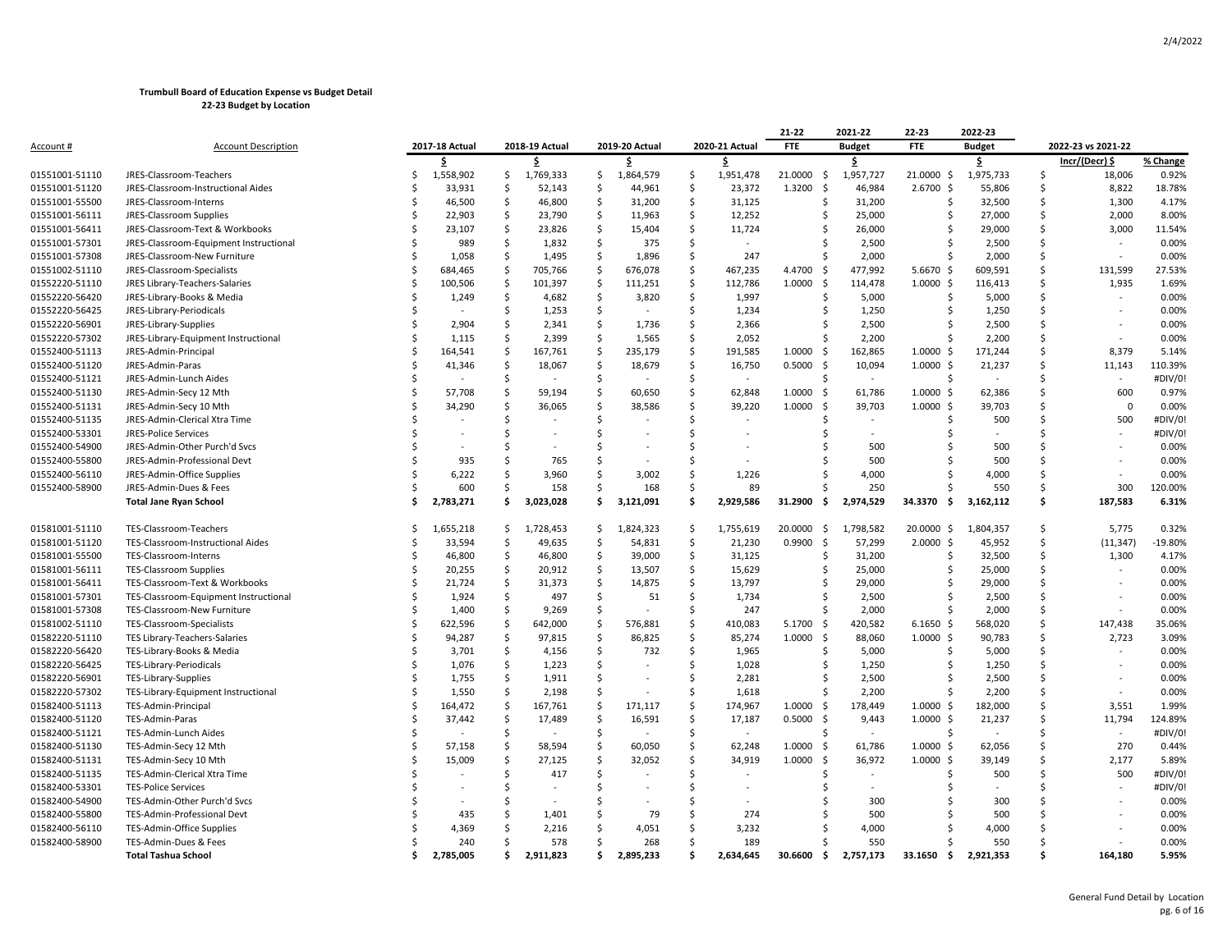|                |                                        |    |                |                    |                |     |                |                    |                | 21-22                         | 2021-22       | 22-23           | 2022-23        |               |                    |          |
|----------------|----------------------------------------|----|----------------|--------------------|----------------|-----|----------------|--------------------|----------------|-------------------------------|---------------|-----------------|----------------|---------------|--------------------|----------|
| Account #      | <b>Account Description</b>             |    | 2017-18 Actual |                    | 2018-19 Actual |     | 2019-20 Actual |                    | 2020-21 Actual | <b>FTE</b>                    | <b>Budget</b> | <b>FTE</b>      | <b>Budget</b>  |               | 2022-23 vs 2021-22 |          |
|                |                                        |    | \$             |                    | \$             |     | \$             |                    | \$             |                               | \$            |                 | \$             |               | Incr/(Decr) \$     | % Change |
| 01551001-51110 | JRES-Classroom-Teachers                | Ś  | 1,558,902      | \$                 | 1,769,333      | \$  | 1,864,579      | S.                 | 1,951,478      | 21.0000<br>- \$               | 1,957,727     | 21.0000 \$      | 1,975,733      | Ŝ.            | 18,006             | 0.92%    |
| 01551001-51120 | JRES-Classroom-Instructional Aides     |    | 33,931         | -Ś                 | 52,143         | -Ś  | 44,961         | Ŝ.                 | 23,372         | \$<br>1.3200                  | 46,984        | $2.6700$ \$     | 55,806         | <sup>\$</sup> | 8,822              | 18.78%   |
| 01551001-55500 | JRES-Classroom-Interns                 |    | 46,500         | Ŝ.                 | 46,800         | Ŝ.  | 31,200         | -\$                | 31,125         | Ŝ.                            | 31,200        | Ŝ.              | 32,500         | \$            | 1,300              | 4.17%    |
| 01551001-56111 | JRES-Classroom Supplies                |    | 22,903         | -\$                | 23,790         | \$  | 11,963         | -\$                | 12,252         | \$                            | 25,000        | .S              | 27,000         | Ŝ.            | 2,000              | 8.00%    |
| 01551001-56411 | JRES-Classroom-Text & Workbooks        |    | 23,107         | -\$                | 23,826         | \$  | 15,404         | -\$                | 11,724         | Ŝ                             | 26,000        | Ŝ.              | 29,000         | Ŝ.            | 3,000              | 11.54%   |
| 01551001-57301 | JRES-Classroom-Equipment Instructional |    | 989            | \$                 | 1,832          | \$  | 375            | \$                 |                | .S                            | 2,500         |                 | 2,500          | Ś             |                    | 0.00%    |
| 01551001-57308 | JRES-Classroom-New Furniture           |    | 1,058          | <sub>S</sub>       | 1,495          | -\$ | 1,896          | -\$                | 247            | Ŝ.                            | 2,000         | S.              | 2,000          | \$.           | $\sim$             | 0.00%    |
| 01551002-51110 | JRES-Classroom-Specialists             |    | 684,465        | -S                 | 705,766        | - Ś | 676,078        | -\$                | 467,235        | 4.4700<br>-\$                 | 477,992       | $5.6670$ \$     | 609,591        | Ŝ.            | 131,599            | 27.53%   |
| 01552220-51110 | JRES Library-Teachers-Salaries         |    | 100,506        | -\$                | 101,397        | \$  | 111,251        | \$                 | 112,786        | 1.0000<br>\$                  | 114,478       | $1.0000$ \$     | 116,413        | Ŝ.            | 1,935              | 1.69%    |
| 01552220-56420 | JRES-Library-Books & Media             |    | 1,249          | -\$                | 4,682          | -\$ | 3,820          | -\$                | 1,997          | Ŝ                             | 5,000         |                 | 5,000          | Ŝ.            |                    | 0.00%    |
| 01552220-56425 | JRES-Library-Periodicals               |    |                | <sub>S</sub>       | 1,253          | \$  |                | Ŝ.                 | 1,234          | Ś                             | 1,250         | Ŝ.              | 1,250          | Ś             |                    | 0.00%    |
| 01552220-56901 | JRES-Library-Supplies                  |    | 2,904          | Ŝ                  | 2,341          | -Ś  | 1,736          | Ŝ                  | 2,366          | Ŝ                             | 2,500         | S.              | 2,500          | .s            |                    | 0.00%    |
| 01552220-57302 | JRES-Library-Equipment Instructional   |    | 1,115          | -S                 | 2,399          | - Ś | 1,565          | -Ś                 | 2,052          | .S                            | 2,200         |                 | 2,200          | Ŝ.            |                    | 0.00%    |
| 01552400-51113 | JRES-Admin-Principal                   |    | 164,541        | -\$                | 167,761        | \$  | 235,179        | -\$                | 191,585        | 1.0000<br>-\$                 | 162,865       | $1.0000$ \$     | 171,244        | \$            | 8,379              | 5.14%    |
| 01552400-51120 | JRES-Admin-Paras                       |    | 41,346         | -S                 | 18,067         | -\$ | 18,679         | Ś                  | 16,750         | 0.5000<br>- \$                | 10,094        | $1.0000$ \$     | 21,237         | Ś             | 11,143             | 110.39%  |
| 01552400-51121 | JRES-Admin-Lunch Aides                 |    |                | Ś                  |                | .\$ |                | Ś                  | $\sim$         | Ŝ.                            | $\sim$        | S,              |                | Ŝ.            |                    | #DIV/0!  |
| 01552400-51130 | JRES-Admin-Secy 12 Mth                 |    | 57,708         | -\$                | 59,194         | S.  | 60,650         | S.                 | 62,848         | 1.0000<br>-\$                 | 61,786        | $1.0000$ \$     | 62,386         | Ŝ             | 600                | 0.97%    |
| 01552400-51131 | JRES-Admin-Secy 10 Mth                 |    | 34,290         | Ś                  | 36,065         | -Ś  | 38,586         | .s                 | 39,220         | 1.0000<br>-\$                 | 39,703        | $1.0000$ \$     | 39,703         | Ŝ.            | $\Omega$           | 0.00%    |
| 01552400-51135 | JRES-Admin-Clerical Xtra Time          |    |                | Ś                  |                | -\$ |                | Ŝ.                 |                | S                             |               | -S              | 500            | Ŝ             | 500                | #DIV/0!  |
| 01552400-53301 | <b>JRES-Police Services</b>            |    |                | Ś                  |                | Ŝ.  |                | Ś                  |                | Ŝ.                            |               |                 | $\blacksquare$ | Ś             |                    | #DIV/0!  |
| 01552400-54900 | JRES-Admin-Other Purch'd Svcs          |    |                | Ŝ                  | $\sim$         | Ś   |                | Ŝ.                 |                |                               | 500           |                 | 500            | Ŝ.            |                    | 0.00%    |
| 01552400-55800 | JRES-Admin-Professional Devt           |    | 935            | Ŝ                  | 765            | Ś   |                | Ś                  |                |                               | 500           |                 | 500            | Ŝ.            |                    | 0.00%    |
| 01552400-56110 | JRES-Admin-Office Supplies             |    | 6,222          | Ŝ                  | 3,960          | -Ś  | 3,002          | Ŝ.                 | 1,226          | S                             | 4,000         |                 | 4,000          | Ŝ.            |                    | 0.00%    |
| 01552400-58900 | JRES-Admin-Dues & Fees                 |    | 600            | Ś                  | 158            | Ŝ.  | 168            | -\$                | 89             |                               | 250           |                 | 550            | Ś.            | 300                | 120.00%  |
|                | <b>Total Jane Ryan School</b>          | Ŝ  | 2,783,271      | Ś.                 | 3,023,028      | Ŝ.  | 3,121,091      | -\$                | 2,929,586      | 31.2900<br>- \$               | 2,974,529     | 34.3370<br>\$.  | 3,162,112      | \$            | 187,583            | 6.31%    |
|                |                                        |    |                |                    |                |     |                |                    |                |                               |               |                 |                |               |                    |          |
| 01581001-51110 | TES-Classroom-Teachers                 | S  | 1,655,218      | -Ś                 | 1,728,453      | -Ś  | 1,824,323      | -\$                | 1,755,619      | 20.0000<br>- \$               | 1,798,582     | 20.0000 \$      | 1,804,357      | \$            | 5,775              | 0.32%    |
| 01581001-51120 | TES-Classroom-Instructional Aides      |    | 33,594         | -Ś                 | 49,635         | -\$ | 54,831         | -\$                | 21,230         | 0.9900<br>- Ś                 | 57,299        | 2.0000S         | 45,952         | \$            | (11, 347)          | -19.80%  |
| 01581001-55500 | TES-Classroom-Interns                  |    | 46,800         | -\$                | 46,800         | \$  | 39,000         | -\$                | 31,125         | \$                            | 31,200        | .S              | 32,500         | \$            | 1,300              | 4.17%    |
| 01581001-56111 | <b>TES-Classroom Supplies</b>          | Ś  | 20,255         | -\$                | 20,912         | \$  | 13,507         | \$                 | 15,629         | Ŝ                             | 25,000        | Ŝ.              | 25,000         | Ŝ.            |                    | 0.00%    |
| 01581001-56411 | TES-Classroom-Text & Workbooks         |    | 21,724         | Ŝ.                 | 31,373         | Ŝ.  | 14,875         | Ŝ.                 | 13,797         | Ŝ                             | 29,000        |                 | 29,000         | Ŝ.            |                    | 0.00%    |
| 01581001-57301 | TES-Classroom-Equipment Instructional  | S  | 1,924          | -\$                | 497            | \$  | 51             | -\$                | 1,734          | S                             | 2,500         |                 | 2,500          | Ŝ             |                    | 0.00%    |
| 01581001-57308 | TES-Classroom-New Furniture            |    | 1,400          | Ŝ.                 | 9,269          | .\$ |                | Ŝ.                 | 247            | Ŝ.                            | 2,000         |                 | 2,000          | Ŝ.            | ÷,                 | 0.00%    |
| 01581002-51110 | TES-Classroom-Specialists              |    | 622,596        | -\$                | 642,000        | -Ś  | 576,881        | .s                 | 410,083        | 5.1700<br>\$                  | 420,582       | $6.1650$ \$     | 568,020        | Ŝ             | 147,438            | 35.06%   |
| 01582220-51110 | TES Library-Teachers-Salaries          | Ś  | 94,287         | $\mathsf{\hat{S}}$ | 97,815         | \$  | 86,825         | Ŝ.                 | 85,274         | 1.0000<br>- \$                | 88,060        | $1.0000$ \$     | 90,783         | Ś             | 2,723              | 3.09%    |
| 01582220-56420 | TES-Library-Books & Media              |    | 3,701          | -\$                | 4,156          | -\$ | 732            | S.                 | 1,965          | Ŝ                             | 5,000         | Ŝ.              | 5,000          | Ŝ             |                    | 0.00%    |
| 01582220-56425 | TES-Library-Periodicals                |    | 1,076          | Ŝ.                 | 1,223          | Ŝ.  |                | Ŝ.                 | 1,028          | Ŝ                             | 1,250         | -S              | 1,250          | Ŝ             |                    | 0.00%    |
| 01582220-56901 | TES-Library-Supplies                   |    | 1,755          | Ŝ.                 | 1,911          | -Ś  |                | Ŝ                  | 2,281          | Ŝ.                            | 2,500         | S,              | 2,500          | Ŝ.            |                    | 0.00%    |
| 01582220-57302 | TES-Library-Equipment Instructional    |    | 1,550          | -Ś                 | 2,198          | -Ś  |                | Ś                  | 1,618          | S                             | 2,200         |                 | 2,200          | .s            |                    | 0.00%    |
| 01582400-51113 | TES-Admin-Principal                    |    | 164,472        | -\$                | 167,761        | S.  | 171,117        | -S                 | 174,967        | 1.0000<br>-\$                 | 178,449       | $1.0000$ \$     | 182,000        | Ŝ             | 3,551              | 1.99%    |
| 01582400-51120 | TES-Admin-Paras                        |    | 37,442         | -S                 | 17,489         | -\$ | 16,591         | $\mathsf{\hat{S}}$ | 17,187         | 0.5000<br>- \$                | 9,443         | $1.0000$ \$     | 21,237         | Ŝ.            | 11,794             | 124.89%  |
| 01582400-51121 | TES-Admin-Lunch Aides                  |    |                | -Ś                 |                | -Ś  |                | .s                 | $\sim$         | Ŝ.                            | $\sim$        | S,              |                | Ŝ.            | $\sim$             | #DIV/0!  |
| 01582400-51130 | TES-Admin-Secy 12 Mth                  |    | 57,158         | -Ś                 | 58,594         | \$  | 60,050         | Ŝ.                 | 62,248         | 1.0000<br>$\ddot{\mathsf{S}}$ | 61,786        | $1.0000$ \$     | 62,056         | Ŝ             | 270                | 0.44%    |
| 01582400-51131 | TES-Admin-Secy 10 Mth                  |    | 15,009         | -S                 | 27,125         | .\$ | 32,052         | Ś                  | 34,919         | 1.0000<br>- \$                | 36,972        | $1.0000$ \$     | 39,149         | Ŝ             | 2,177              | 5.89%    |
| 01582400-51135 | TES-Admin-Clerical Xtra Time           |    |                | Ŝ.                 | 417            | \$  |                | Ś                  |                | S                             |               |                 | 500            | Ŝ             | 500                | #DIV/0!  |
| 01582400-53301 | <b>TES-Police Services</b>             |    |                | Ś                  |                | Ŝ.  |                | Ś                  |                |                               |               |                 | $\blacksquare$ | \$            | $\sim$             | #DIV/0!  |
| 01582400-54900 | TES-Admin-Other Purch'd Svcs           |    |                | S                  |                | S   |                | S                  | $\sim$         |                               | 300           |                 | 300            | Ŝ.            |                    | 0.00%    |
| 01582400-55800 | TES-Admin-Professional Devt            |    | 435            | Ś                  | 1,401          | Ś   | 79             | -Ś                 | 274            |                               | 500           |                 | 500            | Ŝ.            |                    | 0.00%    |
| 01582400-56110 | TES-Admin-Office Supplies              |    | 4,369          |                    | 2,216          | Ś   | 4,051          | -\$                | 3,232          |                               | 4,000         |                 | 4,000          | Ś             |                    | 0.00%    |
| 01582400-58900 | TES-Admin-Dues & Fees                  |    | 240            |                    | 578            | Ś   | 268            | -Ś                 | 189            |                               | 550           |                 | 550            |               |                    | 0.00%    |
|                | <b>Total Tashua School</b>             | Ś. | 2,785,005      | \$                 | 2,911,823      | \$. | 2,895,233      | Ŝ.                 | 2,634,645      | 30.6600 \$                    | 2,757,173     | 33.1650<br>- \$ | 2,921,353      | Ŝ             | 164,180            | 5.95%    |
|                |                                        |    |                |                    |                |     |                |                    |                |                               |               |                 |                |               |                    |          |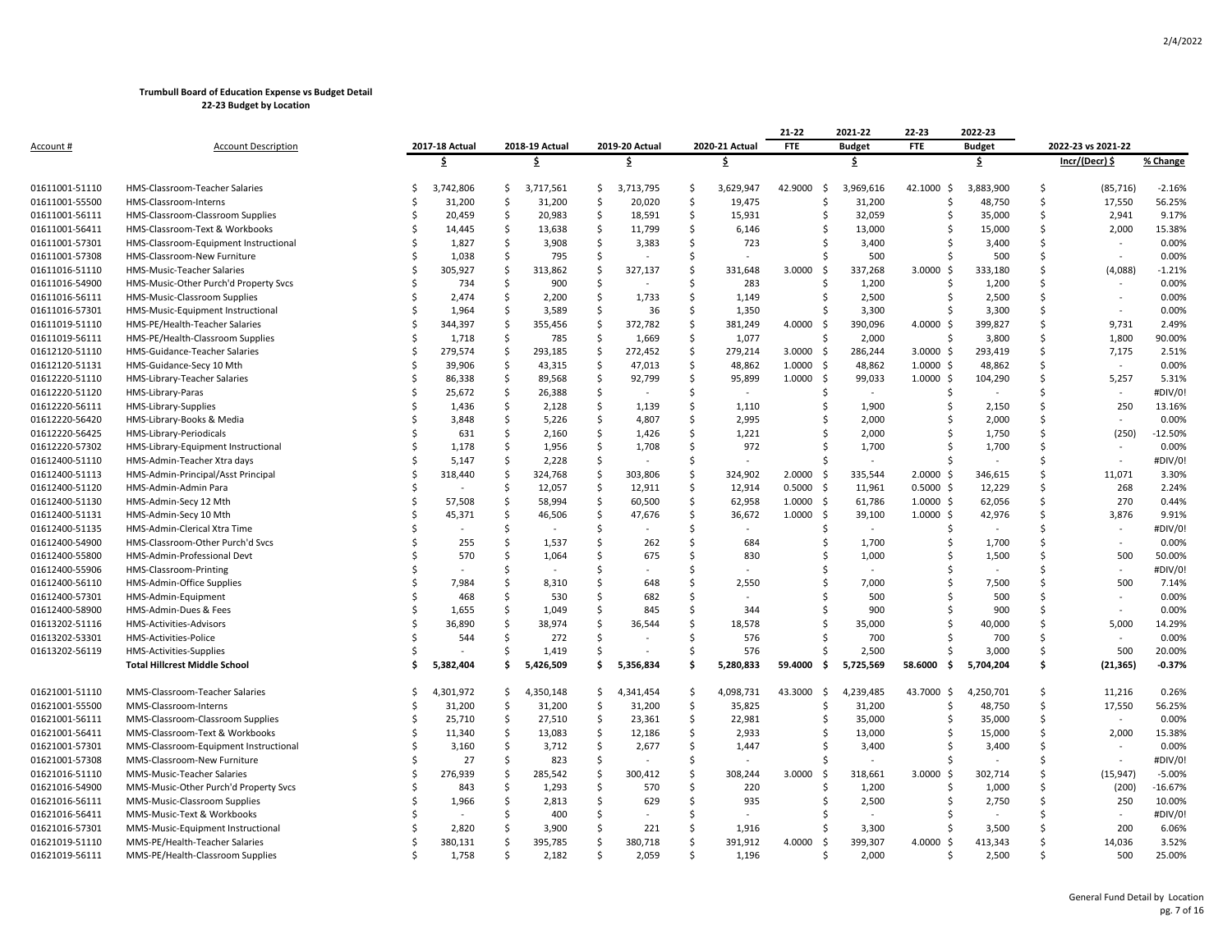|                |                                       |     |                |    |                |                    |                |                    |                | 21-22           | 2021-22       | 22-23          | 2022-23       |        |                          |           |
|----------------|---------------------------------------|-----|----------------|----|----------------|--------------------|----------------|--------------------|----------------|-----------------|---------------|----------------|---------------|--------|--------------------------|-----------|
| Account #      | <b>Account Description</b>            |     | 2017-18 Actual |    | 2018-19 Actual |                    | 2019-20 Actual |                    | 2020-21 Actual | <b>FTE</b>      | <b>Budget</b> | <b>FTE</b>     | <b>Budget</b> |        | 2022-23 vs 2021-22       |           |
|                |                                       |     | \$             |    | Ŝ.             |                    | \$             |                    | \$             |                 | \$            |                | \$.           |        | Incr/(Decr) \$           | % Change  |
| 01611001-51110 | HMS-Classroom-Teacher Salaries        |     | 3,742,806      | Ŝ  | 3,717,561      | \$                 | 3,713,795      | \$                 | 3,629,947      | 42.9000<br>\$   | 3,969,616     | 42.1000 \$     | 3,883,900     | \$     | (85, 716)                | $-2.16%$  |
| 01611001-55500 | HMS-Classroom-Interns                 |     | 31,200         | Ŝ. | 31,200         | \$                 | 20,020         | \$                 | 19,475         | Ś               | 31,200        | \$             | 48,750        | \$     | 17,550                   | 56.25%    |
| 01611001-56111 | HMS-Classroom-Classroom Supplies      | .S  | 20,459         | Ś  | 20,983         | Ś                  | 18,591         | Ś                  | 15,931         | S               | 32,059        | S              | 35,000        | Ś      | 2,941                    | 9.17%     |
| 01611001-56411 | HMS-Classroom-Text & Workbooks        | .S  | 14,445         | Ŝ  | 13,638         | Ŝ                  | 11,799         | Ŝ.                 | 6,146          | S               | 13,000        | Ś              | 15,000        | Ś      | 2,000                    | 15.38%    |
| 01611001-57301 | HMS-Classroom-Equipment Instructional |     | 1,827          | \$ | 3,908          | $\mathsf{\hat{S}}$ | 3,383          | Ś                  | 723            |                 | 3,400         |                | 3,400         | Ś      |                          | 0.00%     |
| 01611001-57308 | HMS-Classroom-New Furniture           |     | 1,038          | Ŝ. | 795            | Ŝ.                 |                | Ś                  |                | Š.              | 500           | Ś              | 500           | Ś      |                          | 0.00%     |
| 01611016-51110 | HMS-Music-Teacher Salaries            |     | 305,927        | Ŝ  | 313,862        | Š                  | 327,137        | Ś                  | 331,648        | 3.0000<br>- Ś   | 337,268       | 3.0000<br>- \$ | 333,180       | Ś      | (4,088)                  | $-1.21%$  |
| 01611016-54900 | HMS-Music-Other Purch'd Property Svcs |     | 734            | \$ | 900            | \$                 |                | \$                 | 283            | Ŝ.              | 1,200         | Ś              | 1,200         | \$     | ÷,                       | 0.00%     |
| 01611016-56111 | HMS-Music-Classroom Supplies          |     | 2,474          | Ś  | 2,200          | Ś                  | 1,733          | Ś                  | 1,149          | Ŝ               | 2,500         |                | 2,500         | Ś      | ÷,                       | 0.00%     |
| 01611016-57301 | HMS-Music-Equipment Instructional     |     | 1,964          | Ś  | 3,589          | Ś                  | 36             | Ś                  | 1,350          |                 | 3,300         |                | 3,300         | Ś      | $\overline{\phantom{a}}$ | 0.00%     |
| 01611019-51110 | HMS-PE/Health-Teacher Salaries        | .\$ | 344,397        | \$ | 355,456        | \$                 | 372,782        | \$                 | 381,249        | 4.0000<br>-\$   | 390,096       | 4.0000 \$      | 399,827       | Ś      | 9,731                    | 2.49%     |
| 01611019-56111 | HMS-PE/Health-Classroom Supplies      |     | 1,718          | \$ | 785            | \$                 | 1,669          | \$                 | 1,077          | Ŝ.              | 2,000         | Ś              | 3,800         | \$     | 1,800                    | 90.00%    |
| 01612120-51110 | HMS-Guidance-Teacher Salaries         | -S  | 279,574        | Ŝ  | 293,185        | Ś                  | 272,452        | $\mathsf{\hat{S}}$ | 279,214        | 3.0000<br>-\$   | 286,244       | $3.0000$ \$    | 293,419       | Ś      | 7,175                    | 2.51%     |
| 01612120-51131 | HMS-Guidance-Secy 10 Mth              | .S  | 39,906         | Š. | 43,315         | Ś.                 | 47,013         | Ś                  | 48,862         | 1.0000<br>- Ś   | 48,862        | $1.0000 \;$ \$ | 48,862        | Ś      | $\sim$                   | 0.00%     |
| 01612220-51110 | HMS-Library-Teacher Salaries          | S   | 86,338         | \$ | 89,568         | Ŝ                  | 92,799         | Ś                  | 95,899         | 1.0000<br>-\$   | 99,033        | $1.0000$ \$    | 104,290       | Ś      | 5,257                    | 5.31%     |
| 01612220-51120 | HMS-Library-Paras                     |     | 25,672         | Ś  | 26,388         | \$                 |                | Ś                  |                | -Ś              |               | Ś              |               | Ś      | ä,                       | #DIV/0!   |
|                |                                       | .S  | 1,436          | Ŝ  | 2,128          | Ś                  | 1,139          | Ś                  | 1,110          | Ŝ.              |               | Ś              | 2,150         | Ś      | 250                      | 13.16%    |
| 01612220-56111 | HMS-Library-Supplies                  |     |                |    |                |                    |                |                    |                |                 | 1,900         |                |               |        |                          |           |
| 01612220-56420 | HMS-Library-Books & Media             |     | 3,848          | \$ | 5,226          | \$                 | 4,807          | \$                 | 2,995          |                 | 2,000         |                | 2,000         | Ś      |                          | 0.00%     |
| 01612220-56425 | HMS-Library-Periodicals               |     | 631            | Š. | 2,160          | Ś.                 | 1,426          | Ś                  | 1,221          |                 | 2,000         |                | 1,750         | Ś<br>Ś | (250)                    | $-12.50%$ |
| 01612220-57302 | HMS-Library-Equipment Instructional   |     | 1,178          | Š. | 1,956          | Ś                  | 1,708          | Ś                  | 972            |                 | 1,700         | Ś              | 1,700         |        |                          | 0.00%     |
| 01612400-51110 | HMS-Admin-Teacher Xtra days           |     | 5,147          | Ŝ  | 2,228          | Ŝ.                 |                | Ś                  |                |                 |               |                |               | Ś      |                          | #DIV/0!   |
| 01612400-51113 | HMS-Admin-Principal/Asst Principal    |     | 318,440        | Š. | 324,768        | \$                 | 303,806        | \$                 | 324,902        | 2.0000<br>-\$   | 335,544       | $2.0000$ \$    | 346,615       | Ś      | 11,071                   | 3.30%     |
| 01612400-51120 | HMS-Admin-Admin Para                  | .S  |                | Š. | 12,057         | Ś.                 | 12,911         | Ś                  | 12,914         | 0.5000<br>-\$   | 11,961        | $0.5000$ \$    | 12,229        | Ś      | 268                      | 2.24%     |
| 01612400-51130 | HMS-Admin-Secy 12 Mth                 |     | 57,508         | Š. | 58,994         | Ś                  | 60,500         | Ś                  | 62,958         | 1.0000<br>- Ś   | 61,786        | $1.0000$ \$    | 62,056        | Ś      | 270                      | 0.44%     |
| 01612400-51131 | HMS-Admin-Secy 10 Mth                 |     | 45,371         | \$ | 46,506         | \$                 | 47,676         | \$                 | 36,672         | 1.0000<br>-\$   | 39,100        | $1.0000$ \$    | 42,976        | \$     | 3,876                    | 9.91%     |
| 01612400-51135 | HMS-Admin-Clerical Xtra Time          |     |                | Ś  |                | Ś                  |                | Ś                  |                | Ŝ               | $\sim$        | Ś              | ÷,            | Ś      | ÷,                       | #DIV/0!   |
| 01612400-54900 | HMS-Classroom-Other Purch'd Svcs      |     | 255            | Š. | 1,537          | Ś.                 | 262            | Ś                  | 684            | $\zeta$         | 1,700         |                | 1,700         | Ś      |                          | 0.00%     |
| 01612400-55800 | HMS-Admin-Professional Devt           |     | 570            | Ŝ  | 1,064          | Ś                  | 675            | Ś                  | 830            |                 | 1,000         |                | 1,500         | Ś      | 500                      | 50.00%    |
| 01612400-55906 | HMS-Classroom-Printing                |     |                | Ŝ  |                | Ŝ                  |                | \$                 |                |                 |               |                |               | Ś      | ä,                       | #DIV/0!   |
| 01612400-56110 | HMS-Admin-Office Supplies             |     | 7,984          | Ś  | 8,310          | Ś                  | 648            | Ś                  | 2,550          |                 | 7,000         |                | 7,500         | Ś      | 500                      | 7.14%     |
| 01612400-57301 | HMS-Admin-Equipment                   |     | 468            | Ŝ  | 530            | Ŝ.                 | 682            | Ś                  |                |                 | 500           |                | 500           | Ś      |                          | 0.00%     |
| 01612400-58900 | HMS-Admin-Dues & Fees                 | S,  | 1,655          | \$ | 1,049          | Ś                  | 845            | Ś                  | 344            |                 | 900           |                | 900           | Ś      |                          | 0.00%     |
| 01613202-51116 | HMS-Activities-Advisors               |     | 36,890         | Ŝ  | 38,974         | Ŝ                  | 36,544         | Ś                  | 18,578         | Ŝ.              | 35,000        | Ś              | 40,000        | \$     | 5,000                    | 14.29%    |
| 01613202-53301 | HMS-Activities-Police                 | .S  | 544            | Ś  | 272            | Ś                  |                | Ś                  | 576            |                 | 700           |                | 700           | Ś      |                          | 0.00%     |
| 01613202-56119 | HMS-Activities-Supplies               | S.  |                | Ŝ. | 1,419          | Š.                 |                | Ś                  | 576            |                 | 2,500         | Ś              | 3,000         | Ś      | 500                      | 20.00%    |
|                | <b>Total Hillcrest Middle School</b>  | Ś   | 5,382,404      | Ŝ  | 5,426,509      | \$.                | 5,356,834      | Ś                  | 5,280,833      | 59.4000<br>. Ś  | 5,725,569     | 58.6000<br>. Ś | 5,704,204     | Ś      | (21, 365)                | $-0.37%$  |
| 01621001-51110 | MMS-Classroom-Teacher Salaries        | .S  | 4,301,972      | Ŝ. | 4,350,148      | Ŝ                  | 4,341,454      | Ś                  | 4,098,731      | 43.3000<br>- \$ | 4,239,485     | 43.7000 \$     | 4,250,701     | Ś      | 11,216                   | 0.26%     |
| 01621001-55500 | MMS-Classroom-Interns                 |     | 31,200         | \$ | 31,200         | \$                 | 31,200         | \$                 | 35,825         | Ŝ.              | 31,200        | \$             | 48,750        | \$     | 17,550                   | 56.25%    |
| 01621001-56111 | MMS-Classroom-Classroom Supplies      | .S  | 25,710         | \$ | 27,510         | \$                 | 23,361         | \$                 | 22,981         | Ŝ.              | 35,000        | Ś              | 35,000        | Ś      |                          | 0.00%     |
| 01621001-56411 | MMS-Classroom-Text & Workbooks        |     | 11,340         | Ś  | 13,083         | Ś.                 | 12,186         | \$                 | 2,933          |                 | 13,000        | Ś              | 15,000        | Ś      | 2,000                    | 15.38%    |
| 01621001-57301 | MMS-Classroom-Equipment Instructional | -S  | 3,160          | Ŝ  | 3,712          | Ŝ.                 | 2,677          | Ŝ.                 | 1,447          |                 | 3,400         | ς              | 3,400         | Ś      |                          | 0.00%     |
| 01621001-57308 | MMS-Classroom-New Furniture           |     | 27             | Ś  | 823            | Ś                  |                | Ś                  |                |                 |               | Ś              |               | Ś      |                          | #DIV/0!   |
| 01621016-51110 | MMS-Music-Teacher Salaries            |     | 276,939        | .S | 285,542        | Ś                  | 300,412        | Ś                  | 308,244        | 3.0000<br>-\$   | 318,661       | $3.0000$ \$    | 302,714       | Ś      | (15, 947)                | $-5.00%$  |
| 01621016-54900 | MMS-Music-Other Purch'd Property Svcs |     | 843            | Ś  | 1,293          | Ś                  | 570            | Ś                  | 220            | Š.              | 1,200         | Ś              | 1,000         | Ś      | (200)                    | $-16.67%$ |
| 01621016-56111 | MMS-Music-Classroom Supplies          |     | 1,966          | \$ | 2,813          | Ŝ                  | 629            | Ś                  | 935            |                 | 2,500         | ς              | 2,750         | Ś      | 250                      | 10.00%    |
| 01621016-56411 | MMS-Music-Text & Workbooks            |     |                | Ś  | 400            | Ś                  |                | Ś                  |                |                 |               |                |               | Ś      | ÷,                       | #DIV/0!   |
| 01621016-57301 | MMS-Music-Equipment Instructional     |     | 2,820          | Ś  | 3,900          | Ś                  | 221            | Ś                  | 1,916          | Ŝ               | 3,300         | Ś              | 3,500         | Ś      | 200                      | 6.06%     |
| 01621019-51110 | MMS-PE/Health-Teacher Salaries        |     | 380,131        | .S | 395,785        | Ŝ                  | 380,718        | Ś                  | 391,912        | 4.0000<br>- Ś   | 399,307       | 4.0000<br>-Ś   | 413,343       | Ś      | 14,036                   | 3.52%     |
| 01621019-56111 | MMS-PE/Health-Classroom Supplies      | .S  | 1,758          | Ś  | 2,182          | Ś.                 | 2,059          | Ś                  | 1,196          | Ŝ.              | 2,000         | Ś              | 2,500         | Ś      | 500                      | 25.00%    |
|                |                                       |     |                |    |                |                    |                |                    |                |                 |               |                |               |        |                          |           |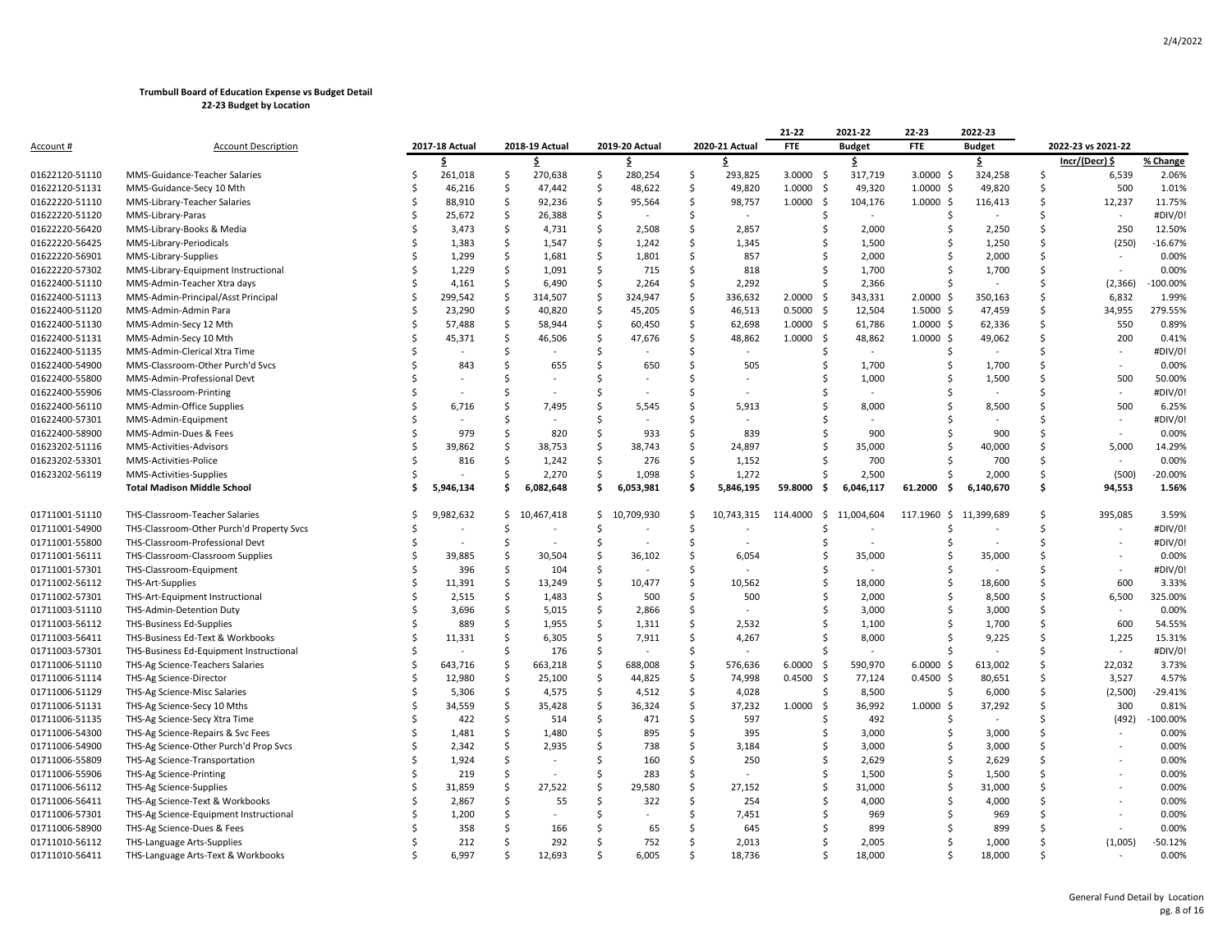|                  |                                           |               |                |              |                |                    |                |                    |                | 21-22          | 2021-22        | 22-23          | 2022-23       |               |                    |             |
|------------------|-------------------------------------------|---------------|----------------|--------------|----------------|--------------------|----------------|--------------------|----------------|----------------|----------------|----------------|---------------|---------------|--------------------|-------------|
| <u>Account #</u> | <b>Account Description</b>                |               | 2017-18 Actual |              | 2018-19 Actual |                    | 2019-20 Actual |                    | 2020-21 Actual | <b>FTE</b>     | <b>Budget</b>  | <b>FTE</b>     | <b>Budget</b> |               | 2022-23 vs 2021-22 |             |
|                  |                                           |               | \$             |              | \$             |                    | \$             |                    | \$.            |                | \$             |                | \$            |               | Incr/(Decr) \$     | % Change    |
| 01622120-51110   | MMS-Guidance-Teacher Salaries             | Ś             | 261,018        | \$           | 270,638        | \$                 | 280,254        | \$                 | 293,825        | 3.0000<br>- \$ | 317,719        | $3.0000$ \$    | 324,258       | -Ś            | 6,539              | 2.06%       |
| 01622120-51131   | MMS-Guidance-Secy 10 Mth                  | Ś             | 46,216         | Ś            | 47,442         | \$                 | 48,622         | Ś                  | 49,820         | 1.0000<br>- \$ | 49,320         | $1.0000$ \$    | 49,820        |               | 500                | 1.01%       |
| 01622220-51110   | MMS-Library-Teacher Salaries              | Ś             | 88,910         | Ŝ            | 92,236         | Ŝ.                 | 95,564         | Ś                  | 98,757         | 1.0000<br>-Ś   | 104,176        | $1.0000$ \$    | 116,413       | Ś             | 12,237             | 11.75%      |
| 01622220-51120   | MMS-Library-Paras                         | Ś             | 25,672         | \$           | 26,388         | \$                 |                | Ś                  |                | $\zeta$        |                | S,             |               |               |                    | #DIV/0!     |
| 01622220-56420   | MMS-Library-Books & Media                 | Ś             | 3,473          | \$           | 4,731          | Ś                  | 2,508          | Ś                  | 2,857          |                | 2,000          |                | 2,250         | <sup>\$</sup> | 250                | 12.50%      |
| 01622220-56425   | MMS-Library-Periodicals                   | Ś             | 1,383          | $\mathsf{S}$ | 1,547          | $\mathsf{S}$       | 1,242          | \$                 | 1,345          |                | 1,500          |                | 1,250         | Ś             | (250)              | $-16.67%$   |
| 01622220-56901   | MMS-Library-Supplies                      | Ś             | 1,299          | Ś            | 1,681          | Ś                  | 1,801          | Ś                  | 857            |                | 2,000          |                | 2,000         | Ś             |                    | 0.00%       |
| 01622220-57302   | MMS-Library-Equipment Instructional       | Ś             | 1,229          | Ś            | 1,091          | Ŝ.                 | 715            | Ŝ                  | 818            |                | 1,700          |                | 1,700         | Ś             |                    | 0.00%       |
| 01622400-51110   | MMS-Admin-Teacher Xtra days               | Ś             | 4,161          | Ś            | 6,490          | Ś                  | 2,264          | Ś                  | 2,292          | Ŝ.             | 2,366          |                |               | \$            | (2, 366)           | $-100.00%$  |
| 01622400-51113   | MMS-Admin-Principal/Asst Principal        | Ś             | 299,542        | \$           | 314,507        | \$                 | 324,947        | \$                 | 336,632        | 2.0000<br>- \$ | 343,331        | $2.0000$ \$    | 350,163       | Ś             | 6,832              | 1.99%       |
| 01622400-51120   | MMS-Admin-Admin Para                      | Ś             | 23,290         | $\mathsf{S}$ | 40,820         | $\mathsf{S}$       | 45,205         | $\mathsf{\hat{S}}$ | 46,513         | 0.5000<br>-\$  | 12,504         | $1.5000$ \$    | 47,459        | Ś             | 34,955             | 279.55%     |
| 01622400-51130   | MMS-Admin-Secy 12 Mth                     | Ś             | 57,488         | Ŝ            | 58,944         | \$                 | 60,450         | Ś                  | 62,698         | 1.0000<br>-\$  | 61,786         | $1.0000$ \$    | 62,336        | $\zeta$       | 550                | 0.89%       |
| 01622400-51131   | MMS-Admin-Secy 10 Mth                     | Ś             | 45,371         | Ŝ            | 46,506         | Ŝ.                 | 47,676         | Ŝ.                 | 48,862         | 1.0000<br>- Ś  | 48,862         | $1.0000$ \$    | 49,062        | ς             | 200                | 0.41%       |
| 01622400-51135   | MMS-Admin-Clerical Xtra Time              | Ś             |                | Ś            |                | Ś                  |                | Ś                  |                | -S             | $\blacksquare$ | -Ś             |               | \$            |                    | #DIV/0!     |
| 01622400-54900   | MMS-Classroom-Other Purch'd Svcs          | Ś             | 843            | \$           | 655            | \$                 | 650            | Ŝ                  | 505            |                | 1,700          |                | 1,700         |               |                    | 0.00%       |
| 01622400-55800   | MMS-Admin-Professional Devt               | Ś             |                | Ś            |                | Ś                  |                | Ś                  |                |                | 1,000          |                | 1,500         | \$            | 500                | 50.00%      |
| 01622400-55906   | MMS-Classroom-Printing                    | Ś             |                | Ś            |                | Ś                  |                | Ś                  |                |                |                |                |               | ς             |                    | #DIV/0!     |
| 01622400-56110   | MMS-Admin-Office Supplies                 |               | 6,716          | Ś            | 7,495          | Ś                  | 5,545          | Ś                  | 5,913          |                | 8,000          |                | 8,500         | \$            | 500                | 6.25%       |
| 01622400-57301   | MMS-Admin-Equipment                       |               |                | Ś            |                | Ŝ                  |                | Ŝ                  |                |                |                |                |               | ς             |                    | #DIV/0!     |
| 01622400-58900   | MMS-Admin-Dues & Fees                     |               | 979            | Ś            | 820            | Ś                  | 933            | Ŝ                  | 839            | -S             | 900            |                | 900           | ς             |                    | 0.00%       |
| 01623202-51116   | MMS-Activities-Advisors                   |               | 39,862         | Ś            | 38,753         | Ś                  | 38,743         | Ś                  | 24,897         |                | 35,000         |                | 40,000        | Ś             | 5,000              | 14.29%      |
| 01623202-53301   | MMS-Activities-Police                     | Ś             | 816            | Ś            | 1,242          | \$                 | 276            | Ś                  | 1,152          |                | 700            |                | 700           | Ś             |                    | 0.00%       |
| 01623202-56119   | MMS-Activities-Supplies                   |               |                | Ś            | 2,270          | Ś.                 | 1,098          | Ś                  | 1,272          |                | 2,500          |                | 2,000         | Ś             | (500)              | $-20.00%$   |
|                  | <b>Total Madison Middle School</b>        |               | 5,946,134      | Ŝ            | 6,082,648      | \$.                | 6,053,981      | Ś                  | 5,846,195      | 59.8000<br>.s  | 6,046,117      | 61.2000<br>. Ś | 6,140,670     | Ś             | 94,553             | 1.56%       |
| 01711001-51110   | THS-Classroom-Teacher Salaries            | Ś             | 9,982,632      |              | \$10,467,418   |                    | \$10,709,930   | \$                 | 10,743,315     | 114.4000<br>\$ | 11,004,604     | 117.1960 \$    | 11,399,689    | S,            | 395,085            | 3.59%       |
| 01711001-54900   | THS-Classroom-Other Purch'd Property Svcs | Ś             |                | Ś            |                | Ś                  |                | Ś                  |                |                |                |                |               | Ś             |                    | #DIV/0!     |
| 01711001-55800   | THS-Classroom-Professional Devt           |               |                | \$           |                | \$                 |                | Ś                  |                |                |                |                |               | Ś             |                    | #DIV/0!     |
| 01711001-56111   | THS-Classroom-Classroom Supplies          |               | 39,885         | Ś            | 30,504         | Ś                  | 36,102         | Ś                  | 6,054          |                | 35,000         | Ś              | 35,000        | Ś             |                    | 0.00%       |
| 01711001-57301   | THS-Classroom-Equipment                   | <sup>\$</sup> | 396            | Ś            | 104            | Ś                  |                | Ś                  |                |                |                | Ś              |               | \$            |                    | #DIV/0!     |
| 01711002-56112   | THS-Art-Supplies                          | Ś             | 11,391         | Ś            | 13,249         | Ś                  | 10,477         | Ŝ.                 | 10,562         | Ŝ.             | 18,000         | ς              | 18,600        | Ś             | 600                | 3.33%       |
| 01711002-57301   | THS-Art-Equipment Instructional           | Ś             | 2,515          | $\mathsf{S}$ | 1,483          | $\mathsf{S}$       | 500            | \$                 | 500            |                | 2,000          | Ś              | 8,500         | Ś             | 6,500              | 325.00%     |
| 01711003-51110   | THS-Admin-Detention Duty                  |               | 3,696          | Ś            | 5,015          | $\mathsf{S}$       | 2,866          | Ś                  |                | -S             | 3,000          | Ś              | 3,000         | Ś             |                    | 0.00%       |
| 01711003-56112   | <b>THS-Business Ed-Supplies</b>           | Ś             | 889            | Ŝ            | 1,955          | \$                 | 1,311          | Ś                  | 2,532          |                | 1,100          |                | 1,700         | Ś.            | 600                | 54.55%      |
| 01711003-56411   | THS-Business Ed-Text & Workbooks          | Ś             | 11,331         | Ś            | 6,305          | Ś                  | 7,911          | Ś                  | 4,267          | S.             | 8,000          |                | 9,225         | <sup>\$</sup> | 1,225              | 15.31%      |
| 01711003-57301   | THS-Business Ed-Equipment Instructional   | Ś             |                | Ś            | 176            | Ś                  |                | Ŝ                  |                |                |                |                |               |               | $\sim$             | #DIV/0!     |
| 01711006-51110   | THS-Ag Science-Teachers Salaries          | \$            | 643,716        | \$           | 663,218        | \$                 | 688,008        | \$                 | 576,636        | 6.0000<br>\$   | 590,970        | 6.0000<br>-\$  | 613,002       | Ś             | 22,032             | 3.73%       |
| 01711006-51114   | THS-Ag Science-Director                   | Ś             | 12,980         | $\mathsf{S}$ | 25,100         | $\mathsf{S}$       | 44,825         | Ś                  | 74,998         | 0.4500<br>-\$  | 77,124         | $0.4500$ \$    | 80,651        | Ś             | 3,527              | 4.57%       |
| 01711006-51129   | THS-Ag Science-Misc Salaries              | Ś             | 5,306          | $\zeta$      | 4,575          | $\mathsf{S}$       | 4,512          | Ś                  | 4,028          | Ŝ.             | 8,500          | -Ś             | 6,000         | Ś             | (2,500)            | $-29.41%$   |
| 01711006-51131   | THS-Ag Science-Secy 10 Mths               | Ś             | 34,559         | Ŝ            | 35,428         | \$                 | 36,324         | Ś                  | 37,232         | 1.0000<br>\$   | 36,992         | $1.0000$ \$    | 37,292        | Ś             | 300                | 0.81%       |
| 01711006-51135   | THS-Ag Science-Secy Xtra Time             | Ś             | 422            | Ś            | 514            | Ś                  | 471            | Ś                  | 597            |                | 492            |                | $\omega$      |               | (492)              | $-100.00\%$ |
| 01711006-54300   | THS-Ag Science-Repairs & Svc Fees         |               | 1,481          | $\mathsf{S}$ | 1,480          | $\mathsf{\hat{S}}$ | 895            | \$                 | 395            | -S             | 3,000          | Ś              | 3,000         | Ś             |                    | 0.00%       |
| 01711006-54900   | THS-Ag Science-Other Purch'd Prop Svcs    | Ś             | 2,342          | Ś            | 2,935          | Ś                  | 738            | Ś                  | 3,184          | Ŝ.             | 3,000          | Ś              | 3,000         | Ś             |                    | 0.00%       |
| 01711006-55809   | THS-Ag Science-Transportation             | Ś             | 1,924          | Ś            |                | Ś                  | 160            | Ś                  | 250            | Ŝ.             | 2,629          |                | 2,629         | Ś             |                    | 0.00%       |
| 01711006-55906   | THS-Ag Science-Printing                   | Ś             | 219            | Ś            |                | Ś                  | 283            | Ś                  |                | Ŝ.             | 1,500          | Ś              | 1,500         | Ś             |                    | 0.00%       |
| 01711006-56112   | THS-Ag Science-Supplies                   | Ś             | 31,859         | Ś            | 27,522         | Ś                  | 29,580         | Ś                  | 27,152         | S              | 31,000         | Ś              | 31,000        | Ś             |                    | 0.00%       |
| 01711006-56411   | THS-Ag Science-Text & Workbooks           |               | 2,867          | Ś            | 55             | Ś                  | 322            | Ś                  | 254            |                | 4,000          |                | 4,000         | ς             |                    | 0.00%       |
| 01711006-57301   | THS-Ag Science-Equipment Instructional    |               | 1,200          | Ś            |                | Ś                  |                | Ś                  | 7,451          |                | 969            |                | 969           | ¢.            |                    | 0.00%       |
| 01711006-58900   | THS-Ag Science-Dues & Fees                |               | 358            | Ś            | 166            | Ś                  | 65             |                    | 645            |                | 899            |                | 899           |               |                    | 0.00%       |
| 01711010-56112   | THS-Language Arts-Supplies                |               | 212            | Ś            | 292            | Ś                  | 752            | Ś                  | 2,013          |                | 2,005          |                | 1,000         | ς             | (1,005)            | $-50.12%$   |
| 01711010-56411   | THS-Language Arts-Text & Workbooks        |               | 6.997          | \$           | 12.693         | \$                 | 6.005          | ς                  | 18.736         | S.             | 18.000         |                | 18.000        |               |                    | 0.00%       |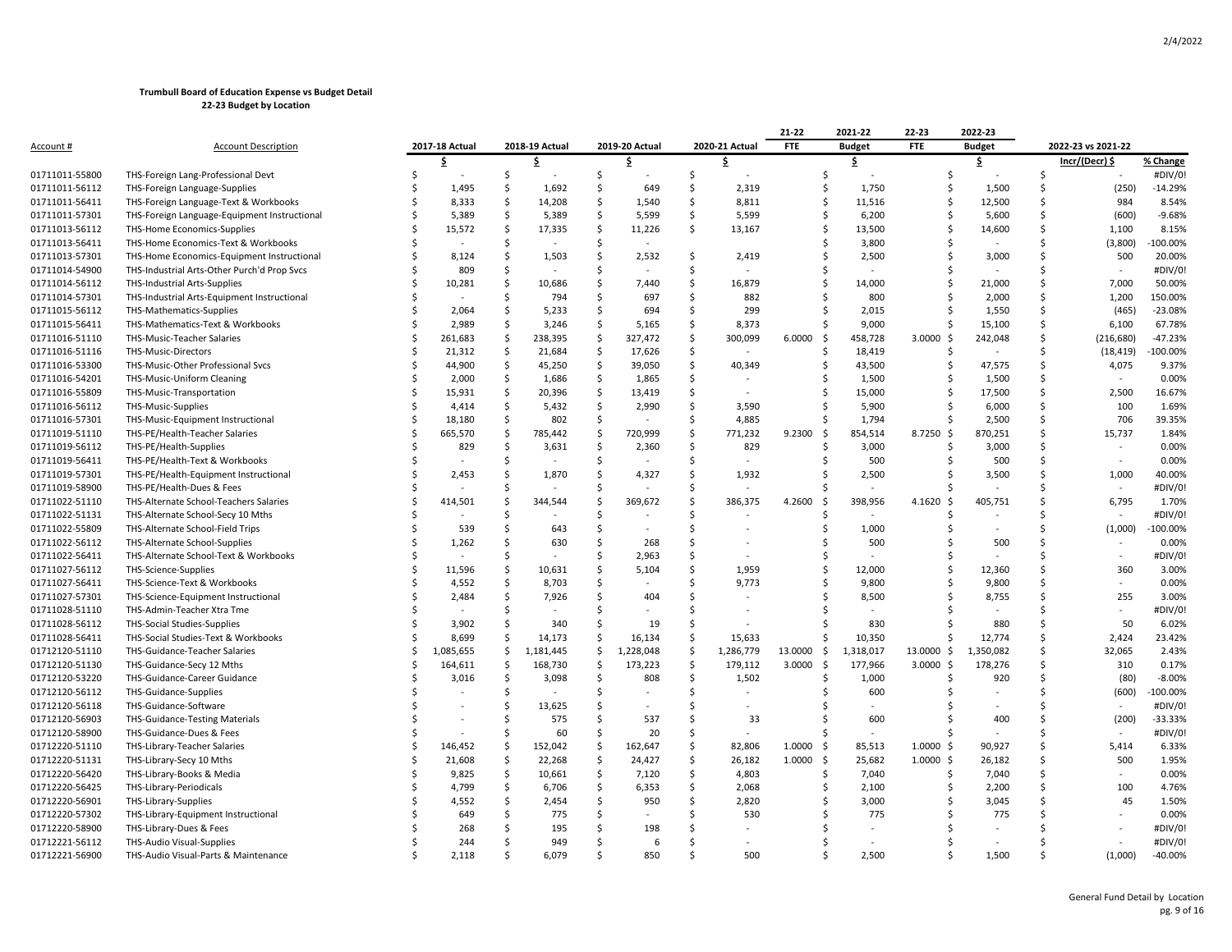|                |                                              |   |                |                     |                |                    |                |                    |                | 21-22         | 2021-22         | 22-23          | 2022-23       |         |                          |            |
|----------------|----------------------------------------------|---|----------------|---------------------|----------------|--------------------|----------------|--------------------|----------------|---------------|-----------------|----------------|---------------|---------|--------------------------|------------|
| Account #      | <b>Account Description</b>                   |   | 2017-18 Actual |                     | 2018-19 Actual |                    | 2019-20 Actual |                    | 2020-21 Actual | <b>FTE</b>    | <b>Budget</b>   | <b>FTE</b>     | <b>Budget</b> |         | 2022-23 vs 2021-22       |            |
|                |                                              |   | \$             |                     | \$             |                    | \$             |                    | \$             |               | \$.             |                | \$.           |         | Incr/(Decr) \$           | % Change   |
| 01711011-55800 | THS-Foreign Lang-Professional Devt           |   |                | \$                  |                | \$                 |                | \$                 |                |               | \$              | Ś              |               | \$      |                          | #DIV/0!    |
| 01711011-56112 | THS-Foreign Language-Supplies                |   | 1,495          | Ŝ                   | 1,692          | Ś.                 | 649            | \$                 | 2,319          |               | 1,750<br>\$     | Ś              | 1,500         | Ś       | (250)                    | $-14.29%$  |
| 01711011-56411 | THS-Foreign Language-Text & Workbooks        |   | 8,333          | Ś                   | 14,208         | -Ś                 | 1,540          | Ŝ.                 | 8,811          |               | Ś<br>11,516     | Ś              | 12,500        | Ś       | 984                      | 8.54%      |
| 01711011-57301 | THS-Foreign Language-Equipment Instructional |   | 5,389          | -\$                 | 5,389          | Ś.                 | 5,599          | Ŝ.                 | 5,599          |               | 6,200<br>Ŝ      | Ś              | 5,600         | Ŝ.      | (600)                    | $-9.68%$   |
| 01711013-56112 | <b>THS-Home Economics-Supplies</b>           |   | 15,572         | Ś                   | 17,335         | Ś.                 | 11,226         | Ŝ.                 | 13,167         |               | Ś<br>13,500     | Ś              | 14,600        | Ś       | 1,100                    | 8.15%      |
| 01711013-56411 | THS-Home Economics-Text & Workbooks          |   |                | Ś                   |                | Ś.                 |                |                    |                |               | 3,800           |                |               | Ś       | (3,800)                  | -100.00%   |
| 01711013-57301 | THS-Home Economics-Equipment Instructional   |   | 8,124          | Ś                   | 1,503          | Ś                  | 2,532          | S.                 | 2,419          |               | 2,500<br>Ś      | S              | 3,000         | Ś       | 500                      | 20.00%     |
| 01711014-54900 | THS-Industrial Arts-Other Purch'd Prop Svcs  |   | 809            | Ś                   |                | Ś                  |                | Ŝ.                 |                |               |                 |                |               | Ś       | $\sim$                   | #DIV/0!    |
| 01711014-56112 | THS-Industrial Arts-Supplies                 |   | 10,281         | $\mathsf{S}$        | 10,686         | Ś.                 | 7,440          | $\mathsf{\hat{S}}$ | 16,879         |               | Ś<br>14,000     | Ś              | 21,000        | \$      | 7,000                    | 50.00%     |
| 01711014-57301 | THS-Industrial Arts-Equipment Instructional  |   |                | Ś                   | 794            | Ś                  | 697            | Ŝ.                 | 882            |               | 800<br>Ś        | S              | 2,000         | Ś       | 1,200                    | 150.00%    |
| 01711015-56112 | THS-Mathematics-Supplies                     |   | 2,064          | <sup>5</sup>        | 5,233          | -Ś                 | 694            | -Ś                 | 299            |               | 2,015<br>S      | Ś              | 1,550         | Ŝ.      | (465)                    | $-23.08%$  |
| 01711015-56411 | THS-Mathematics-Text & Workbooks             |   | 2,989          | Ś                   | 3,246          | Ś.                 | 5,165          | Ŝ.                 | 8,373          |               | 9,000<br>Ŝ      | Ś              | 15,100        | $\zeta$ | 6,100                    | 67.78%     |
| 01711016-51110 | THS-Music-Teacher Salaries                   |   | 261,683        | -\$                 | 238,395        | -\$                | 327,472        | S.                 | 300,099        | 6.0000<br>-\$ | 458,728         | $3.0000$ \$    | 242,048       | \$      | (216, 680)               | $-47.23%$  |
| 01711016-51116 | <b>THS-Music-Directors</b>                   |   | 21,312         | $\ddot{\mathsf{S}}$ | 21,684         | $\dot{\mathsf{s}}$ | 17,626         | $\mathsf{\hat{S}}$ |                |               | 18,419<br>Ŝ     | Ś              |               | Ś       | (18, 419)                | 100.00%    |
| 01711016-53300 | THS-Music-Other Professional Svcs            |   | 44,900         | -\$                 | 45,250         | Ś.                 | 39,050         | Ŝ.                 | 40,349         |               | 43,500<br>Ś     | Ś              | 47,575        | Ś       | 4,075                    | 9.37%      |
| 01711016-54201 | THS-Music-Uniform Cleaning                   |   | 2,000          | .s                  | 1,686          | -Ś                 | 1,865          | Ŝ.                 |                |               | 1,500<br>Ś      | S              | 1,500         | Ś       |                          | 0.00%      |
|                |                                              |   |                | -\$                 |                | S.                 |                | Ŝ.                 |                |               | Ś               | S              |               | Ś       |                          |            |
| 01711016-55809 | THS-Music-Transportation                     |   | 15,931         |                     | 20,396         |                    | 13,419         |                    |                |               | 15,000          |                | 17,500        |         | 2,500                    | 16.67%     |
| 01711016-56112 | THS-Music-Supplies                           |   | 4,414          | -\$                 | 5,432          | -\$                | 2,990          | S.                 | 3,590          |               | 5,900<br>Ŝ      | Ś              | 6,000         | \$      | 100                      | 1.69%      |
| 01711016-57301 | THS-Music-Equipment Instructional            |   | 18,180         | $\ddot{\mathsf{S}}$ | 802            | S.                 |                | Ŝ.                 | 4,885          |               | 1,794<br>Ś      | S              | 2,500         | Ś       | 706                      | 39.35%     |
| 01711019-51110 | THS-PE/Health-Teacher Salaries               | Ś | 665,570        | <sub>\$</sub>       | 785,442        | $\mathsf{S}$       | 720,999        | $\mathsf{\hat{S}}$ | 771,232        | 9.2300<br>-\$ | 854,514         | 8.7250 \$      | 870,251       | Ś       | 15,737                   | 1.84%      |
| 01711019-56112 | THS-PE/Health-Supplies                       |   | 829            | Ś                   | 3,631          | -Ś                 | 2,360          | Ŝ.                 | 829            |               | 3,000           |                | 3,000         | Ś       | $\overline{\phantom{a}}$ | 0.00%      |
| 01711019-56411 | THS-PE/Health-Text & Workbooks               |   |                | Ś                   |                | <sup>5</sup>       |                | Ŝ.                 |                |               | 500<br>Ś        | S              | 500           | Ś       | $\sim$                   | 0.00%      |
| 01711019-57301 | THS-PE/Health-Equipment Instructional        |   | 2.453          | .S                  | 1,870          | <sup>5</sup>       | 4,327          | Ŝ.                 | 1,932          |               | 2,500<br>S      |                | 3,500         | Ś       | 1,000                    | 40.00%     |
| 01711019-58900 | THS-PE/Health-Dues & Fees                    |   |                | .S                  |                | -Ś                 |                | Ŝ.                 |                |               |                 |                |               | Ś       | $\sim$                   | #DIV/0!    |
| 01711022-51110 | THS-Alternate School-Teachers Salaries       |   | 414,501        | Ś                   | 344,544        | S.                 | 369,672        | Ŝ.                 | 386,375        | 4.2600<br>-\$ | 398,956         | $4.1620$ \$    | 405,751       | Ś       | 6,795                    | 1.70%      |
| 01711022-51131 | THS-Alternate School-Secy 10 Mths            |   |                | <sup>5</sup>        |                | S.                 |                | Ŝ.                 |                |               |                 |                |               | Ś       |                          | #DIV/0!    |
| 01711022-55809 | THS-Alternate School-Field Trips             |   | 539            | Ś                   | 643            | S.                 |                | Ŝ.                 |                |               | 1,000<br>S      |                |               | Ś       | (1,000)                  | -100.00%   |
| 01711022-56112 | THS-Alternate School-Supplies                |   | 1,262          | <sup>5</sup>        | 630            | -Ś                 | 268            | Ŝ.                 |                |               | 500             |                | 500           | Ś       |                          | 0.00%      |
| 01711022-56411 | THS-Alternate School-Text & Workbooks        |   |                | .S                  |                | -Ś                 | 2,963          | -Ś                 |                |               | S               |                |               | Ś       | $\sim$                   | #DIV/0!    |
| 01711027-56112 | THS-Science-Supplies                         |   | 11,596         | Ś                   | 10,631         | Ś                  | 5,104          | Ŝ.                 | 1,959          |               | \$<br>12,000    | Ś              | 12,360        | Ś       | 360                      | 3.00%      |
| 01711027-56411 | THS-Science-Text & Workbooks                 |   | 4,552          | \$                  | 8,703          | -\$                |                | S.                 | 9,773          |               | Ś<br>9,800      | Ś              | 9,800         | Ś       | $\sim$                   | 0.00%      |
| 01711027-57301 | THS-Science-Equipment Instructional          |   | 2,484          | Ś                   | 7,926          | S.                 | 404            | Ś                  |                |               | 8,500           |                | 8,755         | Ś       | 255                      | 3.00%      |
| 01711028-51110 | THS-Admin-Teacher Xtra Tme                   | Ś |                | Ŝ                   |                | Ś                  |                | <sup>\$</sup>      |                |               | Ŝ               |                |               | Ś       | $\sim$                   | #DIV/0!    |
| 01711028-56112 | THS-Social Studies-Supplies                  |   | 3,902          | Ŝ.                  | 340            | -Ś                 | 19             | -Ś                 |                |               | 830<br>S        | S              | 880           | Ŝ.      | 50                       | 6.02%      |
| 01711028-56411 | THS-Social Studies-Text & Workbooks          |   | 8,699          | Ŝ                   | 14,173         | S.                 | 16,134         | Ŝ.                 | 15,633         |               | 10,350<br>Ś     | S              | 12,774        | Ś       | 2,424                    | 23.42%     |
| 01712120-51110 | THS-Guidance-Teacher Salaries                | Ś | 1,085,655      | \$                  | 1,181,445      | \$                 | 1,228,048      | $\mathsf{\hat{S}}$ | 1,286,779      | 13.0000       | \$<br>1,318,017 | 13.0000 \$     | 1,350,082     | \$      | 32,065                   | 2.43%      |
| 01712120-51130 | THS-Guidance-Secy 12 Mths                    |   | 164,611        | $\ddot{\mathsf{S}}$ | 168,730        | $\mathsf{S}$       | 173,223        | \$                 | 179,112        | 3.0000<br>\$  | 177,966         | $3.0000$ \$    | 178,276       | Ś       | 310                      | 0.17%      |
| 01712120-53220 | THS-Guidance-Career Guidance                 |   | 3,016          | Ś                   | 3,098          | S.                 | 808            | Ŝ.                 | 1,502          |               | 1,000<br>Ś      | Ś              | 920           | Ś       | (80)                     | $-8.00%$   |
| 01712120-56112 | THS-Guidance-Supplies                        |   |                | Ś                   |                | <sup>5</sup>       |                | <sup>\$</sup>      |                |               | 600             |                |               | Ś       | (600)                    | $-100.00%$ |
| 01712120-56118 | THS-Guidance-Software                        |   |                | Ś                   | 13,625         | Ś                  |                | Ŝ.                 |                |               |                 |                |               | Ś       |                          | #DIV/0!    |
| 01712120-56903 | <b>THS-Guidance-Testing Materials</b>        |   |                | <sup>5</sup>        | 575            | Ś                  | 537            | Ŝ.                 | 33             |               | 600<br>S        |                | 400           | Ś       | (200)                    | $-33.33%$  |
| 01712120-58900 | THS-Guidance-Dues & Fees                     |   |                | Ś                   | 60             | -Ś                 | 20             | Ŝ.                 |                |               | Ś<br>$\sim$     |                |               | Ś       |                          | #DIV/0!    |
| 01712220-51110 | THS-Library-Teacher Salaries                 | Ś | 146,452        | $\zeta$             | 152,042        | $\mathsf{S}$       | 162,647        | $\mathsf{\hat{S}}$ | 82,806         | 1.0000<br>-\$ | 85,513          | $1.0000 \,$ \$ | 90,927        | Ś       | 5,414                    | 6.33%      |
| 01712220-51131 | THS-Library-Secy 10 Mths                     | Ś | 21,608         | -\$                 | 22,268         | S.                 | 24,427         | Ŝ.                 | 26,182         | 1.0000<br>-\$ | 25,682          | $1.0000 \,$ \$ | 26,182        | Ś       | 500                      | 1.95%      |
| 01712220-56420 | THS-Library-Books & Media                    | Ś | 9,825          | $\ddot{\mathsf{S}}$ | 10,661         | $\dot{\mathsf{s}}$ | 7,120          | \$                 | 4,803          |               | Ś<br>7,040      | Ś              | 7,040         | Ś       | $\sim$                   | 0.00%      |
| 01712220-56425 | THS-Library-Periodicals                      |   | 4,799          | Ŝ                   | 6,706          | Ś.                 | 6,353          | Ŝ.                 | 2,068          |               | Ś<br>2,100      |                | 2,200         | Ś       | 100                      | 4.76%      |
| 01712220-56901 |                                              |   | 4,552          | <sup>5</sup>        | 2,454          | -Ś                 | 950            | -Ś                 | 2,820          |               | Ś               | S              |               | Ś       | 45                       | 1.50%      |
|                | THS-Library-Supplies                         |   |                | Ś                   |                | Ś.                 |                | $\zeta$            |                |               | 3,000           |                | 3,045         | Ś       |                          | 0.00%      |
| 01712220-57302 | THS-Library-Equipment Instructional          |   | 649            |                     | 775            |                    |                |                    | 530            |               | 775             |                | 775           |         |                          |            |
| 01712220-58900 | THS-Library-Dues & Fees                      |   | 268            | Ŝ                   | 195            | Ś                  | 198            | Ŝ.                 |                |               |                 |                |               |         |                          | #DIV/0!    |
| 01712221-56112 | <b>THS-Audio Visual-Supplies</b>             |   | 244            |                     | 949            | Ś                  |                | Ŝ.                 |                |               |                 |                |               |         |                          | #DIV/0!    |
| 01712221-56900 | THS-Audio Visual-Parts & Maintenance         |   | 2,118          | Ś.                  | 6,079          | Ś                  | 850            | <sup>\$</sup>      | 500            |               | Ś<br>2,500      | Ś              | 1,500         | Ś       | (1,000)                  | $-40.00%$  |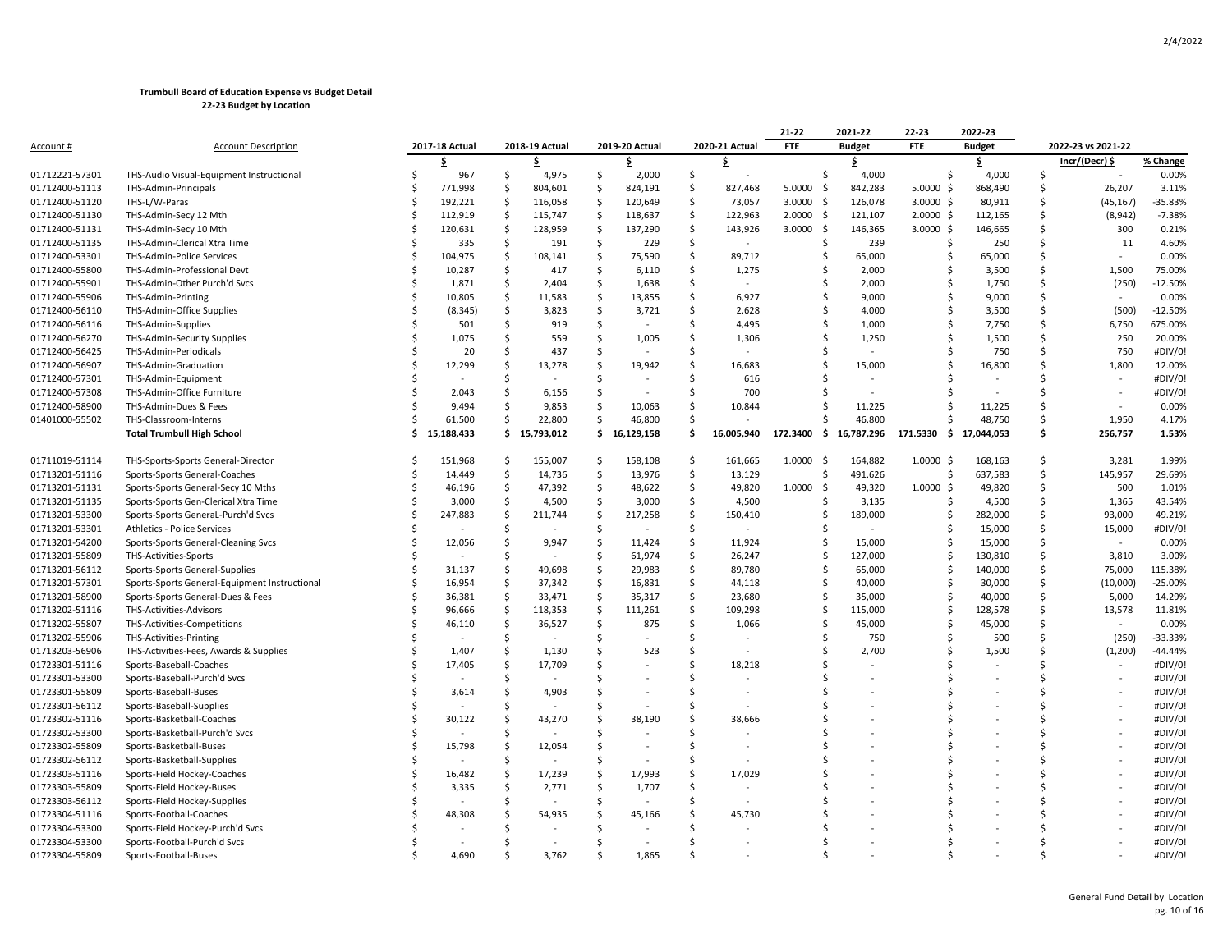|                |                                               |   |                |     |                |     |                |              |                | 21-22            | 2021-22       | 22-23          | 2022-23       |               |                    |           |
|----------------|-----------------------------------------------|---|----------------|-----|----------------|-----|----------------|--------------|----------------|------------------|---------------|----------------|---------------|---------------|--------------------|-----------|
| Account #      | <b>Account Description</b>                    |   | 2017-18 Actual |     | 2018-19 Actual |     | 2019-20 Actual |              | 2020-21 Actual | FTE              | <b>Budget</b> | FTE            | <b>Budget</b> |               | 2022-23 vs 2021-22 |           |
|                |                                               |   | \$.            |     | \$             |     | \$             |              | s              |                  | \$            |                | \$            |               | Incr/(Decr) \$     | % Change  |
| 01712221-57301 | THS-Audio Visual-Equipment Instructional      |   | 967            | Ŝ.  | 4,975          | S.  | 2,000          | S.           |                | Ś                | 4,000         | -Ś             | 4,000         | Ŝ.            |                    | 0.00%     |
| 01712400-51113 | THS-Admin-Principals                          |   | 771,998        | -\$ | 804,601        | S.  | 824,191        | S.           | 827,468        | 5.0000<br>- \$   | 842,283       | $5.0000$ \$    | 868,490       | .s            | 26,207             | 3.11%     |
| 01712400-51120 | THS-L/W-Paras                                 |   | 192,221        | -\$ | 116,058        | \$  | 120,649        | -\$          | 73,057         | 3.0000<br>-\$    | 126,078       | $3.0000$ \$    | 80,911        | Ś             | (45, 167)          | $-35.83%$ |
| 01712400-51130 | THS-Admin-Secy 12 Mth                         |   | 112,919        | -\$ | 115,747        | -\$ | 118,637        | -\$          | 122,963        | 2.0000<br>- \$   | 121,107       | $2.0000$ \$    | 112,165       | .s            | (8, 942)           | $-7.38%$  |
| 01712400-51131 | THS-Admin-Secy 10 Mth                         |   | 120,631        | -S  | 128,959        | - Ś | 137,290        | .S           | 143,926        | 3.0000<br>- \$   | 146,365       | $3.0000$ \$    | 146,665       | ς             | 300                | 0.21%     |
| 01712400-51135 | THS-Admin-Clerical Xtra Time                  |   | 335            | -\$ | 191            | \$  | 229            | -\$          |                | S                | 239           | -S             | 250           | Ŝ.            | 11                 | 4.60%     |
| 01712400-53301 | THS-Admin-Police Services                     | Ś | 104,975        | -\$ | 108,141        | -\$ | 75,590         | S.           | 89,712         | S                | 65,000        |                | 65,000        | Ś             |                    | 0.00%     |
| 01712400-55800 | THS-Admin-Professional Devt                   |   | 10,287         | -\$ | 417            | -\$ | 6,110          | S.           | 1,275          | Ŝ                | 2,000         |                | 3,500         | Ŝ             | 1,500              | 75.00%    |
| 01712400-55901 | THS-Admin-Other Purch'd Svcs                  |   | 1,871          | -\$ | 2,404          | S.  | 1,638          | Ś            |                | Ŝ                | 2,000         |                | 1,750         | Ŝ             | (250)              | $-12.50%$ |
| 01712400-55906 | THS-Admin-Printing                            |   | 10,805         | -S  | 11,583         | -Ś  | 13,855         | -Ś           | 6,927          | Ŝ                | 9,000         |                | 9,000         | Ŝ.            |                    | 0.00%     |
| 01712400-56110 | THS-Admin-Office Supplies                     |   | (8, 345)       | -\$ | 3,823          | \$  | 3,721          | S.           | 2,628          | S                | 4,000         |                | 3,500         | Ŝ             | (500)              | $-12.50%$ |
| 01712400-56116 | THS-Admin-Supplies                            |   | 501            |     | 919            | -Ś  |                | Ś            | 4,495          |                  | 1,000         |                | 7,750         | Ś             | 6,750              | 675.00%   |
| 01712400-56270 | THS-Admin-Security Supplies                   |   | 1,075          | S   | 559            | -Ś  | 1,005          | Ŝ            | 1,306          | S                | 1,250         |                | 1,500         | Ŝ.            | 250                | 20.00%    |
| 01712400-56425 | THS-Admin-Periodicals                         |   | 20             |     | 437            | -Ś  |                | Ś            |                | .S               |               |                | 750           | Ŝ.            | 750                | #DIV/0!   |
| 01712400-56907 | THS-Admin-Graduation                          |   | 12,299         |     | 13,278         | -S  | 19,942         | Ŝ            | 16,683         | S                | 15,000        |                | 16,800        | .s            | 1,800              | 12.00%    |
| 01712400-57301 | THS-Admin-Equipment                           |   |                | Ś   |                | -Ś  |                | .S           | 616            |                  |               |                |               |               |                    | #DIV/0!   |
| 01712400-57308 | THS-Admin-Office Furniture                    |   | 2,043          | Ś   | 6,156          | .\$ |                | Ś            | 700            |                  |               |                |               | \$            | $\sim$             | #DIV/0!   |
| 01712400-58900 | THS-Admin-Dues & Fees                         |   | 9,494          |     | 9,853          | -Ś  | 10,063         | Ŝ            | 10,844         | Ŝ.               | 11,225        |                | 11,225        | Ŝ.            |                    | 0.00%     |
| 01401000-55502 | THS-Classroom-Interns                         |   | 61,500         | Ŝ   | 22,800         | Ŝ.  | 46,800         | Ś            |                |                  | 46,800        |                | 48,750        | <sup>\$</sup> | 1,950              | 4.17%     |
|                | <b>Total Trumbull High School</b>             | s | 15,188,433     | \$. | 15,793,012     | \$. | 16,129,158     | . Ś          | 16,005,940     | 172.3400<br>- \$ | 16,787,296    | 171.5330<br>S. | 17,044,053    | \$            | 256,757            | 1.53%     |
|                |                                               |   |                |     |                |     |                |              |                |                  |               |                |               |               |                    |           |
| 01711019-51114 | THS-Sports-Sports General-Director            |   | 151,968        | -S  | 155,007        | -S  | 158,108        | -S           | 161,665        | 1.0000<br>- \$   | 164,882       | $1.0000$ \$    | 168,163       | Ŝ.            | 3,281              | 1.99%     |
| 01713201-51116 | Sports-Sports General-Coaches                 |   | 14,449         | -\$ | 14,736         | -\$ | 13,976         | -\$          | 13,129         | Ŝ                | 491,626       | -S             | 637,583       | Ŝ.            | 145,957            | 29.69%    |
| 01713201-51131 | Sports-Sports General-Secy 10 Mths            |   | 46,196         | -\$ | 47,392         | \$  | 48,622         | -\$          | 49,820         | 1.0000<br>\$     | 49,320        | $1.0000$ \$    | 49,820        | \$            | 500                | 1.01%     |
| 01713201-51135 | Sports-Sports Gen-Clerical Xtra Time          |   | 3,000          | -\$ | 4,500          | S.  | 3,000          | S.           | 4,500          |                  | 3,135         |                | 4,500         | Ŝ             | 1,365              | 43.54%    |
| 01713201-53300 | Sports-Sports GeneraL-Purch'd Svcs            |   | 247,883        | Ś   | 211,744        | -\$ | 217,258        | Ŝ.           | 150,410        | Ŝ                | 189,000       |                | 282,000       | Ŝ             | 93,000             | 49.21%    |
| 01713201-53301 | Athletics - Police Services                   |   |                | Ś   |                | -Ś  |                | Ŝ            |                | S                |               |                | 15,000        | .s            | 15,000             | #DIV/0!   |
| 01713201-54200 | Sports-Sports General-Cleaning Svcs           |   | 12,056         |     | 9,947          | S   | 11,424         | .S           | 11,924         | S                | 15,000        |                | 15,000        | Ŝ.            | $\blacksquare$     | 0.00%     |
| 01713201-55809 | THS-Activities-Sports                         |   |                | Ś   |                | -Ś  | 61,974         | S.           | 26,247         | S                | 127,000       | -S             | 130,810       | .s            | 3,810              | 3.00%     |
| 01713201-56112 | Sports-Sports General-Supplies                |   | 31,137         | .\$ | 49,698         | -\$ | 29,983         | S.           | 89,780         | Ŝ                | 65,000        | .S             | 140,000       | Ś             | 75,000             | 115.38%   |
| 01713201-57301 | Sports-Sports General-Equipment Instructional |   | 16,954         | .\$ | 37,342         | -\$ | 16,831         | S.           | 44,118         | Ŝ                | 40,000        | Ŝ.             | 30,000        | Ŝ             | (10,000)           | $-25.00%$ |
| 01713201-58900 | Sports-Sports General-Dues & Fees             |   | 36,381         | -\$ | 33,471         | S.  | 35,317         | -S           | 23,680         | Ŝ                | 35,000        |                | 40,000        | Ŝ             | 5,000              | 14.29%    |
| 01713202-51116 | THS-Activities-Advisors                       |   | 96,666         | Ś   | 118,353        | .\$ | 111,261        | Ś            | 109,298        | Ŝ                | 115,000       |                | 128,578       | Ŝ.            | 13,578             | 11.81%    |
| 01713202-55807 | THS-Activities-Competitions                   |   | 46,110         | -\$ | 36,527         | S.  | 875            | Ŝ.           | 1,066          | S                | 45,000        |                | 45,000        | Ŝ.            |                    | 0.00%     |
| 01713202-55906 | THS-Activities-Printing                       |   |                | Ŝ   |                |     |                | -Ś           |                |                  | 750           |                | 500           | Ś             | (250)              | -33.33%   |
| 01713203-56906 | THS-Activities-Fees, Awards & Supplies        |   | 1,407          | S   | 1,130          | Ś   | 523            | .S           |                |                  | 2,700         |                | 1,500         | Ś             | (1, 200)           | -44.44%   |
| 01723301-51116 | Sports-Baseball-Coaches                       |   | 17,405         | Ś   | 17,709         | Ś   |                | <sup>5</sup> | 18,218         |                  |               |                |               |               |                    | #DIV/0!   |
| 01723301-53300 | Sports-Baseball-Purch'd Svcs                  |   |                |     |                |     |                | Ś            |                |                  |               |                |               |               |                    | #DIV/0!   |
| 01723301-55809 | Sports-Baseball-Buses                         |   | 3,614          | -S  | 4,903          |     |                | Ś            |                |                  |               |                |               |               |                    | #DIV/0!   |
| 01723301-56112 | Sports-Baseball-Supplies                      |   |                |     |                |     |                |              |                |                  |               |                |               |               |                    | #DIV/0!   |
| 01723302-51116 | Sports-Basketball-Coaches                     |   | 30,122         |     | 43,270         |     | 38,190         | Ś            | 38,666         |                  |               |                |               |               |                    | #DIV/0!   |
| 01723302-53300 | Sports-Basketball-Purch'd Svcs                |   |                | S   |                | S   |                | Ś            |                |                  |               |                |               |               |                    | #DIV/0!   |
| 01723302-55809 | Sports-Basketball-Buses                       |   | 15,798         | S   | 12,054         | S   |                | S            |                |                  |               |                |               |               |                    | #DIV/0!   |
| 01723302-56112 | Sports-Basketball-Supplies                    |   |                | Ś   |                |     |                |              |                |                  |               |                |               |               |                    | #DIV/0!   |
| 01723303-51116 | Sports-Field Hockey-Coaches                   |   | 16,482         |     | 17,239         | \$  | 17,993         | \$           | 17,029         |                  |               |                |               |               |                    | #DIV/0!   |
| 01723303-55809 | Sports-Field Hockey-Buses                     |   | 3,335          | -S  | 2,771          | -Ś  | 1,707          | Ś            |                |                  |               |                |               |               |                    | #DIV/0!   |
| 01723303-56112 | Sports-Field Hockey-Supplies                  |   |                | Ś   |                | -Ś  |                | Ś            |                |                  |               |                |               |               |                    | #DIV/0!   |
| 01723304-51116 | Sports-Football-Coaches                       |   | 48,308         |     | 54,935         |     | 45,166         |              | 45,730         |                  |               |                |               |               |                    | #DIV/0!   |
| 01723304-53300 | Sports-Field Hockey-Purch'd Svcs              |   |                |     |                |     |                |              |                |                  |               |                |               |               |                    | #DIV/0!   |
| 01723304-53300 | Sports-Football-Purch'd Svcs                  |   |                |     |                |     |                |              |                |                  |               |                |               |               |                    | #DIV/0!   |
| 01723304-55809 | Sports-Football-Buses                         |   | 4.690          |     | 3,762          |     | 1.865          |              |                |                  |               |                |               |               |                    | #DIV/0!   |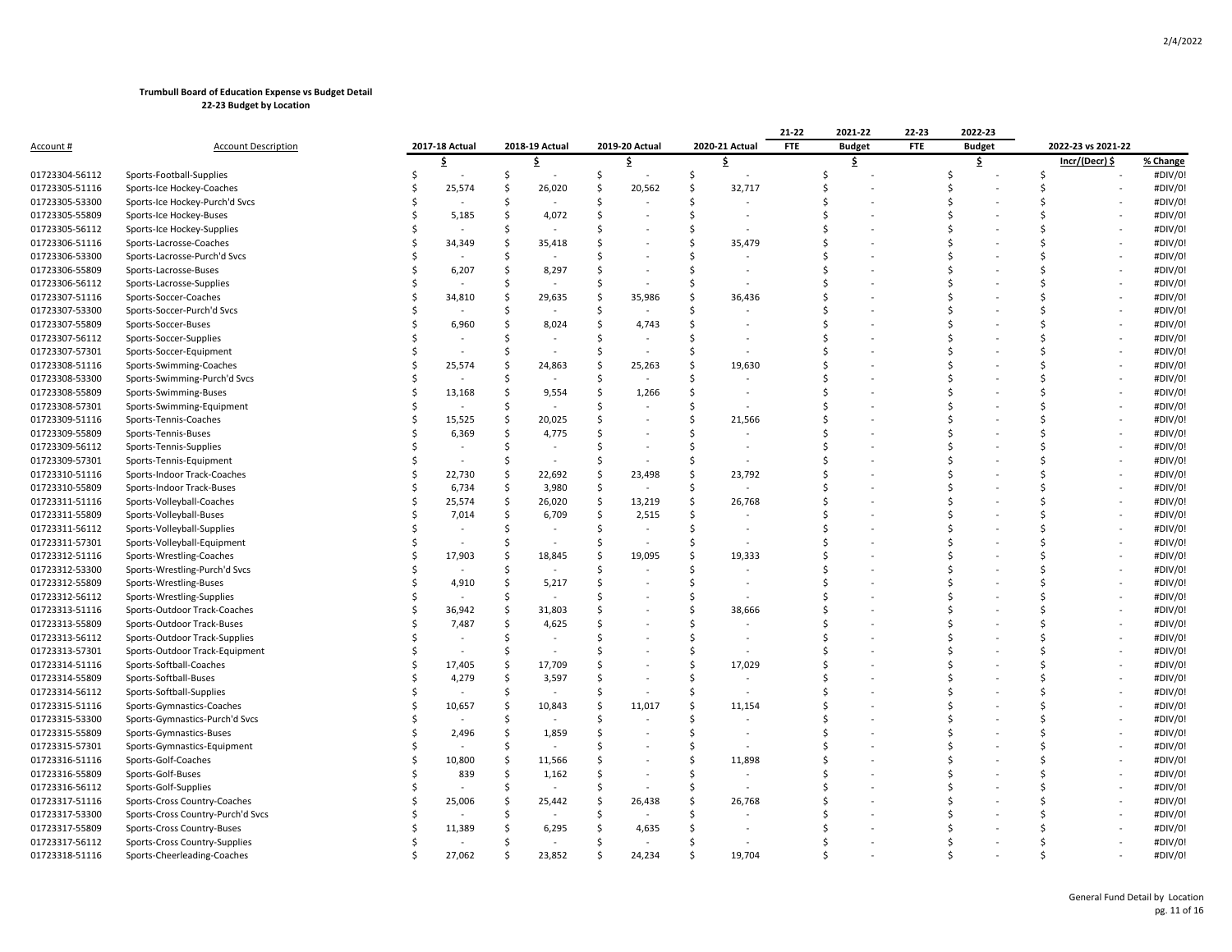|                |                                   |                |                |        |                              |                    |                          | 21-22      | 2021-22       | 22-23      | 2022-23       |    |                    |          |
|----------------|-----------------------------------|----------------|----------------|--------|------------------------------|--------------------|--------------------------|------------|---------------|------------|---------------|----|--------------------|----------|
| Account #      | <b>Account Description</b>        | 2017-18 Actual | 2018-19 Actual |        | 2019-20 Actual               |                    | 2020-21 Actual           | <b>FTE</b> | <b>Budget</b> | <b>FTE</b> | <b>Budget</b> |    | 2022-23 vs 2021-22 |          |
|                |                                   | \$             | \$             |        | \$                           |                    | \$                       |            | \$            |            | \$            |    | Incr/(Decr) \$     | % Change |
| 01723304-56112 | Sports-Football-Supplies          |                | \$             |        | \$                           | \$                 |                          | Ś          |               |            | Ś             | \$ |                    | #DIV/0!  |
| 01723305-51116 | Sports-Ice Hockey-Coaches         | 25,574         | \$             | 26,020 | $\mathsf{\hat{S}}$<br>20,562 | $\mathsf{\hat{S}}$ | 32,717                   |            |               |            |               |    |                    | #DIV/0!  |
| 01723305-53300 | Sports-Ice Hockey-Purch'd Svcs    |                | Ś              |        | Ś                            | Ŝ.                 |                          |            |               |            |               |    |                    | #DIV/0!  |
| 01723305-55809 | Sports-Ice Hockey-Buses           | 5,185          | Ś              | 4,072  | <sup>5</sup>                 | Ś                  |                          |            |               |            |               | S  |                    | #DIV/0!  |
| 01723305-56112 | Sports-Ice Hockey-Supplies        |                | Ŝ              |        |                              | Ŝ.                 |                          |            |               |            |               |    |                    | #DIV/0!  |
| 01723306-51116 | Sports-Lacrosse-Coaches           | 34,349         | .S             | 35,418 | Ś                            | Ŝ.                 | 35,479                   |            |               |            |               |    |                    | #DIV/0!  |
| 01723306-53300 | Sports-Lacrosse-Purch'd Svcs      |                |                |        |                              | Ŝ.                 |                          |            |               |            |               |    |                    | #DIV/0!  |
| 01723306-55809 | Sports-Lacrosse-Buses             | 6,207          |                | 8,297  |                              | S.                 |                          |            |               |            |               | S  |                    | #DIV/0!  |
| 01723306-56112 | Sports-Lacrosse-Supplies          |                | Ś              |        | Ś                            | Ŝ.                 |                          |            |               |            |               |    |                    | #DIV/0!  |
| 01723307-51116 | Sports-Soccer-Coaches             | 34,810         | Ŝ              | 29,635 | 35,986<br>Ŝ.                 | Ŝ.                 | 36,436                   |            |               |            |               |    |                    | #DIV/0!  |
| 01723307-53300 | Sports-Soccer-Purch'd Svcs        |                | Ś              |        | Ś                            | Ŝ.                 |                          |            |               |            |               |    |                    | #DIV/0!  |
| 01723307-55809 | Sports-Soccer-Buses               | 6,960          | Ś              | 8,024  | <sup>5</sup><br>4,743        |                    |                          |            |               |            |               | ¢  |                    | #DIV/0!  |
| 01723307-56112 | Sports-Soccer-Supplies            |                |                |        | -Ś                           |                    |                          |            |               |            |               |    |                    | #DIV/0!  |
| 01723307-57301 | Sports-Soccer-Equipment           |                | .S             |        | <sup>5</sup>                 | Ŝ.                 |                          |            |               |            |               |    |                    | #DIV/0!  |
| 01723308-51116 | Sports-Swimming-Coaches           | 25,574         | S              | 24,863 | 25,263<br>.S                 | Ŝ.                 | 19,630                   |            |               |            |               |    |                    | #DIV/0!  |
| 01723308-53300 | Sports-Swimming-Purch'd Svcs      |                | Ś              |        | Ś                            | Ŝ.                 |                          |            |               |            |               |    |                    | #DIV/0!  |
| 01723308-55809 | Sports-Swimming-Buses             | 13,168         | \$             | 9,554  | <sup>5</sup><br>1,266        | Ŝ.                 |                          |            |               |            |               |    |                    | #DIV/0!  |
| 01723308-57301 | Sports-Swimming-Equipment         |                | .S             |        | Ŝ.                           | .S                 |                          |            |               |            |               |    |                    | #DIV/0!  |
| 01723309-51116 | Sports-Tennis-Coaches             | 15,525         | \$             | 20,025 | Ś                            | Ŝ.                 | 21,566                   |            |               |            |               |    |                    | #DIV/0!  |
| 01723309-55809 | Sports-Tennis-Buses               | 6,369          | \$             | 4,775  | Ś                            | Ŝ.                 |                          |            |               |            |               |    |                    | #DIV/0!  |
| 01723309-56112 | Sports-Tennis-Supplies            |                | Ŝ              |        | <sup>5</sup>                 | Ŝ.                 | $\ddot{\phantom{1}}$     |            |               |            |               | Ś  |                    | #DIV/0!  |
| 01723309-57301 | Sports-Tennis-Equipment           |                | Ś              |        | Ś                            | Ŝ.                 |                          |            |               |            |               | ¢  |                    | #DIV/0!  |
| 01723310-51116 | Sports-Indoor Track-Coaches       | 22,730         | S              | 22,692 | 23,498<br>-Ś                 | Ŝ.                 | 23,792                   |            |               |            |               |    |                    | #DIV/0!  |
| 01723310-55809 | Sports-Indoor Track-Buses         | 6,734          | \$.            | 3,980  | -\$                          | -Ś                 |                          |            |               |            |               |    |                    | #DIV/0!  |
| 01723311-51116 | Sports-Volleyball-Coaches         | 25,574         | Ś              | 26,020 | $\mathsf{S}$<br>13,219       | Ŝ.                 | 26,768                   |            |               |            |               |    |                    | #DIV/0!  |
| 01723311-55809 | Sports-Volleyball-Buses           | 7,014          | \$             | 6,709  | \$<br>2,515                  | Ŝ.                 |                          |            |               |            |               |    |                    | #DIV/0!  |
| 01723311-56112 | Sports-Volleyball-Supplies        |                | Ś              |        | Ś                            | Ŝ.                 |                          |            |               |            |               | Ś  |                    | #DIV/0!  |
| 01723311-57301 | Sports-Volleyball-Equipment       |                |                |        | Ś                            |                    |                          |            |               |            |               |    |                    | #DIV/0!  |
| 01723312-51116 | Sports-Wrestling-Coaches          | 17,903         | Ŝ              | 18,845 | Ś<br>19,095                  | \$                 | 19,333                   |            |               |            |               |    |                    | #DIV/0!  |
| 01723312-53300 | Sports-Wrestling-Purch'd Svcs     |                |                |        | Ś                            | <sup>\$</sup>      |                          |            |               |            |               |    |                    | #DIV/0!  |
| 01723312-55809 | Sports-Wrestling-Buses            | 4,910          | S              | 5,217  | ς                            | Ŝ.                 | $\overline{\phantom{a}}$ |            |               |            |               | S  |                    | #DIV/0!  |
| 01723312-56112 | Sports-Wrestling-Supplies         |                | Ŝ              |        |                              | Ŝ.                 |                          |            |               |            |               |    |                    | #DIV/0!  |
| 01723313-51116 | Sports-Outdoor Track-Coaches      | 36,942         | Ŝ              | 31,803 |                              | Ŝ.                 | 38,666                   |            |               |            |               |    |                    | #DIV/0!  |
| 01723313-55809 | Sports-Outdoor Track-Buses        | 7,487          | Ŝ              | 4,625  |                              | Ŝ.                 |                          |            |               |            |               |    |                    | #DIV/0!  |
| 01723313-56112 | Sports-Outdoor Track-Supplies     |                | Ś              |        |                              | $\zeta$            |                          |            |               |            |               |    |                    | #DIV/0!  |
| 01723313-57301 | Sports-Outdoor Track-Equipment    |                | .S             |        |                              | Ŝ.                 |                          |            |               |            |               |    |                    | #DIV/0!  |
| 01723314-51116 | Sports-Softball-Coaches           | 17,405         | Ŝ              | 17,709 | Ś                            | Ŝ.                 | 17,029                   |            |               |            |               |    |                    | #DIV/0!  |
| 01723314-55809 | Sports-Softball-Buses             | 4,279          | \$.            | 3,597  | Ś                            | Ŝ.                 |                          |            |               |            |               |    |                    | #DIV/0!  |
| 01723314-56112 | Sports-Softball-Supplies          |                | Ś              |        | Ś                            | Ŝ.                 | ÷,                       |            |               |            |               |    |                    | #DIV/0!  |
| 01723315-51116 | Sports-Gymnastics-Coaches         | 10,657         | Ś              | 10,843 | Ś<br>11,017                  | Ŝ.                 | 11,154                   |            |               |            |               |    |                    | #DIV/0!  |
| 01723315-53300 | Sports-Gymnastics-Purch'd Svcs    |                | .S             |        | -Ś                           | -Ś                 |                          |            |               |            |               | S  |                    | #DIV/0!  |
| 01723315-55809 | Sports-Gymnastics-Buses           | 2,496          | Ŝ              | 1,859  | -Ś                           | Ŝ.                 |                          |            |               |            |               |    |                    | #DIV/0!  |
| 01723315-57301 | Sports-Gymnastics-Equipment       |                | .S             |        |                              | .S                 |                          |            |               |            |               |    |                    | #DIV/0!  |
| 01723316-51116 | Sports-Golf-Coaches               | 10,800         | \$             | 11,566 |                              | Ŝ.                 | 11,898                   |            |               |            |               |    |                    | #DIV/0!  |
| 01723316-55809 | Sports-Golf-Buses                 | 839            | Ś              | 1,162  | Ś                            | Ŝ.                 |                          |            |               |            |               |    |                    | #DIV/0!  |
| 01723316-56112 | Sports-Golf-Supplies              |                |                |        |                              |                    |                          |            |               |            |               |    |                    | #DIV/0!  |
| 01723317-51116 | Sports-Cross Country-Coaches      | 25,006         | S              | 25,442 | 26,438<br>Ŝ.                 | .S                 | 26,768                   |            |               |            |               |    |                    | #DIV/0!  |
| 01723317-53300 | Sports-Cross Country-Purch'd Svcs |                |                |        |                              |                    |                          |            |               |            |               |    |                    | #DIV/0!  |
| 01723317-55809 | Sports-Cross Country-Buses        | 11,389         |                | 6,295  | 4,635                        |                    |                          |            |               |            |               |    |                    | #DIV/0!  |
| 01723317-56112 | Sports-Cross Country-Supplies     |                |                |        |                              |                    |                          |            |               |            |               |    |                    | #DIV/0!  |
| 01723318-51116 | Sports-Cheerleading-Coaches       | 27,062         |                | 23,852 | 24,234                       |                    | 19.704                   |            |               |            |               |    |                    | #DIV/0!  |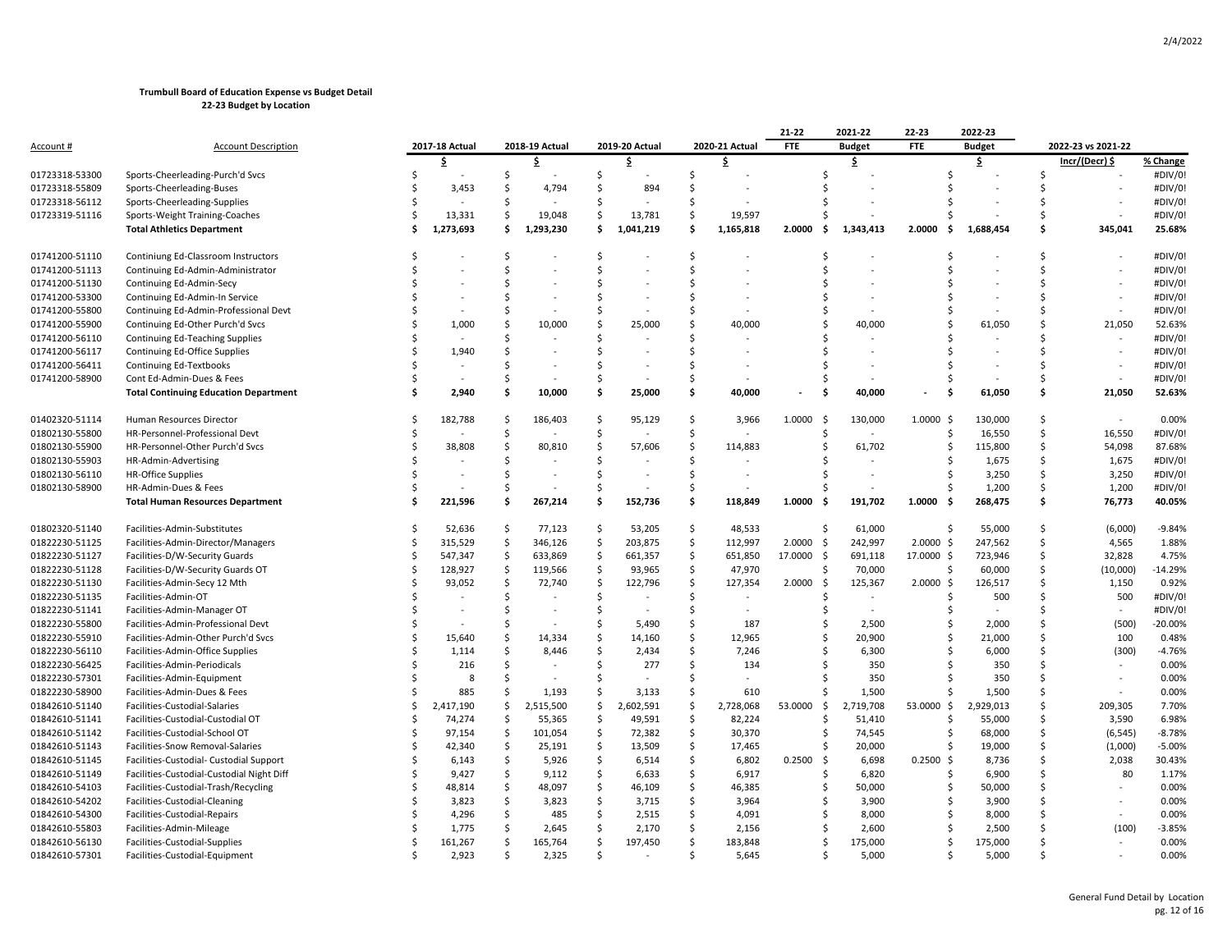|                |                                              |     |                |         |                |                    |                |                    |                | 21-22                          | 2021-22       | 22-23          | 2022-23        |               |                    |           |
|----------------|----------------------------------------------|-----|----------------|---------|----------------|--------------------|----------------|--------------------|----------------|--------------------------------|---------------|----------------|----------------|---------------|--------------------|-----------|
| Account #      | <b>Account Description</b>                   |     | 2017-18 Actual |         | 2018-19 Actual |                    | 2019-20 Actual |                    | 2020-21 Actual | FTE                            | <b>Budget</b> | <b>FTE</b>     | <b>Budget</b>  |               | 2022-23 vs 2021-22 |           |
|                |                                              |     | \$.            |         | \$             |                    | \$             |                    | \$             |                                | \$.           |                | \$             |               | Incr/(Decr) \$     | % Change  |
| 01723318-53300 | Sports-Cheerleading-Purch'd Svcs             |     |                | Ś       |                | Ś                  |                | Ś                  |                | Ŝ.                             |               |                |                | Ŝ.            |                    | #DIV/0!   |
| 01723318-55809 | Sports-Cheerleading-Buses                    |     | 3,453          | S       | 4,794          | \$                 | 894            | \$                 |                |                                |               |                |                |               |                    | #DIV/0!   |
| 01723318-56112 | Sports-Cheerleading-Supplies                 |     |                | Ś       |                | Ś                  |                | Ś                  |                |                                |               |                |                |               |                    | #DIV/0!   |
| 01723319-51116 | Sports-Weight Training-Coaches               |     | 13,331         | \$      | 19,048         | \$                 | 13,781         | \$                 | 19,597         | Š.                             |               |                |                | Ŝ.            |                    | #DIV/0!   |
|                | <b>Total Athletics Department</b>            |     | 1,273,693      | Ś       | 1,293,230      | \$                 | 1,041,219      | Ŝ.                 | 1,165,818      | 2.0000<br>\$.                  | 1,343,413     | 2.0000<br>Ŝ.   | 1,688,454      | Ŝ             | 345,041            | 25.68%    |
|                |                                              |     |                |         |                |                    |                |                    |                |                                |               |                |                |               |                    |           |
| 01741200-51110 | Continiung Ed-Classroom Instructors          |     |                | Ŝ       |                | Ś                  |                | S.                 |                | Ŝ                              |               | Ś              |                | \$            |                    | #DIV/0!   |
| 01741200-51113 | Continuing Ed-Admin-Administrator            |     |                | Ś       |                | Ś                  |                | Ś                  |                | Š.                             |               |                |                | Ŝ.            |                    | #DIV/0!   |
| 01741200-51130 | Continuing Ed-Admin-Secy                     |     |                | Ś       |                | Ś                  |                | Ś                  |                | S                              |               |                |                | ς.            |                    | #DIV/0!   |
| 01741200-53300 | Continuing Ed-Admin-In Service               |     |                | S       |                | S                  |                | \$                 |                | S                              |               |                |                | ς             |                    | #DIV/0!   |
| 01741200-55800 | Continuing Ed-Admin-Professional Devt        |     |                | Ś       |                | Ś                  |                | Ś                  |                |                                |               |                |                |               |                    | #DIV/0!   |
| 01741200-55900 | Continuing Ed-Other Purch'd Svcs             |     | 1,000          | Ś       | 10,000         | Ś                  | 25,000         | Ś                  | 40,000         | Ŝ                              | 40,000        |                | 61,050         | ς.            | 21,050             | 52.63%    |
| 01741200-56110 | Continuing Ed-Teaching Supplies              |     |                | S       |                | Ś                  |                | Ś                  |                |                                |               |                |                |               |                    | #DIV/0!   |
| 01741200-56117 | Continuing Ed-Office Supplies                |     | 1,940          | Ś       |                | Ś                  |                | Ś                  |                |                                |               |                |                |               |                    | #DIV/0!   |
| 01741200-56411 | <b>Continuing Ed-Textbooks</b>               |     |                | Ŝ       |                | Ś                  |                | Ś                  |                |                                |               |                |                |               |                    | #DIV/0!   |
| 01741200-58900 | Cont Ed-Admin-Dues & Fees                    |     |                | Ś       |                | Ś                  |                | Ś                  |                |                                |               |                |                | Ś             |                    | #DIV/0!   |
|                | <b>Total Continuing Education Department</b> |     | 2,940          | . Ś     | 10,000         | -\$                | 25,000         | Ś.                 | 40,000         | . Ś<br>$\overline{a}$          | 40,000        | Ŝ.             | 61,050         | \$            | 21,050             | 52.63%    |
|                |                                              |     |                |         |                |                    |                |                    |                |                                |               |                |                |               |                    |           |
| 01402320-51114 | Human Resources Director                     |     | 182,788        | -\$     | 186,403        | -\$                | 95,129         | S.                 | 3,966          | 1.0000<br>-\$                  | 130,000       | $1.0000$ \$    | 130,000        | \$            | $\sim$             | 0.00%     |
| 01802130-55800 | HR-Personnel-Professional Devt               |     |                | Ś       |                | Ś                  |                | Ś                  |                | Ŝ.                             |               | Ŝ.             | 16,550         | Ś.            | 16,550             | #DIV/0!   |
| 01802130-55900 | HR-Personnel-Other Purch'd Svcs              |     | 38,808         | Ś       | 80,810         | Ś                  | 57,606         | Ŝ                  | 114,883        | S                              | 61,702        | -S             | 115,800        | Ŝ             | 54,098             | 87.68%    |
| 01802130-55903 | HR-Admin-Advertising                         |     |                | Ś       |                | Ś                  |                | Ś                  |                |                                |               |                | 1,675          | Ś             | 1,675              | #DIV/0!   |
| 01802130-56110 | <b>HR-Office Supplies</b>                    |     |                | Ś       |                | Ś                  |                | \$                 |                |                                |               |                | 3,250          | Ŝ.            | 3,250              | #DIV/0!   |
| 01802130-58900 | HR-Admin-Dues & Fees                         |     |                |         |                | Ś                  |                | Ś                  |                |                                |               |                | 1,200          | Ś.            | 1,200              | #DIV/0!   |
|                | <b>Total Human Resources Department</b>      | . Ś | 221,596        | Ś.      | 267,214        | -\$                | 152,736        | -\$                | 118,849        | 1.0000<br>$\ddot{\mathsf{s}}$  | 191,702       | 1.0000<br>-\$  | 268,475        | \$            | 76,773             | 40.05%    |
|                |                                              |     |                |         |                |                    |                |                    |                |                                |               |                |                |               |                    |           |
| 01802320-51140 | Facilities-Admin-Substitutes                 |     | 52,636         | -\$     | 77,123         | S.                 | 53,205         | \$                 | 48,533         |                                | Ś.<br>61,000  | Ŝ.             | 55,000         | \$            | (6,000)            | $-9.84%$  |
| 01822230-51125 | Facilities-Admin-Director/Managers           | S   | 315,529        | -\$     | 346,126        | S.                 | 203,875        | \$                 | 112,997        | 2.0000<br>\$                   | 242,997       | $2.0000$ \$    | 247,562        | Ŝ.            | 4,565              | 1.88%     |
| 01822230-51127 | Facilities-D/W-Security Guards               |     | 547,347        | -Ś      | 633,869        | S.                 | 661,357        | Ŝ.                 | 651,850        | 17.0000<br>Ŝ.                  | 691,118       | 17.0000 \$     | 723,946        | Ś             | 32,828             | 4.75%     |
| 01822230-51128 | Facilities-D/W-Security Guards OT            |     | 128,927        | -\$     | 119,566        | \$                 | 93,965         | $\mathsf{\hat{S}}$ | 47,970         | Ŝ                              | 70,000        | -Ś             | 60,000         | Ŝ.            | (10,000)           | $-14.29%$ |
| 01822230-51130 | Facilities-Admin-Secy 12 Mth                 |     | 93,052         | Ś       | 72,740         | .\$                | 122,796        | Ś                  | 127,354        | 2.0000<br>-\$                  | 125,367       | 2.0000<br>-\$  | 126,517        | Ŝ.            | 1,150              | 0.92%     |
| 01822230-51135 | Facilities-Admin-OT                          |     |                | Ś       |                | .\$                |                | Ś                  |                | S                              |               |                | 500            | Ŝ.            | 500                | #DIV/0!   |
| 01822230-51141 | Facilities-Admin-Manager OT                  |     |                | Ś       |                | Ś                  |                | Ś                  |                |                                |               |                | $\blacksquare$ | \$            | $\sim$             | #DIV/0!   |
| 01822230-55800 | Facilities-Admin-Professional Devt           |     |                | S       |                | Ś                  | 5,490          | -S                 | 187            | S                              | 2,500         |                | 2,000          | .s            | (500)              | $-20.00%$ |
| 01822230-55910 | Facilities-Admin-Other Purch'd Svcs          |     | 15,640         | Ś       | 14,334         | Ś                  | 14,160         | Ŝ.                 | 12,965         | Ś                              | 20,900        |                | 21,000         | <sup>\$</sup> | 100                | 0.48%     |
| 01822230-56110 | Facilities-Admin-Office Supplies             |     | 1,114          | Ś       | 8,446          | -\$                | 2,434          | Ś                  | 7,246          | S                              | 6,300         |                | 6,000          | Ś             | (300)              | $-4.76%$  |
| 01822230-56425 | Facilities-Admin-Periodicals                 |     | 216            | Ś       |                | Ś                  | 277            | Ŝ.                 | 134            |                                | 350           |                | 350            | Ś             |                    | 0.00%     |
| 01822230-57301 | Facilities-Admin-Equipment                   |     | 8              | Ś       |                | Ś                  |                | Ś                  |                |                                | 350           |                | 350            | Ŝ.            |                    | 0.00%     |
| 01822230-58900 | Facilities-Admin-Dues & Fees                 |     | 885            |         | 1,193          | Ś                  | 3,133          | .S                 | 610            |                                | 1,500         |                | 1,500          | Ŝ.            |                    | 0.00%     |
| 01842610-51140 | Facilities-Custodial-Salaries                | S   | 2,417,190      | -\$     | 2,515,500      | $\mathsf{\hat{S}}$ | 2,602,591      | S.                 | 2,728,068      | 53.0000<br>$\ddot{\mathsf{S}}$ | 2,719,708     | 53.0000<br>-\$ | 2,929,013      | Ŝ.            | 209,305            | 7.70%     |
| 01842610-51141 | Facilities-Custodial-Custodial OT            |     | 74,274         | -Ś      | 55,365         | Ŝ.                 | 49,591         | Ŝ.                 | 82,224         | Ŝ.                             | 51,410        | Ŝ.             | 55,000         | Ŝ.            | 3,590              | 6.98%     |
| 01842610-51142 | Facilities-Custodial-School OT               |     | 97,154         | -\$     | 101,054        | S.                 | 72,382         | S.                 | 30,370         | \$                             | 74,545        | Ŝ.             | 68,000         | Ŝ.            | (6, 545)           | $-8.78%$  |
| 01842610-51143 | Facilities-Snow Removal-Salaries             | Ś   | 42,340         | -\$     | 25,191         | $\mathsf{\hat{S}}$ | 13,509         | $\mathsf{\hat{S}}$ | 17,465         |                                | \$<br>20,000  | -Ś             | 19,000         | Ŝ.            | (1,000)            | $-5.00%$  |
| 01842610-51145 | Facilities-Custodial- Custodial Support      |     | 6,143          | -Ś      | 5,926          | -Ś                 | 6,514          | -\$                | 6,802          | 0.2500<br>-\$                  | 6,698         | $0.2500$ \$    | 8,736          | Ŝ.            | 2,038              | 30.43%    |
| 01842610-51149 | Facilities-Custodial-Custodial Night Diff    |     | 9,427          | $\zeta$ | 9,112          | \$                 | 6,633          | -\$                | 6,917          | S                              | 6,820         | Ŝ.             | 6,900          | Ŝ.            | 80                 | 1.17%     |
| 01842610-54103 | Facilities-Custodial-Trash/Recycling         |     | 48,814         | Ś       | 48,097         | S.                 | 46,109         | Ŝ.                 | 46,385         | Ś                              | 50,000        | Ŝ.             | 50,000         | Ś             |                    | 0.00%     |
| 01842610-54202 | Facilities-Custodial-Cleaning                |     | 3,823          | -Ś      | 3,823          | Ŝ.                 | 3,715          | Ŝ.                 | 3,964          | Ŝ.                             | 3,900         |                | 3,900          | Ŝ.            |                    | 0.00%     |
| 01842610-54300 | Facilities-Custodial-Repairs                 |     | 4,296          | -Ś      | 485            | -Ś                 | 2,515          | .s                 | 4,091          | S                              | 8,000         |                | 8,000          | Ŝ.            |                    | 0.00%     |
| 01842610-55803 | Facilities-Admin-Mileage                     |     | 1,775          | Ś       | 2,645          | -Ś                 | 2,170          | Ś                  | 2,156          | S                              | 2,600         | S              | 2,500          | Ś             | (100)              | $-3.85%$  |
| 01842610-56130 | Facilities-Custodial-Supplies                |     | 161,267        | Ś       | 165,764        | Ś                  | 197,450        | Ś                  | 183,848        | Ŝ                              | 175,000       |                | 175,000        |               |                    | 0.00%     |
| 01842610-57301 |                                              |     | 2,923          | \$      | 2,325          | Ś                  |                | Ś                  |                |                                | Ŝ.            | $\zeta$        | 5,000          |               |                    | 0.00%     |
|                | Facilities-Custodial-Equipment               |     |                |         |                |                    |                |                    | 5,645          |                                | 5,000         |                |                |               |                    |           |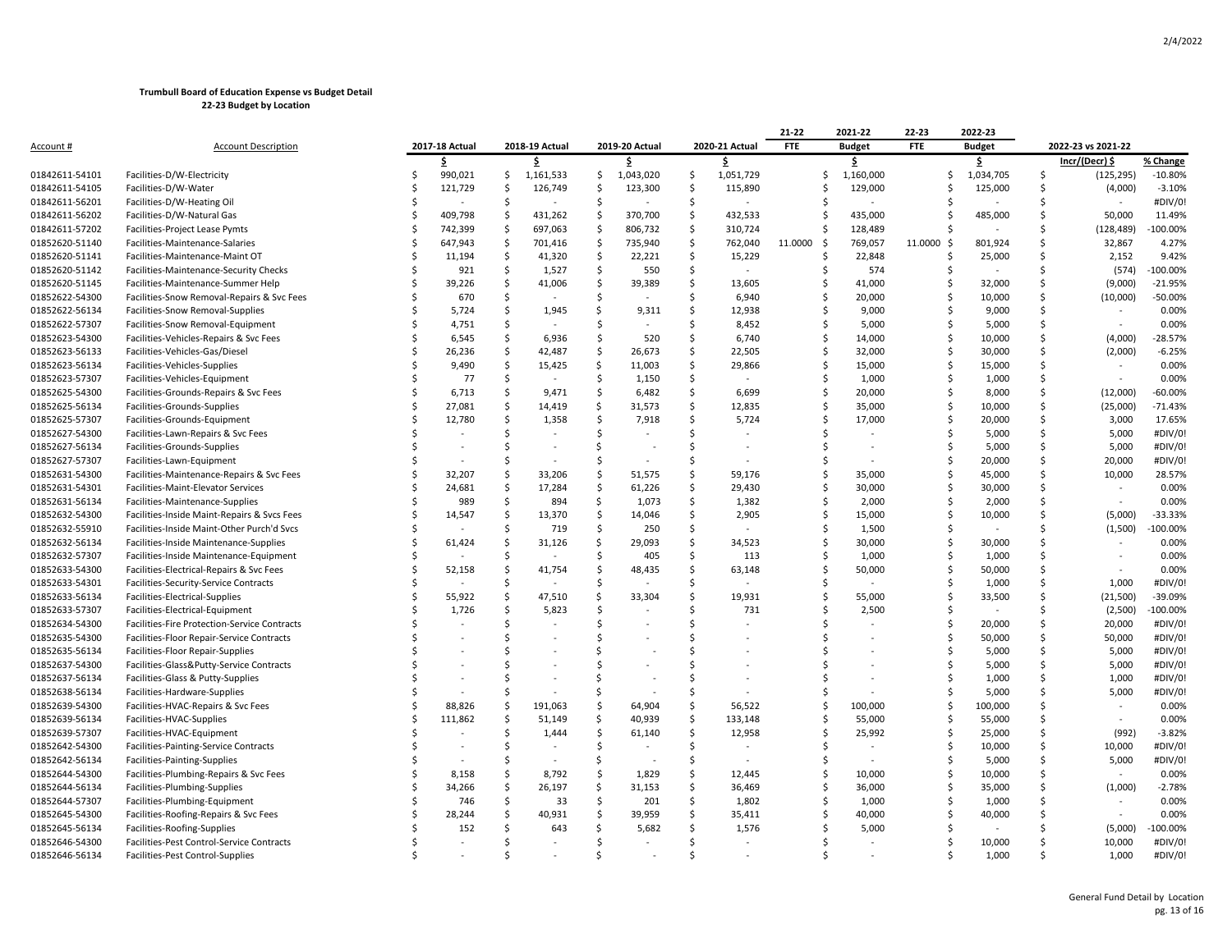|                |                                              |   |                                  |         |           |                    |           |         |                | 21-22          | 2021-22       | 22-23          | 2022-23         |    |                          |                    |
|----------------|----------------------------------------------|---|----------------------------------|---------|-----------|--------------------|-----------|---------|----------------|----------------|---------------|----------------|-----------------|----|--------------------------|--------------------|
| Account #      | <b>Account Description</b>                   |   | 2017-18 Actual<br>2018-19 Actual |         |           | 2019-20 Actual     |           |         | 2020-21 Actual | <b>FTE</b>     | <b>Budget</b> | <b>FTE</b>     | <b>Budget</b>   |    |                          | 2022-23 vs 2021-22 |
|                |                                              |   | \$                               |         | \$        |                    | \$.       |         |                |                | \$            |                | \$              |    | Incr/(Decr) \$           | % Change           |
| 01842611-54101 | Facilities-D/W-Electricity                   |   | 990,021                          | \$      | 1,161,533 | \$                 | 1,043,020 | \$      | 1,051,729      | Ŝ              | 1,160,000     |                | 1,034,705<br>\$ | S. | (125, 295)               | $-10.80%$          |
| 01842611-54105 | Facilities-D/W-Water                         |   | 121,729                          | Š.      | 126,749   | Ś                  | 123,300   | Ś       | 115,890        | .S             | 129,000       |                | 125,000<br>S    | Ś  | (4,000)                  | $-3.10%$           |
| 01842611-56201 | Facilities-D/W-Heating Oil                   |   |                                  | .s      |           | Ŝ.                 |           | Ŝ.      |                |                |               |                |                 | Ś  |                          | #DIV/0!            |
| 01842611-56202 | Facilities-D/W-Natural Gas                   | Ŝ | 409,798                          | -\$     | 431,262   | -Ś                 | 370,700   | \$      | 432,533        | .S             | 435,000       |                | 485,000<br>Ś    | Ś  | 50,000                   | 11.49%             |
| 01842611-57202 | Facilities-Project Lease Pymts               |   | 742,399                          | -\$     | 697,063   | -\$                | 806,732   | \$      | 310,724        | Ŝ              | 128,489       |                | S               | Ś  | (128, 489)               | $-100.00%$         |
| 01852620-51140 | Facilities-Maintenance-Salaries              |   | 647,943                          | $\zeta$ | 701,416   | $\zeta$            | 735,940   | $\zeta$ | 762,040        | 11.0000<br>-\$ | 769,057       | 11.0000<br>-\$ | 801,924         | Ś  | 32,867                   | 4.27%              |
| 01852620-51141 | Facilities-Maintenance-Maint OT              |   | 11,194                           | Ŝ.      | 41,320    | $\mathsf{S}$       | 22,221    | Ś       | 15,229         |                | 22,848        | Ś              | 25,000          | Ś  | 2,152                    | 9.42%              |
| 01852620-51142 | Facilities-Maintenance-Security Checks       |   | 921                              | -Ś      | 1,527     | -\$                | 550       | -Ś      |                | -S             | 574           |                | Ś               | Ś  | (574)                    | $-100.00%$         |
| 01852620-51145 | Facilities-Maintenance-Summer Help           |   | 39,226                           | Š.      | 41,006    | Ś                  | 39,389    | Ś       | 13,605         |                | 41,000        | Ŝ.             | 32,000          | Ś  | (9,000)                  | $-21.95%$          |
| 01852622-54300 | Facilities-Snow Removal-Repairs & Svc Fees   |   | 670                              | Ś       |           | Ś                  |           | Ś       | 6,940          | -S             | 20,000        | \$             | 10,000          | \$ | (10,000)                 | -50.00%            |
| 01852622-56134 | Facilities-Snow Removal-Supplies             |   | 5,724                            | Ś       | 1,945     | Ś                  | 9,311     | Ś       | 12,938         |                | 9,000         |                | 9,000<br>Ś      | Ś  |                          | 0.00%              |
| 01852622-57307 | Facilities-Snow Removal-Equipment            |   | 4,751                            | Ś       |           | Ś                  |           | Ś       | 8,452          | Ŝ              | 5,000         |                | Ś<br>5,000      | Ś  |                          | 0.00%              |
| 01852623-54300 | Facilities-Vehicles-Repairs & Svc Fees       |   | 6,545                            | S       | 6,936     | Ś                  | 520       | S       | 6,740          | -S             | 14,000        | Ś              | 10,000          | Ś  | (4,000)                  | $-28.57%$          |
| 01852623-56133 | Facilities-Vehicles-Gas/Diesel               |   | 26,236                           | Š.      | 42,487    | Ś                  | 26,673    | Ś       | 22,505         |                | 32,000        | Ŝ              | 30,000          | Ś  | (2,000)                  | $-6.25%$           |
| 01852623-56134 | Facilities-Vehicles-Supplies                 |   | 9,490                            | Ś       | 15,425    | \$                 | 11,003    | \$      | 29,866         | .S             | 15,000        | Ś              | 15,000          | Ś  |                          | 0.00%              |
| 01852623-57307 | Facilities-Vehicles-Equipment                |   | 77                               | Ŝ       |           | Ś                  | 1,150     | \$      |                |                | 1,000         |                | 1,000<br>Ś      | Ś  |                          | 0.00%              |
| 01852625-54300 | Facilities-Grounds-Repairs & Svc Fees        |   | 6,713                            | Š.      | 9,471     | Ś                  | 6,482     | Ś       | 6,699          | Ŝ              | 20,000        | Ś              | 8,000           | Ś  | (12,000)                 | $-60.00%$          |
| 01852625-56134 | Facilities-Grounds-Supplies                  |   | 27,081                           | Ś       | 14,419    | Ś                  | 31,573    | Ś       | 12,835         | Ŝ              | 35,000        | Ś              | 10,000          | Ś  | (25,000)                 | $-71.43%$          |
| 01852625-57307 | Facilities-Grounds-Equipment                 |   | 12,780                           | Š.      | 1,358     | $\mathsf{\hat{S}}$ | 7,918     | Ś       | 5,724          |                | 17,000        |                | Ŝ<br>20,000     | Ś  | 3,000                    | 17.65%             |
| 01852627-54300 | Facilities-Lawn-Repairs & Svc Fees           |   |                                  | Ś       |           | Ś                  |           | Ś       |                |                |               |                | 5,000           | Ś  | 5,000                    | #DIV/0!            |
| 01852627-56134 | Facilities-Grounds-Supplies                  |   |                                  | Ś       |           | .S                 |           | Ś       |                |                |               |                | 5,000<br>Ś      | Ś  | 5,000                    | #DIV/0!            |
| 01852627-57307 | Facilities-Lawn-Equipment                    |   |                                  | Ś       |           | Ś                  |           | Ś       |                |                |               | Ś              | 20,000          | Ś  | 20,000                   | #DIV/0!            |
| 01852631-54300 | Facilities-Maintenance-Repairs & Svc Fees    |   | 32,207                           | S       | 33,206    | \$                 | 51,575    | \$      | 59,176         | Ŝ              | 35,000        | Ś              | 45,000          | Ś  | 10,000                   | 28.57%             |
| 01852631-54301 | Facilities-Maint-Elevator Services           |   | 24,681                           | Ś       | 17,284    | \$                 | 61,226    | Ś       | 29,430         |                | 30,000        |                | Ś<br>30,000     | Ś  | $\blacksquare$           | 0.00%              |
| 01852631-56134 | Facilities-Maintenance-Supplies              |   | 989                              | Ŝ.      | 894       | Ŝ.                 | 1,073     | Ś       | 1,382          | Ŝ.             | 2,000         | Ŝ              | 2,000           | Ś  |                          | 0.00%              |
| 01852632-54300 | Facilities-Inside Maint-Repairs & Svcs Fees  |   | 14,547                           | -Ś      | 13,370    | -\$                | 14,046    | -Ś      | 2,905          | .S             | 15,000        | Ŝ.             | 10,000          | Ś  | (5,000)                  | -33.33%            |
| 01852632-55910 | Facilities-Inside Maint-Other Purch'd Svcs   |   |                                  | Ś       | 719       | $\mathsf{S}$       | 250       | Ś       |                |                | 1,500         |                | Ś               | Ś  | (1,500)                  | 100.00%            |
| 01852632-56134 | Facilities-Inside Maintenance-Supplies       |   | 61,424                           | Ś       | 31,126    | S,                 | 29,093    | Ś       | 34,523         | Ŝ              | 30,000        |                | Ś.<br>30,000    | Ś  |                          | 0.00%              |
| 01852632-57307 | Facilities-Inside Maintenance-Equipment      |   |                                  | Ś       |           | Ś                  | 405       | Ś       | 113            |                | 1,000         |                | 1,000<br>Ś      | Ś  | $\overline{\phantom{a}}$ | 0.00%              |
| 01852633-54300 | Facilities-Electrical-Repairs & Svc Fees     |   | 52,158                           | Ś       | 41,754    | Ś                  | 48,435    | Ś       | 63,148         |                | 50,000        | Ŝ              | 50,000          | Ś  |                          | 0.00%              |
| 01852633-54301 | Facilities-Security-Service Contracts        |   |                                  |         |           | Ś                  |           |         |                |                |               |                | 1,000           | Ś  | 1,000                    | #DIV/0!            |
| 01852633-56134 | Facilities-Electrical-Supplies               |   | 55,922                           | \$      | 47,510    | \$                 | 33,304    | \$      | 19,931         |                | 55,000        |                | 33,500<br>Ś     | Ś  | (21, 500)                | -39.09%            |
| 01852633-57307 | Facilities-Electrical-Equipment              |   | 1,726                            | Ś       | 5,823     | Ś                  |           | Ś       | 731            |                | 2,500         | Ŝ              |                 | Ś  | (2,500)                  | 100.00%            |
| 01852634-54300 | Facilities-Fire Protection-Service Contracts |   |                                  | Ś       |           | Ś                  |           | Ś       |                |                |               | Ś              | 20,000          | Ś  | 20,000                   | #DIV/0!            |
| 01852635-54300 | Facilities-Floor Repair-Service Contracts    |   |                                  |         |           | \$                 |           | Ś       |                |                |               | Ŝ.             | 50,000          | Ś  | 50,000                   | #DIV/0!            |
| 01852635-56134 | Facilities-Floor Repair-Supplies             |   |                                  | S       |           | Ŝ.                 |           | Ś       |                |                |               |                | 5,000<br>Ś      | Ś  | 5,000                    | #DIV/0!            |
| 01852637-54300 | Facilities-Glass&Putty-Service Contracts     |   |                                  |         |           | Ś                  |           | Ś       |                |                |               |                | 5,000           | Ś  | 5,000                    | #DIV/0!            |
| 01852637-56134 | Facilities-Glass & Putty-Supplies            |   |                                  | Ś       |           | Ś                  |           | Ś       |                |                |               |                | Ś<br>1,000      | Ś  | 1,000                    | #DIV/0!            |
| 01852638-56134 | Facilities-Hardware-Supplies                 |   |                                  | Ś       |           | <sup>\$</sup>      |           | Ś       |                |                |               |                | 5,000<br>Ś      | Ś  | 5,000                    | #DIV/0!            |
| 01852639-54300 | Facilities-HVAC-Repairs & Svc Fees           |   | 88,826                           | \$      | 191,063   | Ś                  | 64,904    | Ś       | 56,522         | -Ś             | 100,000       | Ś              | 100,000         | Ś  |                          | 0.00%              |
| 01852639-56134 | Facilities-HVAC-Supplies                     |   | 111,862                          | .s      | 51,149    | \$                 | 40,939    | Ś       | 133,148        |                | 55,000        |                | 55,000<br>Ŝ     | Ś  | $\blacksquare$           | 0.00%              |
| 01852639-57307 | Facilities-HVAC-Equipment                    |   |                                  | Ś       | 1,444     | Ś                  | 61,140    | Ś       | 12,958         |                | 25,992        | Ŝ.             | 25,000          | Ś  | (992)                    | $-3.82%$           |
| 01852642-54300 | Facilities-Painting-Service Contracts        |   |                                  | Ś       |           | Ś                  |           | Ś       |                |                |               | Ŝ              | 10,000          | Ś  | 10,000                   | #DIV/0!            |
| 01852642-56134 | Facilities-Painting-Supplies                 |   |                                  | S       |           | Ŝ.                 |           |         |                |                |               |                | 5,000           | Ś  | 5,000                    | #DIV/0!            |
| 01852644-54300 | Facilities-Plumbing-Repairs & Svc Fees       |   | 8,158                            | \$      | 8,792     | \$                 | 1,829     | \$      | 12,445         | Ŝ.             | 10,000        | Ś              | 10,000          | Ś  |                          | 0.00%              |
| 01852644-56134 | Facilities-Plumbing-Supplies                 |   | 34,266                           | \$      | 26,197    | \$                 | 31,153    | \$      | 36,469         | S              | 36,000        | Ŝ              | 35,000          | Ś  | (1,000)                  | $-2.78%$           |
| 01852644-57307 | Facilities-Plumbing-Equipment                |   | 746                              | Š.      | 33        | Ś                  | 201       | Ś       | 1,802          |                | 1,000         |                | 1,000<br>Ś      | Ś  |                          | 0.00%              |
| 01852645-54300 | Facilities-Roofing-Repairs & Svc Fees        |   | 28,244                           |         | 40,931    | \$                 | 39,959    | Ś       | 35,411         |                | 40,000        |                | 40,000          |    |                          | 0.00%              |
| 01852645-56134 | Facilities-Roofing-Supplies                  |   | 152                              | Ŝ       | 643       | Ś                  | 5,682     | Ś       | 1,576          |                | 5,000         |                |                 |    | (5,000)                  | 100.00%            |
| 01852646-54300 | Facilities-Pest Control-Service Contracts    |   |                                  | Ś       |           | Ś                  |           | Ś       |                |                |               |                | 10,000<br>Ś     | Ś  | 10,000                   | #DIV/0!            |
| 01852646-56134 | Facilities-Pest Control-Supplies             |   |                                  |         |           | $\zeta$            |           |         |                |                |               |                | 1,000<br>ς.     | ς  | 1,000                    | #DIV/0!            |
|                |                                              |   |                                  |         |           |                    |           |         |                |                |               |                |                 |    |                          |                    |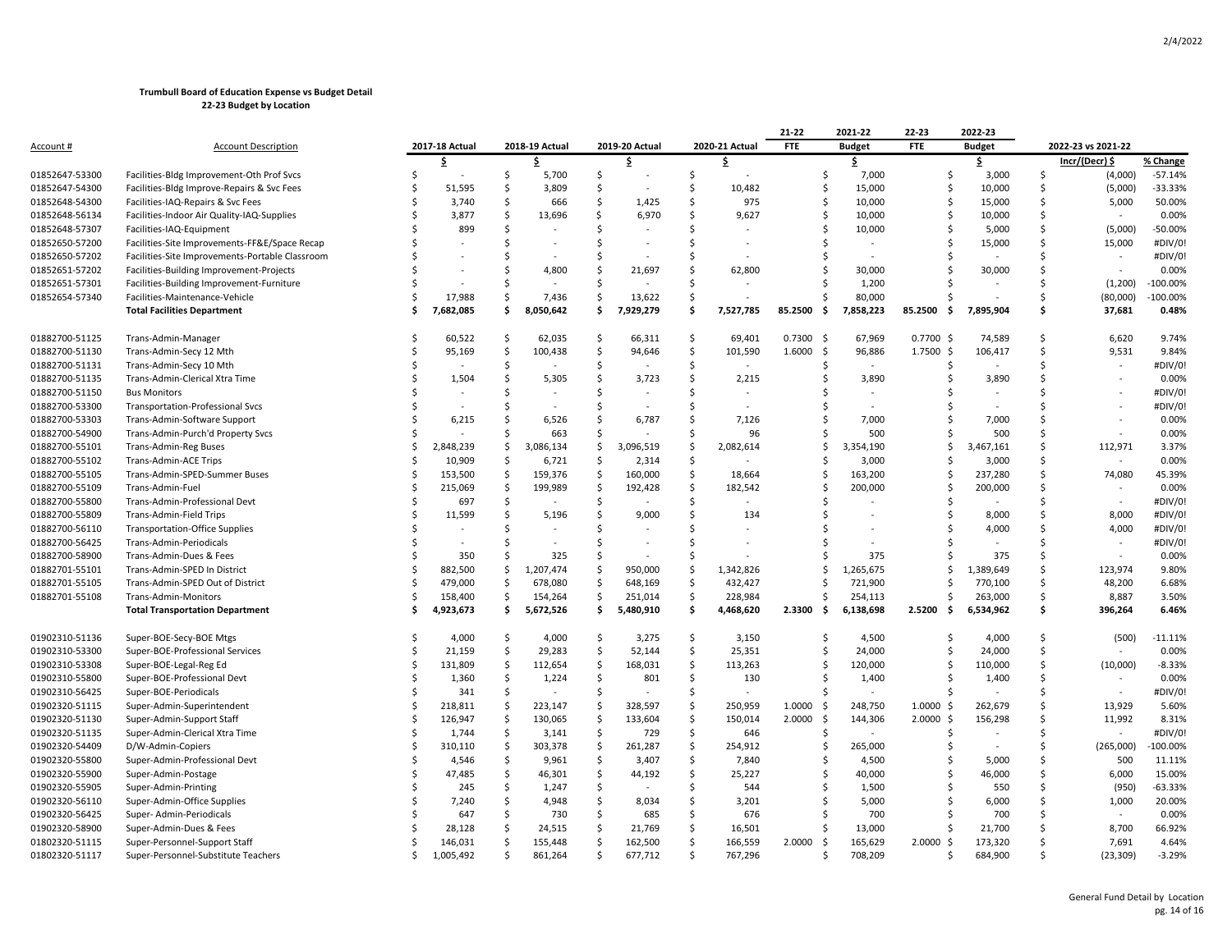|                  |                                                 |    |                |                    |           |                     |           |                     |                | 21-22            | 2021-22       | 22-23                | 2022-23       |                    |                    |            |
|------------------|-------------------------------------------------|----|----------------|--------------------|-----------|---------------------|-----------|---------------------|----------------|------------------|---------------|----------------------|---------------|--------------------|--------------------|------------|
| <u>Account #</u> | <b>Account Description</b>                      |    | 2017-18 Actual | 2018-19 Actual     |           | 2019-20 Actual      |           |                     | 2020-21 Actual | <b>FTE</b>       | <b>Budget</b> | <b>FTE</b>           | <b>Budget</b> |                    | 2022-23 vs 2021-22 |            |
|                  |                                                 |    | \$.            |                    | \$        |                     | \$        |                     | \$             |                  | \$            |                      | \$            |                    | Incr/(Decr) \$     | % Change   |
| 01852647-53300   | Facilities-Bldg Improvement-Oth Prof Svcs       | Ś  |                | \$                 | 5,700     | \$                  |           | $\ddot{\mathsf{S}}$ |                | \$               | 7,000         | \$                   | 3,000         | \$                 | (4,000)            | $-57.14%$  |
| 01852647-54300   | Facilities-Bldg Improve-Repairs & Svc Fees      | Ś  | 51,595         | Ś                  | 3,809     | Ŝ.                  |           | $\mathsf{S}$        | 10,482         | \$               | 15,000        | Ś                    | 10,000        | Ś                  | (5,000)            | $-33.33%$  |
| 01852648-54300   | Facilities-IAQ-Repairs & Svc Fees               |    | 3,740          | Ś                  | 666       | Ŝ.                  | 1,425     | Ś                   | 975            | Ś                | 10,000        | Ś.                   | 15,000        | Ś                  | 5,000              | 50.00%     |
| 01852648-56134   | Facilities-Indoor Air Quality-IAQ-Supplies      | Ś  | 3,877          | \$                 | 13,696    | Ŝ.                  | 6,970     | Ś                   | 9,627          | \$               | 10,000        | Ś                    | 10,000        | Ś                  |                    | 0.00%      |
| 01852648-57307   | Facilities-IAQ-Equipment                        |    | 899            | Ŝ                  |           | -\$                 |           | -Ś                  |                | Ś                | 10,000        | Ŝ                    | 5,000         | \$                 | (5,000)            | $-50.00%$  |
| 01852650-57200   | Facilities-Site Improvements-FF&E/Space Recap   |    |                | Ś                  |           | <sup>\$</sup>       |           | <b>S</b>            |                | Ś                |               | Ś                    | 15,000        | Ś                  | 15,000             | #DIV/0!    |
| 01852650-57202   | Facilities-Site Improvements-Portable Classroom |    |                | Ś                  |           | Ś                   |           | Ŝ.                  |                | Ś                |               | Ŝ.                   |               | Ś                  | $\sim$             | #DIV/0!    |
| 01852651-57202   | Facilities-Building Improvement-Projects        |    |                | S                  | 4,800     | Ŝ.                  | 21,697    | <sup>\$</sup>       | 62,800         | Ŝ.               | 30,000        | Ŝ.                   | 30,000        | Ś                  |                    | 0.00%      |
| 01852651-57301   | Facilities-Building Improvement-Furniture       | Ś  |                | Ś                  |           | Ŝ.                  |           | Ś                   |                | Ś                | 1,200         |                      |               | Ś                  | (1, 200)           | $-100.00%$ |
| 01852654-57340   | Facilities-Maintenance-Vehicle                  | Ŝ  | 17,988         | \$                 | 7,436     | $\ddot{\mathsf{S}}$ | 13,622    | S,                  |                | Ŝ.               | 80,000        | Ŝ                    |               | Ś                  | (80,000)           | $-100.00%$ |
|                  | <b>Total Facilities Department</b>              |    | 7,682,085      | Ś                  | 8,050,642 | Ś.                  | 7,929,279 | Ś                   | 7,527,785      | 85.2500<br>-\$   | 7,858,223     | 85.2500<br>. Ś       | 7,895,904     | Ś                  | 37,681             | 0.48%      |
| 01882700-51125   | Trans-Admin-Manager                             |    | 60,522         | Ŝ                  | 62,035    | -Ś                  | 66,311    | -Ś                  | 69,401         | $0.7300$ \$      | 67,969        | 0.7700 \$            | 74,589        | Ś                  | 6,620              | 9.74%      |
| 01882700-51130   | Trans-Admin-Secy 12 Mth                         | Ŝ  | 95,169         | -\$                | 100,438   | $\ddot{\mathsf{S}}$ | 94,646    | $\zeta$             | 101,590        | 1.6000<br>-\$    | 96,886        | $1.7500 \; \text{S}$ | 106,417       | \$                 | 9,531              | 9.84%      |
| 01882700-51131   | Trans-Admin-Secy 10 Mth                         |    |                | Ś                  |           | Ś                   |           | Ŝ.                  | ÷,             | Ś                | $\sim$        |                      |               | Ś                  | $\sim$             | #DIV/0!    |
| 01882700-51135   | Trans-Admin-Clerical Xtra Time                  |    | 1,504          | Ś                  | 5,305     | $\mathsf{S}$        | 3,723     | Ś.                  | 2,215          | Ś                | 3,890         | Ŝ                    | 3,890         | Ś                  | $\sim$             | 0.00%      |
| 01882700-51150   | <b>Bus Monitors</b>                             | ς  |                | Ś                  |           | -Ś                  |           | <sup>\$</sup>       |                | Ś                |               |                      |               | Ś                  |                    | #DIV/0!    |
| 01882700-53300   | <b>Transportation-Professional Svcs</b>         |    |                | Ś                  |           | -Ś                  |           | -Ś                  |                | Ś                |               |                      |               | Ś                  |                    | #DIV/0!    |
| 01882700-53303   | Trans-Admin-Software Support                    | Ś  | 6,215          | Ś                  | 6,526     | \$                  | 6,787     | $\mathsf{S}$        | 7,126          | Ś                | 7,000         | Ŝ.                   | 7,000         | Ś                  |                    | 0.00%      |
| 01882700-54900   | Trans-Admin-Purch'd Property Svcs               | Ś  |                | Ś                  | 663       | Ŝ.                  |           | Ŝ.                  | 96             | Ś                | 500           | Ś.                   | 500           | Ś                  | $\sim$             | 0.00%      |
| 01882700-55101   | <b>Trans-Admin-Reg Buses</b>                    | Ś  | 2,848,239      | Ś                  | 3,086,134 | Ŝ.                  | 3,096,519 | Ś                   | 2,082,614      | Ś                | 3,354,190     | Ś.                   | 3,467,161     | Ś                  | 112,971            | 3.37%      |
| 01882700-55102   | <b>Trans-Admin-ACE Trips</b>                    | Ś  | 10,909         | Ŝ.                 | 6,721     | <sub>S</sub>        | 2,314     | Ś                   |                | Ŝ.               | 3,000         | Ŝ.                   | 3,000         | Ś                  |                    | 0.00%      |
| 01882700-55105   | Trans-Admin-SPED-Summer Buses                   | Ŝ  | 153,500        | Ś                  | 159,376   | -\$                 | 160,000   | S,                  | 18,664         | Ŝ                | 163,200       | Ŝ                    | 237,280       | Ś                  | 74,080             | 45.39%     |
| 01882700-55109   | Trans-Admin-Fuel                                | Ś  | 215,069        | -S                 | 199,989   | -\$                 | 192,428   | $\mathsf{S}$        | 182,542        | Ś                | 200,000       | Ŝ                    | 200,000       | Ś                  |                    | 0.00%      |
| 01882700-55800   | Trans-Admin-Professional Devt                   | Ś  | 697            | Ś                  |           | Ŝ.                  |           | Ŝ.                  |                | Ś                |               | Ŝ.                   |               | Ś                  | $\sim$             | #DIV/0!    |
| 01882700-55809   | Trans-Admin-Field Trips                         | Ś  | 11,599         | Ś                  | 5,196     | Ś                   | 9,000     | Ŝ.                  | 134            |                  |               | Ś                    | 8,000         | Ś                  | 8,000              | #DIV/0!    |
| 01882700-56110   | <b>Transportation-Office Supplies</b>           | Ś  |                | Ś                  |           | Ŝ.                  |           | Ś.                  |                |                  |               | Š                    | 4,000         | Ś                  | 4,000              | #DIV/0!    |
| 01882700-56425   | Trans-Admin-Periodicals                         | Ŝ  |                | Ś                  |           | -Ś                  |           | Ŝ.                  |                | S                |               |                      |               | Ś                  | $\sim$             | #DIV/0!    |
| 01882700-58900   | Trans-Admin-Dues & Fees                         | Ŝ  | 350            | Ś                  | 325       | \$                  |           | Ś.                  |                | Ŝ                | 375           | Ŝ.                   | 375           | Ś                  | $\sim$             | 0.00%      |
| 01882701-55101   | Trans-Admin-SPED In District                    | Ś  | 882,500        | \$                 | 1,207,474 | $\ddot{\mathsf{S}}$ | 950,000   | $\zeta$             | 1,342,826      | Ś                | 1,265,675     | Ś.                   | 1,389,649     | $\mathsf{\hat{S}}$ | 123,974            | 9.80%      |
| 01882701-55105   | Trans-Admin-SPED Out of District                | Ś  | 479,000        | Ŝ.                 | 678,080   | \$                  | 648,169   | Ŝ.                  | 432,427        | Ś                | 721,900       | Ś.                   | 770,100       | Ś                  | 48,200             | 6.68%      |
| 01882701-55108   | Trans-Admin-Monitors                            | Ś  | 158,400        | -\$                | 154,264   | $\ddot{\varsigma}$  | 251,014   | \$                  | 228,984        | Ŝ.               | 254,113       | S                    | 263,000       | Ś                  | 8,887              | 3.50%      |
|                  | <b>Total Transportation Department</b>          | Ś  | 4,923,673      | Ŝ.                 | 5,672,526 | \$                  | 5,480,910 | \$                  | 4,468,620      | $2.3300 \quad $$ | 6,138,698     | 2.5200<br>-\$        | 6,534,962     | Ś.                 | 396,264            | 6.46%      |
|                  |                                                 |    |                |                    |           |                     |           |                     |                |                  |               |                      |               |                    |                    |            |
| 01902310-51136   | Super-BOE-Secy-BOE Mtgs                         |    | 4,000          | Ś                  | 4,000     | -Ś                  | 3,275     | S.                  | 3,150          | Ś                | 4,500         | Ś                    | 4,000         | Ś                  | (500)              | $-11.11%$  |
| 01902310-53300   | Super-BOE-Professional Services                 | Ś  | 21,159         | $\mathsf{S}$       | 29,283    | $\ddot{\mathsf{S}}$ | 52,144    | $\ddot{\mathsf{S}}$ | 25,351         | \$               | 24,000        | \$                   | 24,000        | \$                 |                    | 0.00%      |
| 01902310-53308   | Super-BOE-Legal-Reg Ed                          | Ŝ  | 131,809        | -\$                | 112,654   | $\ddot{\varsigma}$  | 168,031   | $\mathsf{S}$        | 113,263        | Ŝ                | 120,000       | Š                    | 110,000       | Ś                  | (10,000)           | $-8.33%$   |
| 01902310-55800   | Super-BOE-Professional Devt                     | Ś  | 1,360          | Ŝ.                 | 1,224     | -Ś                  | 801       | $\ddot{\mathsf{S}}$ | 130            | Ś                | 1,400         | Ŝ.                   | 1,400         | Ś                  |                    | 0.00%      |
| 01902310-56425   | Super-BOE-Periodicals                           |    | 341            | -\$                |           | Ŝ.                  |           | Ś.                  |                |                  |               |                      |               | Ś                  | $\sim$             | #DIV/0!    |
| 01902320-51115   | Super-Admin-Superintendent                      | \$ | 218,811        | $\mathsf{\hat{S}}$ | 223,147   | \$                  | 328,597   | S,                  | 250,959        | 1.0000<br>-\$    | 248,750       | $1.0000 \; \text{S}$ | 262,679       | \$                 | 13,929             | 5.60%      |
| 01902320-51130   | Super-Admin-Support Staff                       | Ś  | 126,947        | $\mathsf{\hat{S}}$ | 130,065   | $\dot{\mathsf{s}}$  | 133,604   | $\mathsf{\hat{S}}$  | 150,014        | \$<br>2.0000     | 144,306       | $2.0000$ \$          | 156,298       | Ś                  | 11,992             | 8.31%      |
| 01902320-51135   | Super-Admin-Clerical Xtra Time                  | Ŝ  | 1,744          | -\$                | 3,141     | \$                  | 729       | \$                  | 646            | Ŝ                |               | Ŝ.                   |               | Ś                  |                    | #DIV/0!    |
| 01902320-54409   | D/W-Admin-Copiers                               | Ś  | 310,110        | $\zeta$            | 303,378   | \$                  | 261,287   | \$                  | 254,912        | Ś                | 265,000       | Ŝ.                   |               | Ś                  | (265,000)          | $-100.00%$ |
| 01902320-55800   | Super-Admin-Professional Devt                   | Ŝ  | 4,546          | -\$                | 9,961     | $\ddot{\mathsf{S}}$ | 3,407     | $\mathsf{S}$        | 7,840          | Ŝ                | 4,500         | Ŝ                    | 5,000         | \$                 | 500                | 11.11%     |
| 01902320-55900   | Super-Admin-Postage                             | Ŝ  | 47,485         | $\mathsf{\hat{S}}$ | 46,301    | $\ddot{\mathsf{S}}$ | 44,192    | $\mathsf{\hat{S}}$  | 25,227         | \$               | 40,000        | Ŝ                    | 46,000        | Ś                  | 6,000              | 15.00%     |
| 01902320-55905   | Super-Admin-Printing                            | Ś  | 245            | Ś                  | 1,247     | Ś                   |           | Ŝ.                  | 544            | Ś                | 1,500         |                      | 550           | Ś                  | (950)              | $-63.33%$  |
| 01902320-56110   | Super-Admin-Office Supplies                     |    | 7,240          | Ś                  | 4,948     | -\$                 | 8,034     | Ś.                  | 3,201          | Ś                | 5,000         | S.                   | 6,000         | Ś                  | 1,000              | 20.00%     |
| 01902320-56425   | Super-Admin-Periodicals                         | S  | 647            | Ś                  | 730       | \$                  | 685       | Ŝ.                  | 676            | Ŝ.               | 700           |                      | 700           | Ś                  | $\sim$             | 0.00%      |
| 01902320-58900   | Super-Admin-Dues & Fees                         |    | 28,128         | Ŝ                  | 24,515    | \$                  | 21,769    | S,                  | 16,501         | \$               | 13,000        | Ŝ                    | 21,700        | Ś                  | 8,700              | 66.92%     |
| 01802320-51115   | Super-Personnel-Support Staff                   |    | 146,031        | Ŝ                  | 155,448   | $\mathsf{S}$        | 162,500   | Ś                   | 166,559        | 2.0000<br>-\$    | 165,629       | $2.0000$ \$          | 173,320       | Ś                  | 7,691              | 4.64%      |
| 01802320-51117   | Super-Personnel-Substitute Teachers             | Ś  | 1,005,492      | Ś                  | 861,264   | Ŝ.                  | 677,712   | \$                  | 767,296        | Ś                | 708,209       | Ś.                   | 684,900       | Ś                  | (23, 309)          | $-3.29%$   |
|                  |                                                 |    |                |                    |           |                     |           |                     |                |                  |               |                      |               |                    |                    |            |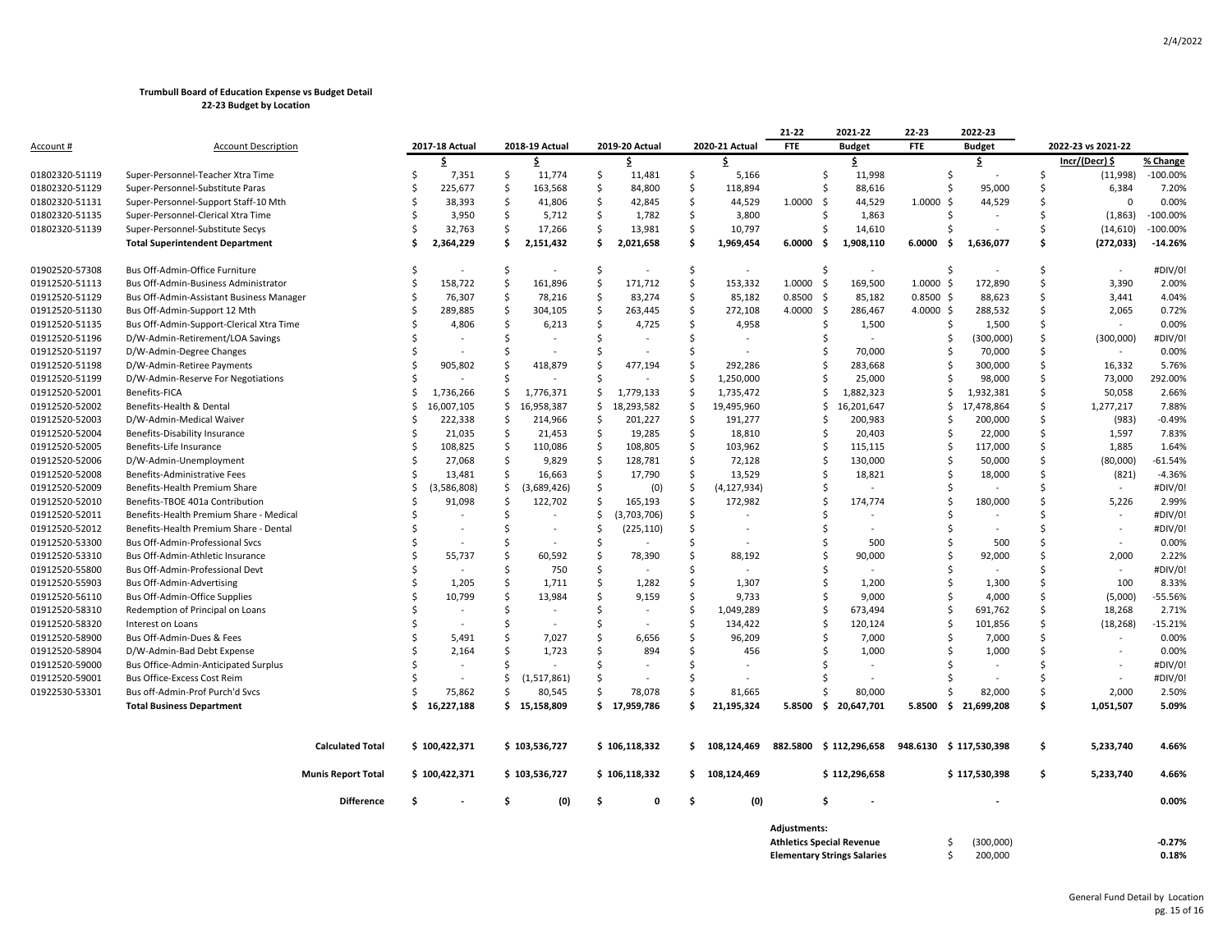|                |                                          |                           |                                |               |                |              |                |                     |                          | 21-22        | 2021-22                            | 22-23       | 2022-23                |              |                          |            |
|----------------|------------------------------------------|---------------------------|--------------------------------|---------------|----------------|--------------|----------------|---------------------|--------------------------|--------------|------------------------------------|-------------|------------------------|--------------|--------------------------|------------|
| Account #      | <b>Account Description</b>               |                           | 2017-18 Actual                 |               | 2018-19 Actual |              | 2019-20 Actual |                     | 2020-21 Actual           | <b>FTE</b>   | <b>Budget</b>                      | <b>FTE</b>  | <b>Budget</b>          |              | 2022-23 vs 2021-22       |            |
|                |                                          |                           | \$                             |               | \$             |              | \$             |                     | \$                       |              | \$.                                |             | \$                     |              | Incr/(Decr) \$           | % Change   |
| 01802320-51119 | Super-Personnel-Teacher Xtra Time        |                           | -Ś<br>7,351                    | \$            | 11,774         | \$           | 11,481         | \$                  | 5,166                    |              | \$<br>11,998                       |             | -S                     | S            | (11,998)                 | $-100.00%$ |
| 01802320-51129 | Super-Personnel-Substitute Paras         |                           | Ŝ.<br>225,677                  | $\frac{1}{2}$ | 163,568        | \$           | 84,800         | $\ddot{\mathsf{S}}$ | 118,894                  |              | Ś<br>88,616                        |             | 95,000<br>Ŝ.           | Ŝ            | 6,384                    | 7.20%      |
| 01802320-51131 | Super-Personnel-Support Staff-10 Mth     |                           | 38,393<br>Ŝ                    | \$            | 41,806         | \$           | 42,845         | $\ddot{\mathsf{S}}$ | 44,529                   | 1.0000       | - Ś<br>44,529                      | 1.0000      | 44,529<br>-\$          |              | $\Omega$                 | 0.00%      |
| 01802320-51135 | Super-Personnel-Clerical Xtra Time       |                           | 3,950<br>-Ś                    | $\mathsf{S}$  | 5,712          | \$           | 1,782          | Ŝ.                  | 3,800                    |              | 1,863<br>Ś                         |             |                        |              | (1, 863)                 | $-100.00%$ |
| 01802320-51139 | Super-Personnel-Substitute Secys         |                           | 32,763<br>-S                   | -\$           | 17,266         | S.           | 13,981         | $\ddot{\mathsf{S}}$ | 10,797                   |              | 14,610<br>S                        |             |                        | <sub>S</sub> | (14, 610)                | $-100.00%$ |
|                | <b>Total Superintendent Department</b>   |                           | 2,364,229<br>.S                | \$.           | 2,151,432      | \$.          | 2,021,658      | Ś.                  | 1,969,454                | 6.0000       | - \$<br>1,908,110                  | 6.0000      | 1,636,077<br>-S        | Ŝ            | (272, 033)               | $-14.26%$  |
| 01902520-57308 | Bus Off-Admin-Office Furniture           |                           | -S<br>$\overline{\phantom{a}}$ | -\$           | $\sim$         | S.           | $\sim$         | \$                  | $\overline{\phantom{a}}$ |              | Ś<br>$\sim$                        |             | -S                     | Ŝ            |                          | #DIV/0!    |
| 01912520-51113 | Bus Off-Admin-Business Administrator     |                           | 158,722<br>Ŝ.                  | -\$           | 161,896        | \$           | 171,712        | S,                  | 153,332                  | 1.0000       | 169,500<br>-\$                     | $1.0000$ \$ | 172,890                | Ś            | 3,390                    | 2.00%      |
| 01912520-51129 | Bus Off-Admin-Assistant Business Manager |                           | 76,307<br>-Ś                   | \$            | 78,216         | \$           | 83,274         | \$                  | 85,182                   | 0.8500       | - \$<br>85,182                     | $0.8500$ \$ | 88,623                 | Ŝ            | 3,441                    | 4.04%      |
| 01912520-51130 | Bus Off-Admin-Support 12 Mth             |                           | 289,885                        | <sub>\$</sub> | 304,105        | $\mathsf{S}$ | 263,445        | $\ddot{\mathsf{S}}$ | 272,108                  | 4.0000       | -\$<br>286,467                     | 4.0000 \$   | 288,532                | Ś            | 2,065                    | 0.72%      |
| 01912520-51135 | Bus Off-Admin-Support-Clerical Xtra Time |                           | 4,806<br>Ŝ.                    | -\$           | 6,213          | -\$          | 4,725          | $\ddot{\mathsf{S}}$ | 4,958                    |              | Ś<br>1,500                         |             | 1,500<br>Ŝ             | Ś            |                          | 0.00%      |
| 01912520-51196 | D/W-Admin-Retirement/LOA Savings         |                           |                                | -Ś            |                | -Ś           |                | Ś.                  |                          |              |                                    |             | (300,000)              | Ŝ            | (300,000)                | #DIV/0!    |
| 01912520-51197 | D/W-Admin-Degree Changes                 |                           |                                | S.            |                | Ŝ.           |                | Ŝ.                  |                          |              | 70,000<br>S                        |             | 70,000                 | Ŝ            | $\sim$                   | 0.00%      |
| 01912520-51198 | D/W-Admin-Retiree Payments               |                           | -Ś<br>905,802                  | .S            | 418,879        | Ŝ.           | 477,194        | \$                  | 292,286                  |              | Ś<br>283,668                       |             | 300,000<br>-S          | Ŝ            | 16,332                   | 5.76%      |
| 01912520-51199 | D/W-Admin-Reserve For Negotiations       |                           |                                | Ŝ             |                | <sup>5</sup> |                | Ś.                  | 1,250,000                |              | 25,000<br>Ŝ                        |             | 98,000                 | Ś            | 73,000                   | 292.00%    |
| 01912520-52001 | <b>Benefits-FICA</b>                     |                           | Ŝ.<br>1,736,266                | \$            | 1,776,371      | \$           | 1,779,133      | \$,                 | 1,735,472                |              | 1,882,323<br>\$                    |             | 1,932,381<br>Ŝ.        | Ŝ            | 50,058                   | 2.66%      |
| 01912520-52002 | Benefits-Health & Dental                 |                           | 16,007,105<br>.s               | \$            | 16,958,387     | \$           | 18,293,582     | \$                  | 19,495,960               |              | 16,201,647<br>\$                   |             | 17,478,864<br>\$       | Ŝ            | 1,277,217                | 7.88%      |
| 01912520-52003 | D/W-Admin-Medical Waiver                 |                           | 222,338<br>Ŝ                   | \$            | 214,966        | \$           | 201,227        | $\ddot{\mathsf{S}}$ | 191,277                  |              | 200,983<br>\$                      |             | 200,000                | \$           | (983)                    | $-0.49%$   |
| 01912520-52004 | Benefits-Disability Insurance            |                           | 21,035<br>-Ś                   | -\$           | 21,453         | -\$          | 19,285         | $\ddot{\mathsf{S}}$ | 18,810                   |              | Ś<br>20,403                        |             | 22,000                 | Ŝ.           | 1,597                    | 7.83%      |
| 01912520-52005 | Benefits-Life Insurance                  |                           | 108,825<br>-Ś                  | \$            | 110,086        | \$           | 108,805        | \$                  | 103,962                  |              | Ś<br>115,115                       |             | 117,000                | Ś            | 1,885                    | 1.64%      |
| 01912520-52006 | D/W-Admin-Unemployment                   |                           | Ŝ.<br>27,068                   | $\frac{1}{2}$ | 9,829          | \$           | 128,781        | $\ddot{\mathsf{S}}$ | 72,128                   |              | Ś<br>130,000                       |             | 50,000<br>-S           | Ŝ            | (80,000)                 | $-61.54%$  |
| 01912520-52008 | Benefits-Administrative Fees             |                           | -Ś<br>13,481                   | $\mathsf{S}$  | 16,663         | $\mathsf{S}$ | 17,790         | \$                  | 13,529                   |              | Ś<br>18,821                        |             | 18,000                 |              | (821)                    | $-4.36%$   |
| 01912520-52009 | Benefits-Health Premium Share            |                           | (3,586,808)<br>-S              | \$            | (3,689,426)    | \$           | (0)            | \$,                 | (4, 127, 934)            |              | S                                  |             |                        | <sub>S</sub> |                          | #DIV/0!    |
| 01912520-52010 | Benefits-TBOE 401a Contribution          |                           | 91,098                         | $\mathsf{S}$  | 122,702        | \$           | 165,193        | Ś.                  | 172,982                  |              | Ś<br>174,774                       |             | 180,000                |              | 5,226                    | 2.99%      |
| 01912520-52011 | Benefits-Health Premium Share - Medical  |                           | S                              | \$            |                | \$           | (3,703,706)    | \$                  |                          |              | S                                  |             |                        |              | $\overline{\phantom{a}}$ | #DIV/0!    |
| 01912520-52012 | Benefits-Health Premium Share - Dental   |                           | Ŝ.                             | -Ś            |                | -Ś           | (225, 110)     | Ś.                  |                          |              | Ś                                  |             |                        | Ŝ            |                          | #DIV/0!    |
| 01912520-53300 | Bus Off-Admin-Professional Svcs          |                           | -Ś                             | -\$           | $\sim$         | -Ś           |                | Ś.                  |                          |              | 500<br>Ś                           |             | 500                    | Ŝ            | $\sim$                   | 0.00%      |
| 01912520-53310 | Bus Off-Admin-Athletic Insurance         |                           | Ŝ.<br>55,737                   | -Ś            | 60,592         | -\$          | 78,390         | $\mathsf{\hat{S}}$  | 88,192                   |              | Ś<br>90,000                        |             | 92,000                 |              | 2,000                    | 2.22%      |
| 01912520-55800 | Bus Off-Admin-Professional Devt          |                           | Ŝ.                             | $\mathsf{S}$  | 750            | $\mathsf{S}$ |                | Ś                   |                          |              | Ś                                  |             |                        |              | $\sim$                   | #DIV/0!    |
| 01912520-55903 | Bus Off-Admin-Advertising                |                           | 1,205<br>-Ś                    | -Ś            | 1,711          | $\mathsf{S}$ | 1,282          | \$                  | 1,307                    |              | Ś<br>1,200                         |             | 1,300                  | Ŝ            | 100                      | 8.33%      |
| 01912520-56110 | Bus Off-Admin-Office Supplies            |                           | Ś<br>10,799                    | $\mathsf{S}$  | 13,984         | \$           | 9,159          | $\mathsf{S}$        | 9,733                    |              | 9,000<br>Ś                         |             | 4,000                  | Ŝ            | (5,000)                  | $-55.56%$  |
| 01912520-58310 | Redemption of Principal on Loans         |                           | -Ś                             | -Ś            |                | -Ś           |                | -\$                 | 1,049,289                |              | Ś<br>673,494                       |             | 691,762<br>S           | Ŝ            | 18,268                   | 2.71%      |
| 01912520-58320 | Interest on Loans                        |                           |                                | -Ś            |                | -Ś           |                | Ś.                  | 134,422                  |              | Ŝ<br>120,124                       |             | 101,856                | Ŝ            | (18, 268)                | $-15.21%$  |
| 01912520-58900 | Bus Off-Admin-Dues & Fees                |                           | 5,491                          | \$            | 7,027          | -\$          | 6,656          | S,                  | 96,209                   |              | 7,000<br>Ŝ                         |             | 7,000                  | Ŝ.           | $\sim$                   | 0.00%      |
| 01912520-58904 | D/W-Admin-Bad Debt Expense               |                           | 2,164                          | -Ś            | 1,723          | -Ś           | 894            | Ś.                  | 456                      |              | 1,000                              |             | 1,000                  | S            |                          | 0.00%      |
| 01912520-59000 | Bus Office-Admin-Anticipated Surplus     |                           | Ŝ.                             | <sup>5</sup>  |                | -Ś           |                | Ŝ.                  |                          |              |                                    |             |                        |              |                          | #DIV/0!    |
| 01912520-59001 | Bus Office-Excess Cost Reim              |                           |                                | \$            | (1,517,861)    | -Ś           |                | -Ś                  |                          |              |                                    |             |                        |              | $\sim$                   | #DIV/0!    |
| 01922530-53301 | Bus off-Admin-Prof Purch'd Svcs          |                           | 75,862                         | Ŝ             | 80,545         | <sup>5</sup> | 78,078         | <sup>5</sup>        | 81,665                   |              | 80,000                             |             | 82,000                 | Š.           | 2,000                    | 2.50%      |
|                | <b>Total Business Department</b>         |                           | 16,227,188<br>Ŝ.               |               | \$15,158,809   |              | \$17,959,786   | Ŝ.                  | 21,195,324               | 5.8500       | \$20,647,701                       | 5.8500      | \$21,699,208           | \$.          | 1,051,507                | 5.09%      |
|                |                                          |                           |                                |               |                |              |                |                     |                          |              |                                    |             |                        |              |                          |            |
|                |                                          | <b>Calculated Total</b>   | \$100,422,371                  |               | \$103,536,727  |              | \$106,118,332  |                     | \$108.124.469            |              | 882.5800 \$ 112,296,658            |             | 948.6130 \$117.530.398 | \$           | 5.233.740                | 4.66%      |
|                |                                          | <b>Munis Report Total</b> | \$100,422,371                  |               | \$103,536,727  |              | \$106,118,332  |                     | \$108,124,469            |              | \$112,296,658                      |             | \$117,530,398          | \$           | 5,233,740                | 4.66%      |
|                |                                          | <b>Difference</b>         | \$.                            | \$.           | (0)            | \$.          | $\mathbf 0$    | \$.                 | (0)                      |              | \$                                 |             |                        |              |                          | 0.00%      |
|                |                                          |                           |                                |               |                |              |                |                     |                          | Adjustments: |                                    |             |                        |              |                          |            |
|                |                                          |                           |                                |               |                |              |                |                     |                          |              | <b>Athletics Special Revenue</b>   |             | (300,000)              |              |                          | $-0.27%$   |
|                |                                          |                           |                                |               |                |              |                |                     |                          |              | <b>Elementary Strings Salaries</b> |             | 200,000                |              |                          | 0.18%      |